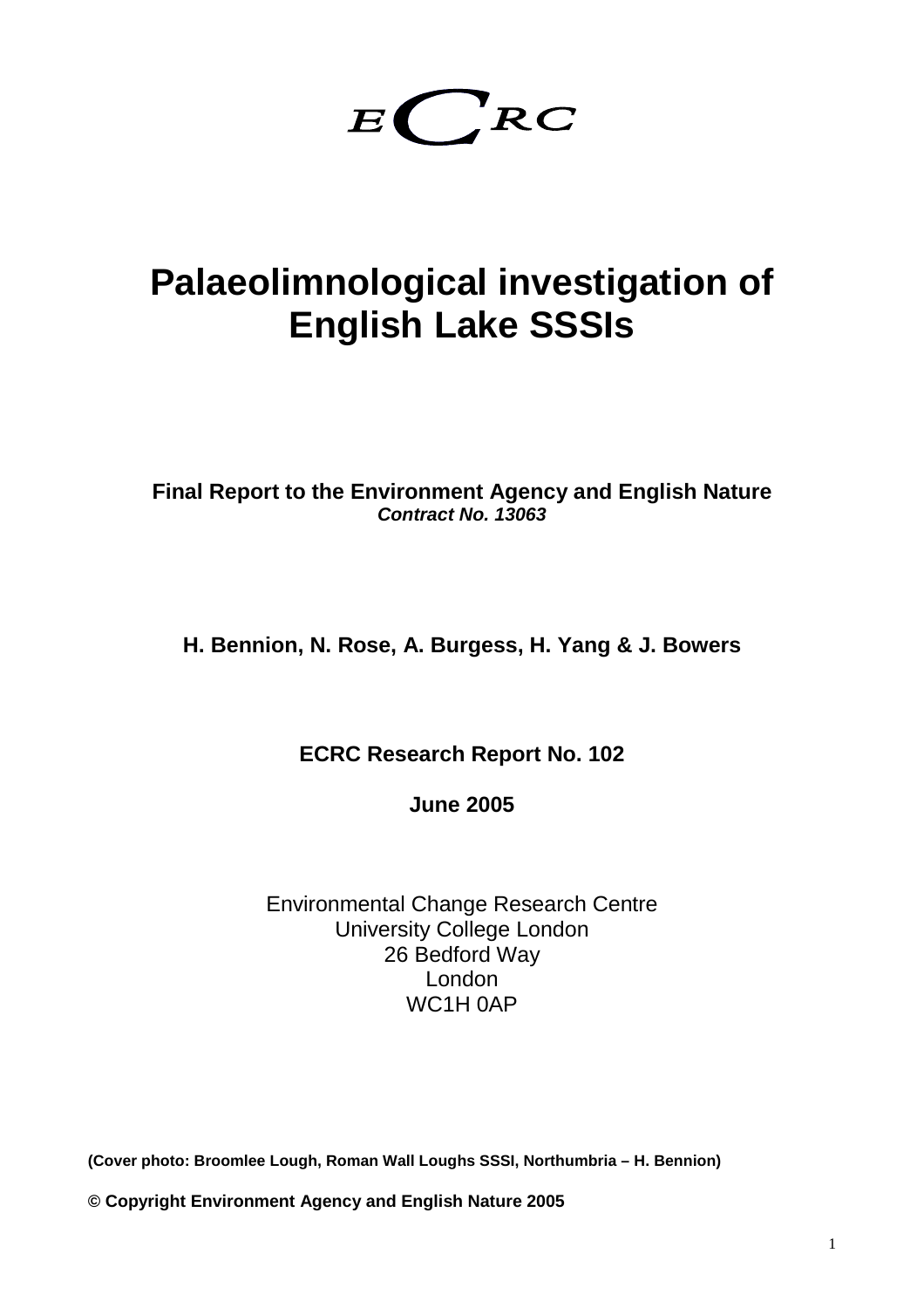# $E\left(\begin{array}{c} R \\ R \end{array}\right)$

## **Palaeolimnological investigation of English Lake SSSIs**

**Final Report to the Environment Agency and English Nature Contract No. 13063**

**H. Bennion, N. Rose, A. Burgess, H. Yang & J. Bowers** 

**ECRC Research Report No. 102** 

**June 2005** 

Environmental Change Research Centre University College London 26 Bedford Way London WC1H 0AP

**(Cover photo: Broomlee Lough, Roman Wall Loughs SSSI, Northumbria – H. Bennion)** 

**© Copyright Environment Agency and English Nature 2005**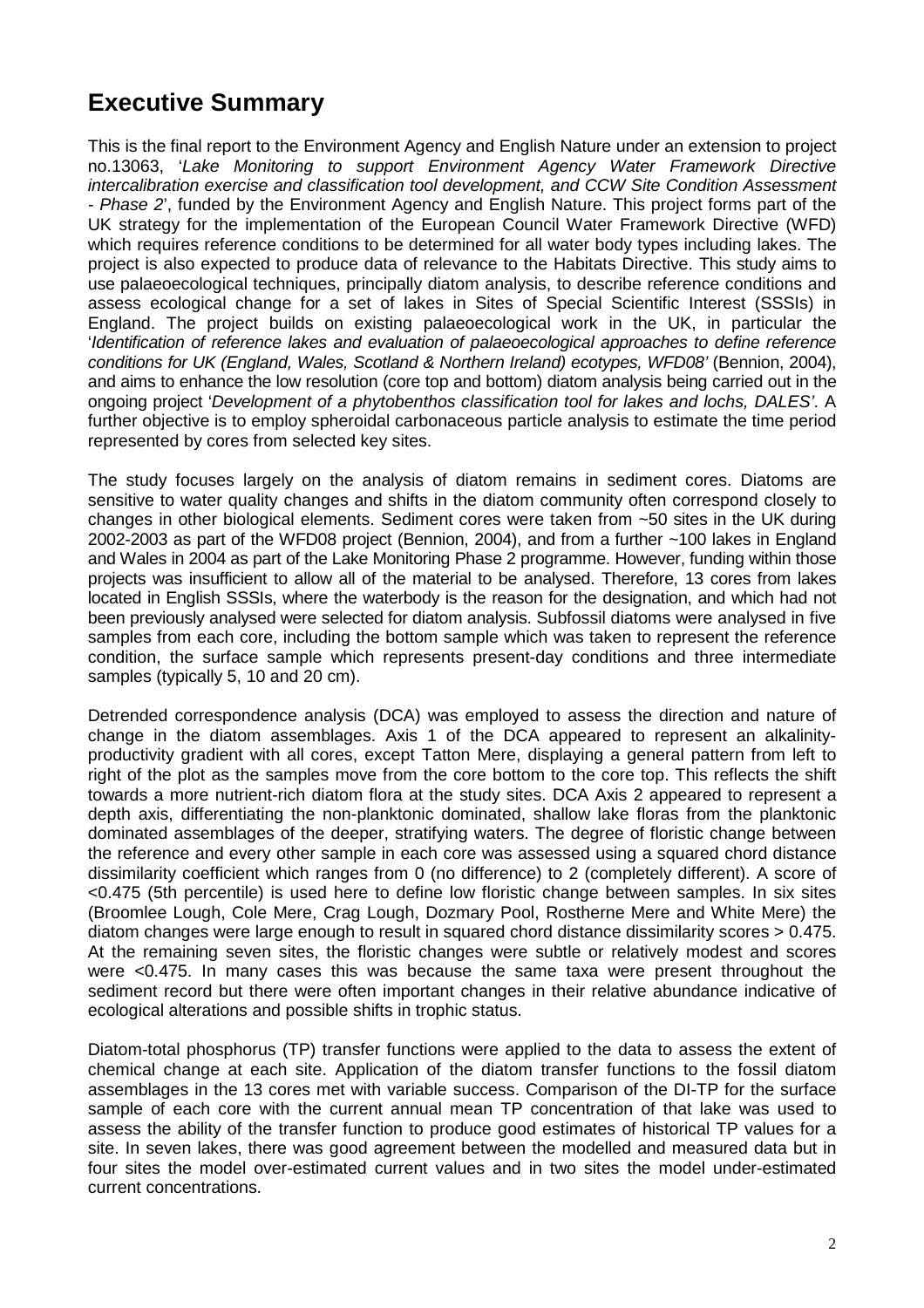## **Executive Summary**

This is the final report to the Environment Agency and English Nature under an extension to project no.13063, 'Lake Monitoring to support Environment Agency Water Framework Directive intercalibration exercise and classification tool development, and CCW Site Condition Assessment - Phase 2', funded by the Environment Agency and English Nature. This project forms part of the UK strategy for the implementation of the European Council Water Framework Directive (WFD) which requires reference conditions to be determined for all water body types including lakes. The project is also expected to produce data of relevance to the Habitats Directive. This study aims to use palaeoecological techniques, principally diatom analysis, to describe reference conditions and assess ecological change for a set of lakes in Sites of Special Scientific Interest (SSSIs) in England. The project builds on existing palaeoecological work in the UK, in particular the 'Identification of reference lakes and evaluation of palaeoecological approaches to define reference conditions for UK (England, Wales, Scotland & Northern Ireland) ecotypes, WFD08' (Bennion, 2004), and aims to enhance the low resolution (core top and bottom) diatom analysis being carried out in the ongoing project 'Development of a phytobenthos classification tool for lakes and lochs, DALES'. A further objective is to employ spheroidal carbonaceous particle analysis to estimate the time period represented by cores from selected key sites.

The study focuses largely on the analysis of diatom remains in sediment cores. Diatoms are sensitive to water quality changes and shifts in the diatom community often correspond closely to changes in other biological elements. Sediment cores were taken from ~50 sites in the UK during 2002-2003 as part of the WFD08 project (Bennion, 2004), and from a further ~100 lakes in England and Wales in 2004 as part of the Lake Monitoring Phase 2 programme. However, funding within those projects was insufficient to allow all of the material to be analysed. Therefore, 13 cores from lakes located in English SSSIs, where the waterbody is the reason for the designation, and which had not been previously analysed were selected for diatom analysis. Subfossil diatoms were analysed in five samples from each core, including the bottom sample which was taken to represent the reference condition, the surface sample which represents present-day conditions and three intermediate samples (typically 5, 10 and 20 cm).

Detrended correspondence analysis (DCA) was employed to assess the direction and nature of change in the diatom assemblages. Axis 1 of the DCA appeared to represent an alkalinityproductivity gradient with all cores, except Tatton Mere, displaying a general pattern from left to right of the plot as the samples move from the core bottom to the core top. This reflects the shift towards a more nutrient-rich diatom flora at the study sites. DCA Axis 2 appeared to represent a depth axis, differentiating the non-planktonic dominated, shallow lake floras from the planktonic dominated assemblages of the deeper, stratifying waters. The degree of floristic change between the reference and every other sample in each core was assessed using a squared chord distance dissimilarity coefficient which ranges from 0 (no difference) to 2 (completely different). A score of <0.475 (5th percentile) is used here to define low floristic change between samples. In six sites (Broomlee Lough, Cole Mere, Crag Lough, Dozmary Pool, Rostherne Mere and White Mere) the diatom changes were large enough to result in squared chord distance dissimilarity scores > 0.475. At the remaining seven sites, the floristic changes were subtle or relatively modest and scores were <0.475. In many cases this was because the same taxa were present throughout the sediment record but there were often important changes in their relative abundance indicative of ecological alterations and possible shifts in trophic status.

Diatom-total phosphorus (TP) transfer functions were applied to the data to assess the extent of chemical change at each site. Application of the diatom transfer functions to the fossil diatom assemblages in the 13 cores met with variable success. Comparison of the DI-TP for the surface sample of each core with the current annual mean TP concentration of that lake was used to assess the ability of the transfer function to produce good estimates of historical TP values for a site. In seven lakes, there was good agreement between the modelled and measured data but in four sites the model over-estimated current values and in two sites the model under-estimated current concentrations.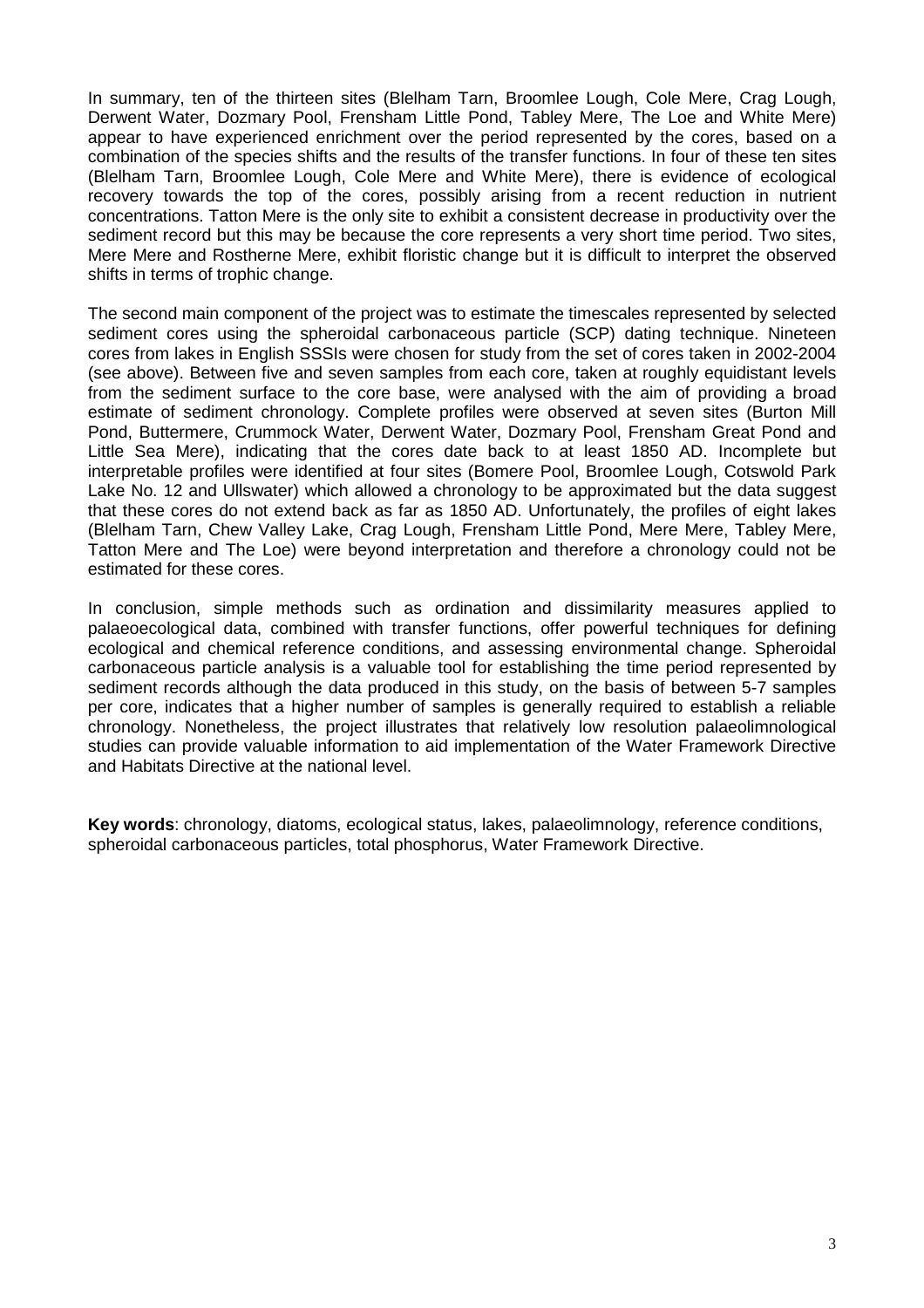In summary, ten of the thirteen sites (Blelham Tarn, Broomlee Lough, Cole Mere, Crag Lough, Derwent Water, Dozmary Pool, Frensham Little Pond, Tabley Mere, The Loe and White Mere) appear to have experienced enrichment over the period represented by the cores, based on a combination of the species shifts and the results of the transfer functions. In four of these ten sites (Blelham Tarn, Broomlee Lough, Cole Mere and White Mere), there is evidence of ecological recovery towards the top of the cores, possibly arising from a recent reduction in nutrient concentrations. Tatton Mere is the only site to exhibit a consistent decrease in productivity over the sediment record but this may be because the core represents a very short time period. Two sites, Mere Mere and Rostherne Mere, exhibit floristic change but it is difficult to interpret the observed shifts in terms of trophic change.

The second main component of the project was to estimate the timescales represented by selected sediment cores using the spheroidal carbonaceous particle (SCP) dating technique. Nineteen cores from lakes in English SSSIs were chosen for study from the set of cores taken in 2002-2004 (see above). Between five and seven samples from each core, taken at roughly equidistant levels from the sediment surface to the core base, were analysed with the aim of providing a broad estimate of sediment chronology. Complete profiles were observed at seven sites (Burton Mill Pond, Buttermere, Crummock Water, Derwent Water, Dozmary Pool, Frensham Great Pond and Little Sea Mere), indicating that the cores date back to at least 1850 AD. Incomplete but interpretable profiles were identified at four sites (Bomere Pool, Broomlee Lough, Cotswold Park Lake No. 12 and Ullswater) which allowed a chronology to be approximated but the data suggest that these cores do not extend back as far as 1850 AD. Unfortunately, the profiles of eight lakes (Blelham Tarn, Chew Valley Lake, Crag Lough, Frensham Little Pond, Mere Mere, Tabley Mere, Tatton Mere and The Loe) were beyond interpretation and therefore a chronology could not be estimated for these cores.

In conclusion, simple methods such as ordination and dissimilarity measures applied to palaeoecological data, combined with transfer functions, offer powerful techniques for defining ecological and chemical reference conditions, and assessing environmental change. Spheroidal carbonaceous particle analysis is a valuable tool for establishing the time period represented by sediment records although the data produced in this study, on the basis of between 5-7 samples per core, indicates that a higher number of samples is generally required to establish a reliable chronology. Nonetheless, the project illustrates that relatively low resolution palaeolimnological studies can provide valuable information to aid implementation of the Water Framework Directive and Habitats Directive at the national level.

**Key words**: chronology, diatoms, ecological status, lakes, palaeolimnology, reference conditions, spheroidal carbonaceous particles, total phosphorus, Water Framework Directive.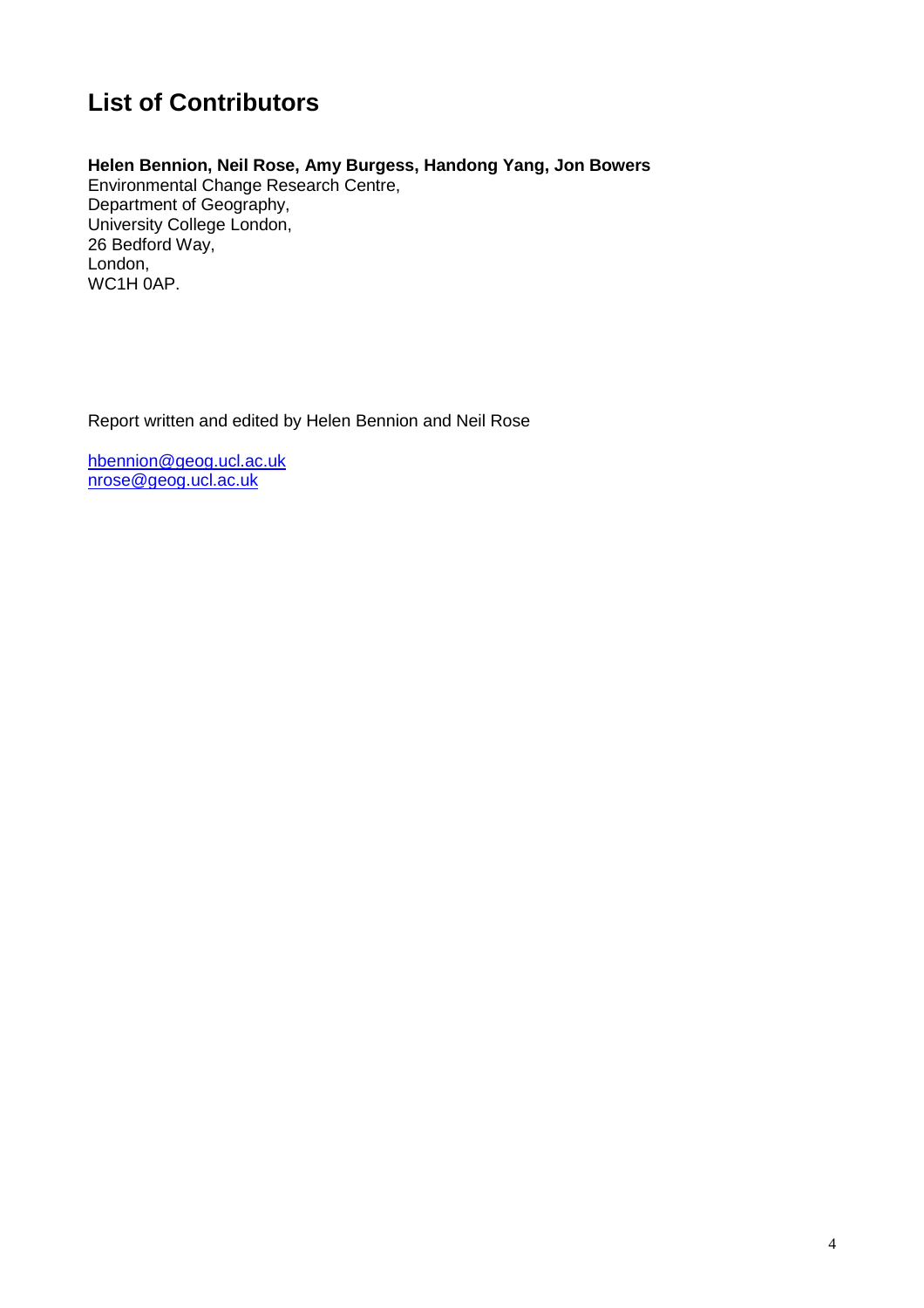## **List of Contributors**

#### **Helen Bennion, Neil Rose, Amy Burgess, Handong Yang, Jon Bowers**

Environmental Change Research Centre, Department of Geography, University College London, 26 Bedford Way, London, WC1H 0AP.

Report written and edited by Helen Bennion and Neil Rose

hbennion@geog.ucl.ac.uk nrose@geog.ucl.ac.uk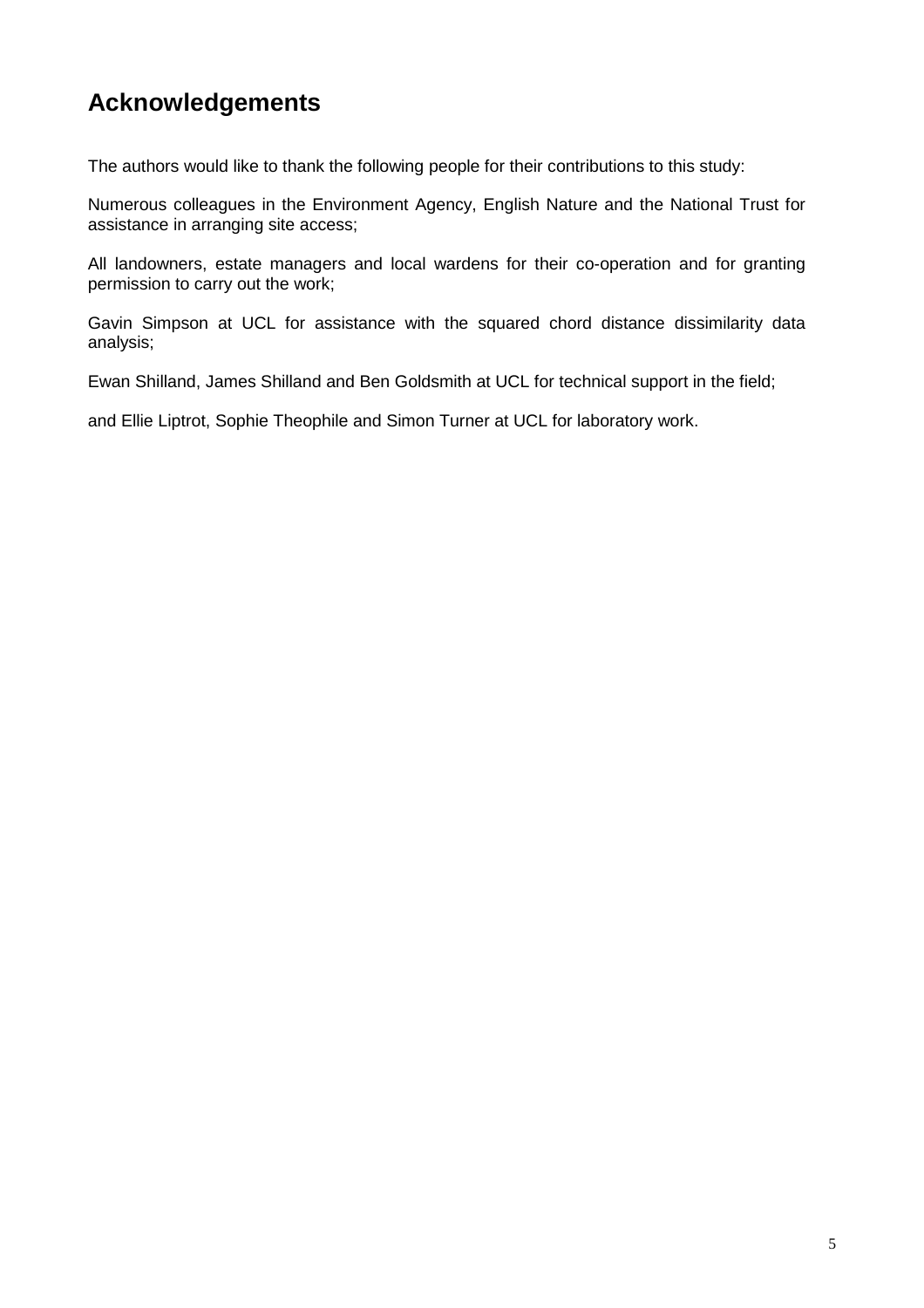## **Acknowledgements**

The authors would like to thank the following people for their contributions to this study:

Numerous colleagues in the Environment Agency, English Nature and the National Trust for assistance in arranging site access;

All landowners, estate managers and local wardens for their co-operation and for granting permission to carry out the work;

Gavin Simpson at UCL for assistance with the squared chord distance dissimilarity data analysis;

Ewan Shilland, James Shilland and Ben Goldsmith at UCL for technical support in the field;

and Ellie Liptrot, Sophie Theophile and Simon Turner at UCL for laboratory work.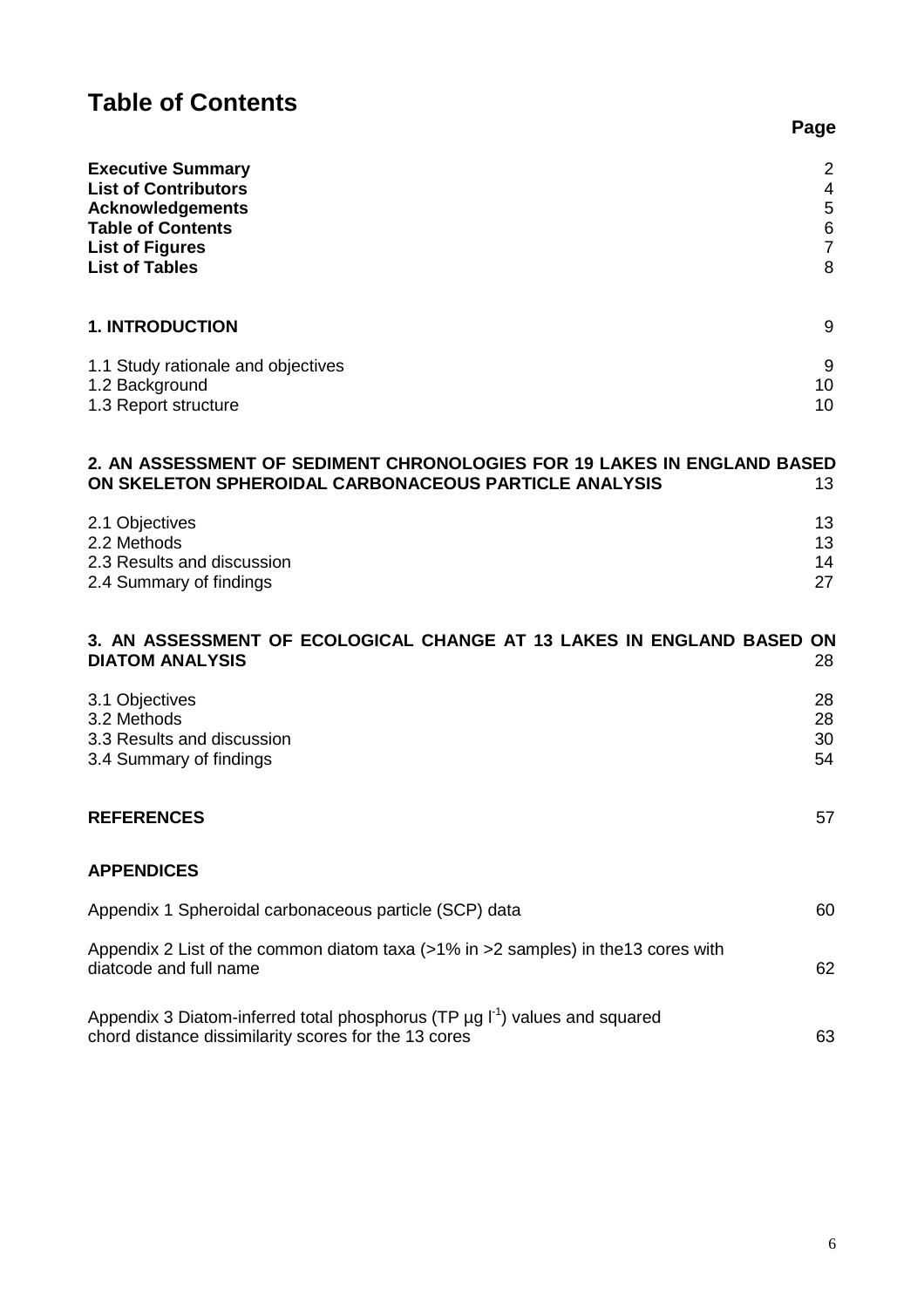## **Table of Contents**

| <b>Executive Summary</b><br><b>List of Contributors</b><br><b>Acknowledgements</b><br><b>Table of Contents</b><br><b>List of Figures</b><br><b>List of Tables</b> | 2<br>4<br>5<br>$\overline{6}$<br>$\overline{7}$<br>8 |
|-------------------------------------------------------------------------------------------------------------------------------------------------------------------|------------------------------------------------------|
| <b>1. INTRODUCTION</b>                                                                                                                                            | 9                                                    |
| 1.1 Study rationale and objectives<br>1.2 Background<br>1.3 Report structure                                                                                      | 9<br>10<br>10                                        |
| 2. AN ASSESSMENT OF SEDIMENT CHRONOLOGIES FOR 19 LAKES IN ENGLAND BASED<br>ON SKELETON SPHEROIDAL CARBONACEOUS PARTICLE ANALYSIS                                  | 13                                                   |
| 2.1 Objectives<br>2.2 Methods<br>2.3 Results and discussion<br>2.4 Summary of findings                                                                            | 13<br>13<br>14<br>27                                 |
| 3. AN ASSESSMENT OF ECOLOGICAL CHANGE AT 13 LAKES IN ENGLAND BASED ON<br><b>DIATOM ANALYSIS</b>                                                                   | 28                                                   |
| 3.1 Objectives<br>3.2 Methods<br>3.3 Results and discussion<br>3.4 Summary of findings                                                                            | 28<br>28<br>30<br>54                                 |
| <b>REFERENCES</b>                                                                                                                                                 | 57                                                   |
| <b>APPENDICES</b>                                                                                                                                                 |                                                      |
| Appendix 1 Spheroidal carbonaceous particle (SCP) data                                                                                                            | 60                                                   |
| Appendix 2 List of the common diatom taxa (>1% in >2 samples) in the13 cores with<br>diatcode and full name                                                       | 62                                                   |
| Appendix 3 Diatom-inferred total phosphorus (TP $\mu$ g $I^1$ ) values and squared<br>chord distance dissimilarity scores for the 13 cores                        | 63                                                   |

**Page**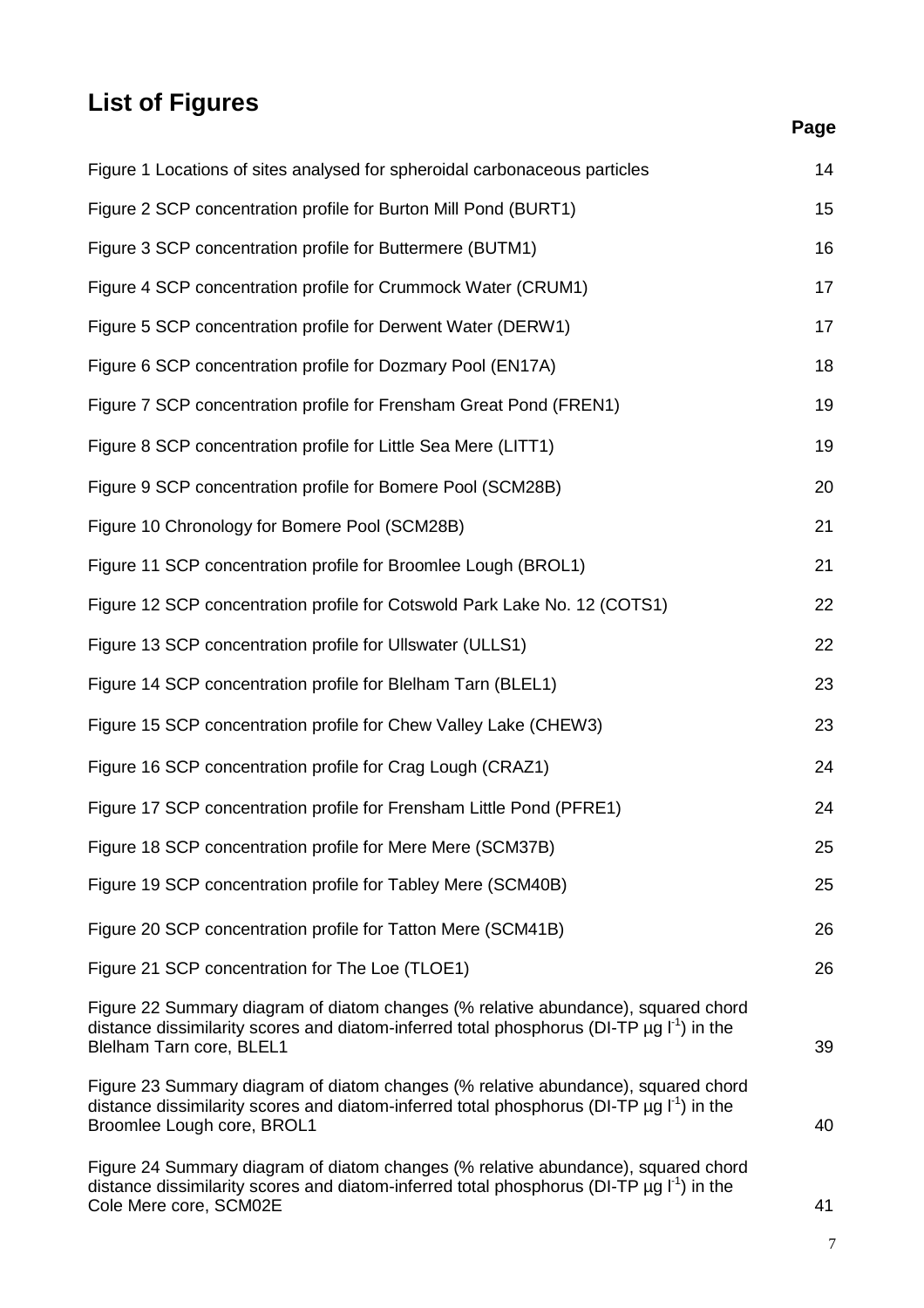## **List of Figures**

## **Page**

| Figure 1 Locations of sites analysed for spheroidal carbonaceous particles                                                                                                                                                    | 14 |
|-------------------------------------------------------------------------------------------------------------------------------------------------------------------------------------------------------------------------------|----|
| Figure 2 SCP concentration profile for Burton Mill Pond (BURT1)                                                                                                                                                               | 15 |
| Figure 3 SCP concentration profile for Buttermere (BUTM1)                                                                                                                                                                     | 16 |
| Figure 4 SCP concentration profile for Crummock Water (CRUM1)                                                                                                                                                                 | 17 |
| Figure 5 SCP concentration profile for Derwent Water (DERW1)                                                                                                                                                                  | 17 |
| Figure 6 SCP concentration profile for Dozmary Pool (EN17A)                                                                                                                                                                   | 18 |
| Figure 7 SCP concentration profile for Frensham Great Pond (FREN1)                                                                                                                                                            | 19 |
| Figure 8 SCP concentration profile for Little Sea Mere (LITT1)                                                                                                                                                                | 19 |
| Figure 9 SCP concentration profile for Bomere Pool (SCM28B)                                                                                                                                                                   | 20 |
| Figure 10 Chronology for Bomere Pool (SCM28B)                                                                                                                                                                                 | 21 |
| Figure 11 SCP concentration profile for Broomlee Lough (BROL1)                                                                                                                                                                | 21 |
| Figure 12 SCP concentration profile for Cotswold Park Lake No. 12 (COTS1)                                                                                                                                                     | 22 |
| Figure 13 SCP concentration profile for Ullswater (ULLS1)                                                                                                                                                                     | 22 |
| Figure 14 SCP concentration profile for Blelham Tarn (BLEL1)                                                                                                                                                                  | 23 |
| Figure 15 SCP concentration profile for Chew Valley Lake (CHEW3)                                                                                                                                                              | 23 |
| Figure 16 SCP concentration profile for Crag Lough (CRAZ1)                                                                                                                                                                    | 24 |
| Figure 17 SCP concentration profile for Frensham Little Pond (PFRE1)                                                                                                                                                          | 24 |
| Figure 18 SCP concentration profile for Mere Mere (SCM37B)                                                                                                                                                                    | 25 |
| Figure 19 SCP concentration profile for Tabley Mere (SCM40B)                                                                                                                                                                  | 25 |
| Figure 20 SCP concentration profile for Tatton Mere (SCM41B)                                                                                                                                                                  | 26 |
| Figure 21 SCP concentration for The Loe (TLOE1)                                                                                                                                                                               | 26 |
| Figure 22 Summary diagram of diatom changes (% relative abundance), squared chord<br>distance dissimilarity scores and diatom-inferred total phosphorus (DI-TP $\mu$ g I <sup>-1</sup> ) in the<br>Blelham Tarn core, BLEL1   | 39 |
| Figure 23 Summary diagram of diatom changes (% relative abundance), squared chord<br>distance dissimilarity scores and diatom-inferred total phosphorus (DI-TP $\mu$ g I <sup>-1</sup> ) in the<br>Broomlee Lough core, BROL1 | 40 |
| Figure 24 Summary diagram of diatom changes (% relative abundance), squared chord<br>distance dissimilarity scores and diatom-inferred total phosphorus (DI-TP $\mu$ g I <sup>-1</sup> ) in the<br>Cole Mere core, SCM02E     | 41 |

7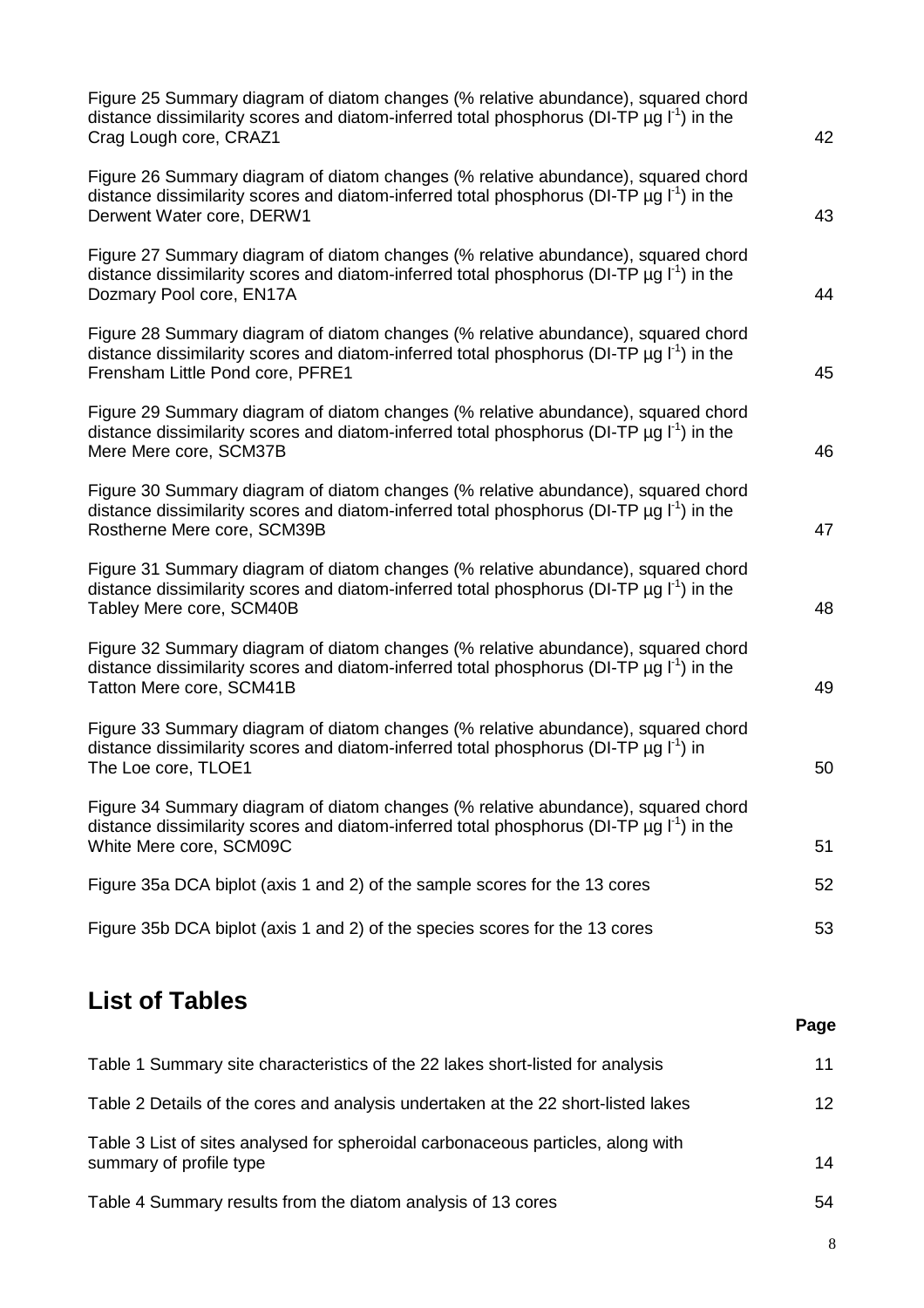| Figure 25 Summary diagram of diatom changes (% relative abundance), squared chord<br>distance dissimilarity scores and diatom-inferred total phosphorus (DI-TP $\mu$ g I <sup>-1</sup> ) in the<br>Crag Lough core, CRAZ1           | 42 |
|-------------------------------------------------------------------------------------------------------------------------------------------------------------------------------------------------------------------------------------|----|
| Figure 26 Summary diagram of diatom changes (% relative abundance), squared chord<br>distance dissimilarity scores and diatom-inferred total phosphorus (DI-TP $\mu$ g I <sup>-1</sup> ) in the<br>Derwent Water core, DERW1        | 43 |
| Figure 27 Summary diagram of diatom changes (% relative abundance), squared chord<br>distance dissimilarity scores and diatom-inferred total phosphorus (DI-TP $\mu$ g $I^1$ ) in the<br>Dozmary Pool core, EN17A                   | 44 |
| Figure 28 Summary diagram of diatom changes (% relative abundance), squared chord<br>distance dissimilarity scores and diatom-inferred total phosphorus (DI-TP $\mu$ g I <sup>-1</sup> ) in the<br>Frensham Little Pond core, PFRE1 | 45 |
| Figure 29 Summary diagram of diatom changes (% relative abundance), squared chord<br>distance dissimilarity scores and diatom-inferred total phosphorus (DI-TP $\mu$ g I <sup>-1</sup> ) in the<br>Mere Mere core, SCM37B           | 46 |
| Figure 30 Summary diagram of diatom changes (% relative abundance), squared chord<br>distance dissimilarity scores and diatom-inferred total phosphorus (DI-TP $\mu$ g I <sup>-1</sup> ) in the<br>Rostherne Mere core, SCM39B      | 47 |
| Figure 31 Summary diagram of diatom changes (% relative abundance), squared chord<br>distance dissimilarity scores and diatom-inferred total phosphorus (DI-TP $\mu$ g I <sup>-1</sup> ) in the<br>Tabley Mere core, SCM40B         | 48 |
| Figure 32 Summary diagram of diatom changes (% relative abundance), squared chord<br>distance dissimilarity scores and diatom-inferred total phosphorus (DI-TP $\mu$ g I <sup>-1</sup> ) in the<br>Tatton Mere core, SCM41B         | 49 |
| Figure 33 Summary diagram of diatom changes (% relative abundance), squared chord<br>distance dissimilarity scores and diatom-inferred total phosphorus (DI-TP $\mu$ g $I^1$ ) in<br>The Loe core, TLOE1                            | 50 |
| Figure 34 Summary diagram of diatom changes (% relative abundance), squared chord<br>distance dissimilarity scores and diatom-inferred total phosphorus (DI-TP $\mu$ g I <sup>-1</sup> ) in the<br>White Mere core, SCM09C          | 51 |
| Figure 35a DCA biplot (axis 1 and 2) of the sample scores for the 13 cores                                                                                                                                                          | 52 |
| Figure 35b DCA biplot (axis 1 and 2) of the species scores for the 13 cores                                                                                                                                                         | 53 |

## **List of Tables**

| Table 1 Summary site characteristics of the 22 lakes short-listed for analysis                              | 11              |
|-------------------------------------------------------------------------------------------------------------|-----------------|
| Table 2 Details of the cores and analysis undertaken at the 22 short-listed lakes                           | 12 <sup>2</sup> |
| Table 3 List of sites analysed for spheroidal carbonaceous particles, along with<br>summary of profile type | 14              |
| Table 4 Summary results from the diatom analysis of 13 cores                                                | 54              |

**Page**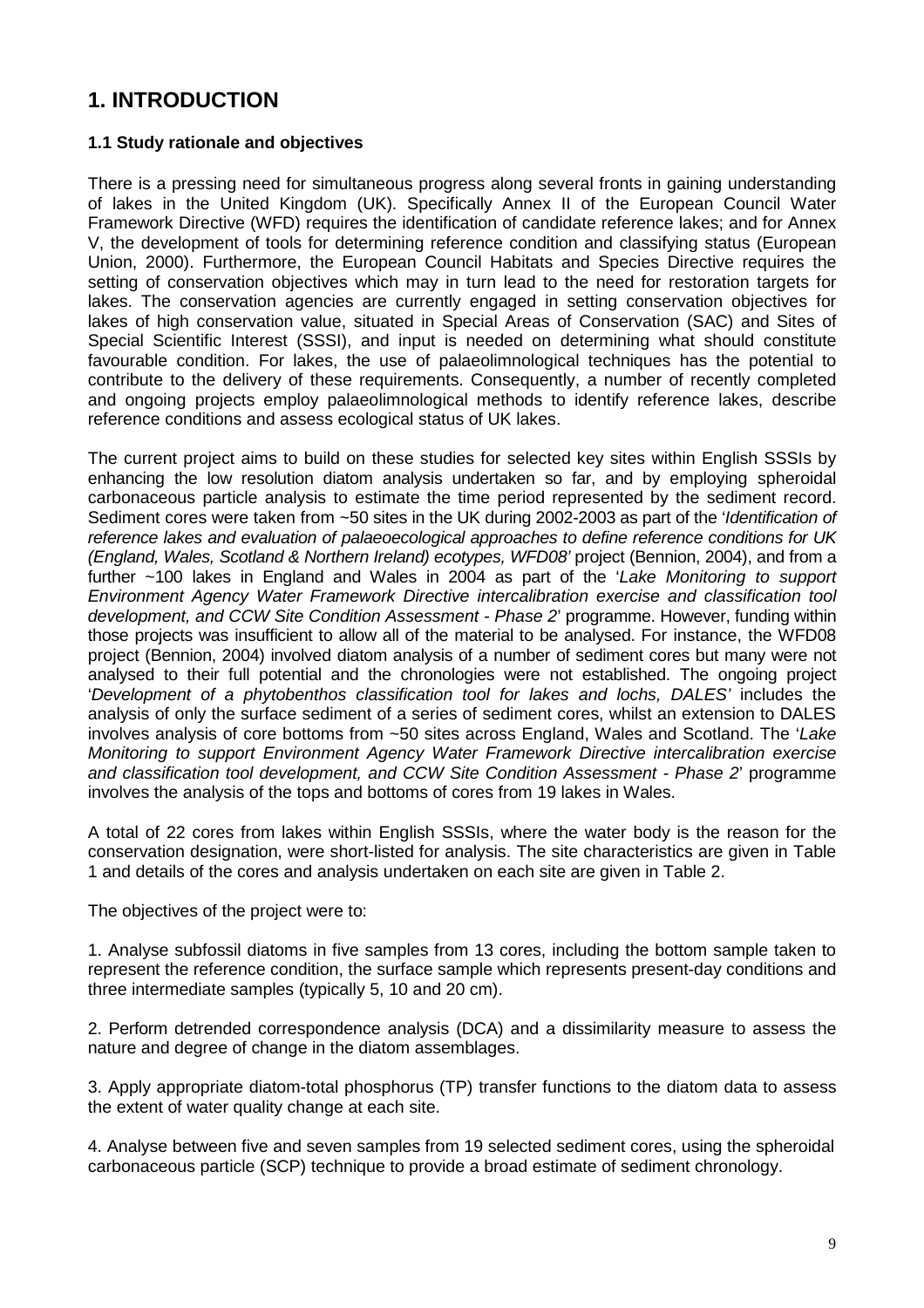## **1. INTRODUCTION**

#### **1.1 Study rationale and objectives**

There is a pressing need for simultaneous progress along several fronts in gaining understanding of lakes in the United Kingdom (UK). Specifically Annex II of the European Council Water Framework Directive (WFD) requires the identification of candidate reference lakes; and for Annex V, the development of tools for determining reference condition and classifying status (European Union, 2000). Furthermore, the European Council Habitats and Species Directive requires the setting of conservation objectives which may in turn lead to the need for restoration targets for lakes. The conservation agencies are currently engaged in setting conservation objectives for lakes of high conservation value, situated in Special Areas of Conservation (SAC) and Sites of Special Scientific Interest (SSSI), and input is needed on determining what should constitute favourable condition. For lakes, the use of palaeolimnological techniques has the potential to contribute to the delivery of these requirements. Consequently, a number of recently completed and ongoing projects employ palaeolimnological methods to identify reference lakes, describe reference conditions and assess ecological status of UK lakes.

The current project aims to build on these studies for selected key sites within English SSSIs by enhancing the low resolution diatom analysis undertaken so far, and by employing spheroidal carbonaceous particle analysis to estimate the time period represented by the sediment record. Sediment cores were taken from ~50 sites in the UK during 2002-2003 as part of the 'Identification of reference lakes and evaluation of palaeoecological approaches to define reference conditions for UK (England, Wales, Scotland & Northern Ireland) ecotypes, WFD08' project (Bennion, 2004), and from a further ~100 lakes in England and Wales in 2004 as part of the 'Lake Monitoring to support Environment Agency Water Framework Directive intercalibration exercise and classification tool development, and CCW Site Condition Assessment - Phase 2' programme. However, funding within those projects was insufficient to allow all of the material to be analysed. For instance, the WFD08 project (Bennion, 2004) involved diatom analysis of a number of sediment cores but many were not analysed to their full potential and the chronologies were not established. The ongoing project 'Development of a phytobenthos classification tool for lakes and lochs, DALES' includes the analysis of only the surface sediment of a series of sediment cores, whilst an extension to DALES involves analysis of core bottoms from ~50 sites across England, Wales and Scotland. The 'Lake Monitoring to support Environment Agency Water Framework Directive intercalibration exercise and classification tool development, and CCW Site Condition Assessment - Phase 2' programme involves the analysis of the tops and bottoms of cores from 19 lakes in Wales.

A total of 22 cores from lakes within English SSSIs, where the water body is the reason for the conservation designation, were short-listed for analysis. The site characteristics are given in Table 1 and details of the cores and analysis undertaken on each site are given in Table 2.

The objectives of the project were to:

1. Analyse subfossil diatoms in five samples from 13 cores, including the bottom sample taken to represent the reference condition, the surface sample which represents present-day conditions and three intermediate samples (typically 5, 10 and 20 cm).

2. Perform detrended correspondence analysis (DCA) and a dissimilarity measure to assess the nature and degree of change in the diatom assemblages.

3. Apply appropriate diatom-total phosphorus (TP) transfer functions to the diatom data to assess the extent of water quality change at each site.

4. Analyse between five and seven samples from 19 selected sediment cores, using the spheroidal carbonaceous particle (SCP) technique to provide a broad estimate of sediment chronology.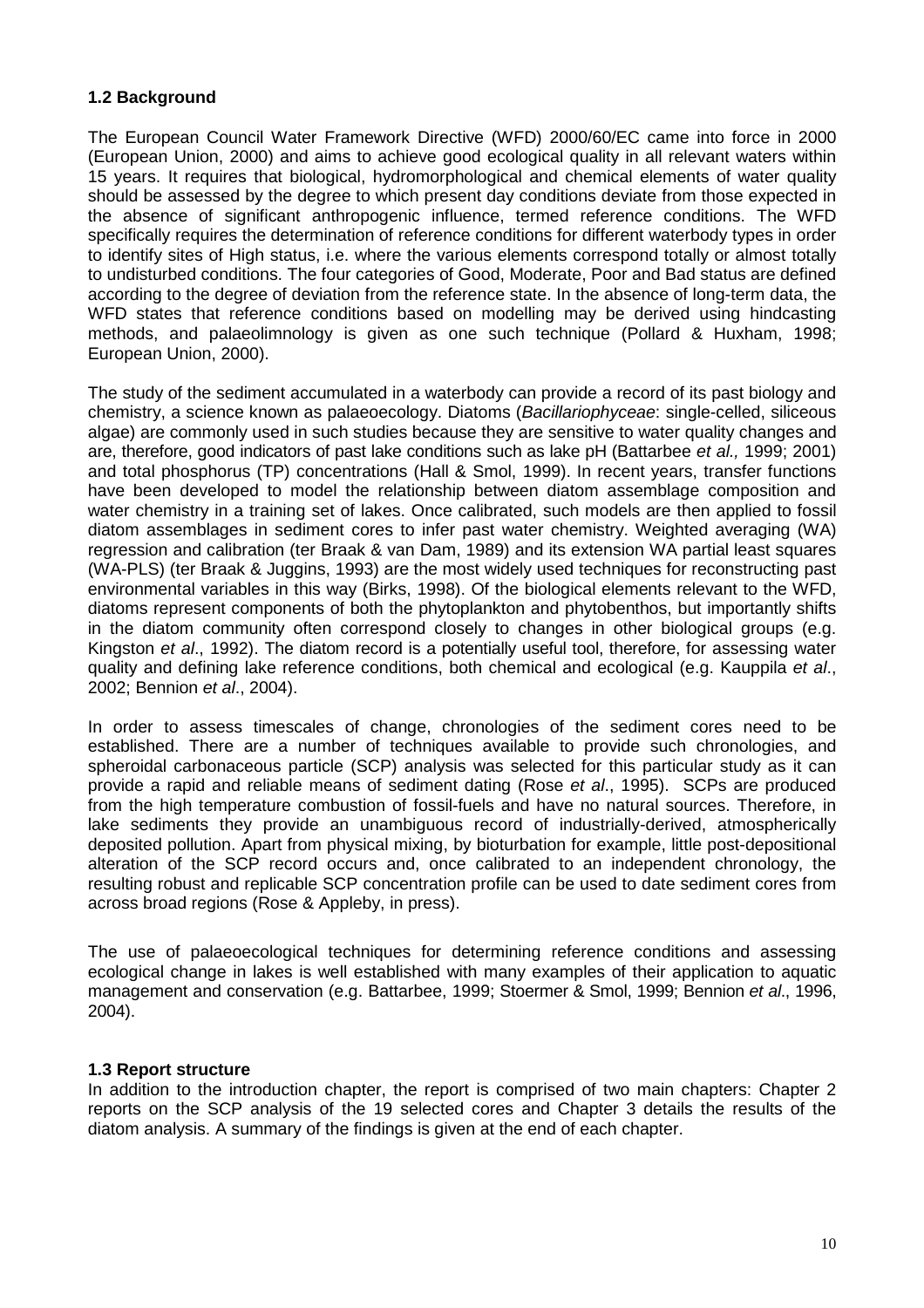#### **1.2 Background**

The European Council Water Framework Directive (WFD) 2000/60/EC came into force in 2000 (European Union, 2000) and aims to achieve good ecological quality in all relevant waters within 15 years. It requires that biological, hydromorphological and chemical elements of water quality should be assessed by the degree to which present day conditions deviate from those expected in the absence of significant anthropogenic influence, termed reference conditions. The WFD specifically requires the determination of reference conditions for different waterbody types in order to identify sites of High status, i.e. where the various elements correspond totally or almost totally to undisturbed conditions. The four categories of Good, Moderate, Poor and Bad status are defined according to the degree of deviation from the reference state. In the absence of long-term data, the WFD states that reference conditions based on modelling may be derived using hindcasting methods, and palaeolimnology is given as one such technique (Pollard & Huxham, 1998; European Union, 2000).

The study of the sediment accumulated in a waterbody can provide a record of its past biology and chemistry, a science known as palaeoecology. Diatoms (Bacillariophyceae: single-celled, siliceous algae) are commonly used in such studies because they are sensitive to water quality changes and are, therefore, good indicators of past lake conditions such as lake pH (Battarbee et al., 1999; 2001) and total phosphorus (TP) concentrations (Hall & Smol, 1999). In recent years, transfer functions have been developed to model the relationship between diatom assemblage composition and water chemistry in a training set of lakes. Once calibrated, such models are then applied to fossil diatom assemblages in sediment cores to infer past water chemistry. Weighted averaging (WA) regression and calibration (ter Braak & van Dam, 1989) and its extension WA partial least squares (WA-PLS) (ter Braak & Juggins, 1993) are the most widely used techniques for reconstructing past environmental variables in this way (Birks, 1998). Of the biological elements relevant to the WFD, diatoms represent components of both the phytoplankton and phytobenthos, but importantly shifts in the diatom community often correspond closely to changes in other biological groups (e.g. Kingston et al., 1992). The diatom record is a potentially useful tool, therefore, for assessing water quality and defining lake reference conditions, both chemical and ecological (e.g. Kauppila et al., 2002; Bennion et al., 2004).

In order to assess timescales of change, chronologies of the sediment cores need to be established. There are a number of techniques available to provide such chronologies, and spheroidal carbonaceous particle (SCP) analysis was selected for this particular study as it can provide a rapid and reliable means of sediment dating (Rose et al., 1995). SCPs are produced from the high temperature combustion of fossil-fuels and have no natural sources. Therefore, in lake sediments they provide an unambiguous record of industrially-derived, atmospherically deposited pollution. Apart from physical mixing, by bioturbation for example, little post-depositional alteration of the SCP record occurs and, once calibrated to an independent chronology, the resulting robust and replicable SCP concentration profile can be used to date sediment cores from across broad regions (Rose & Appleby, in press).

The use of palaeoecological techniques for determining reference conditions and assessing ecological change in lakes is well established with many examples of their application to aquatic management and conservation (e.g. Battarbee, 1999; Stoermer & Smol, 1999; Bennion et al., 1996, 2004).

#### **1.3 Report structure**

In addition to the introduction chapter, the report is comprised of two main chapters: Chapter 2 reports on the SCP analysis of the 19 selected cores and Chapter 3 details the results of the diatom analysis. A summary of the findings is given at the end of each chapter.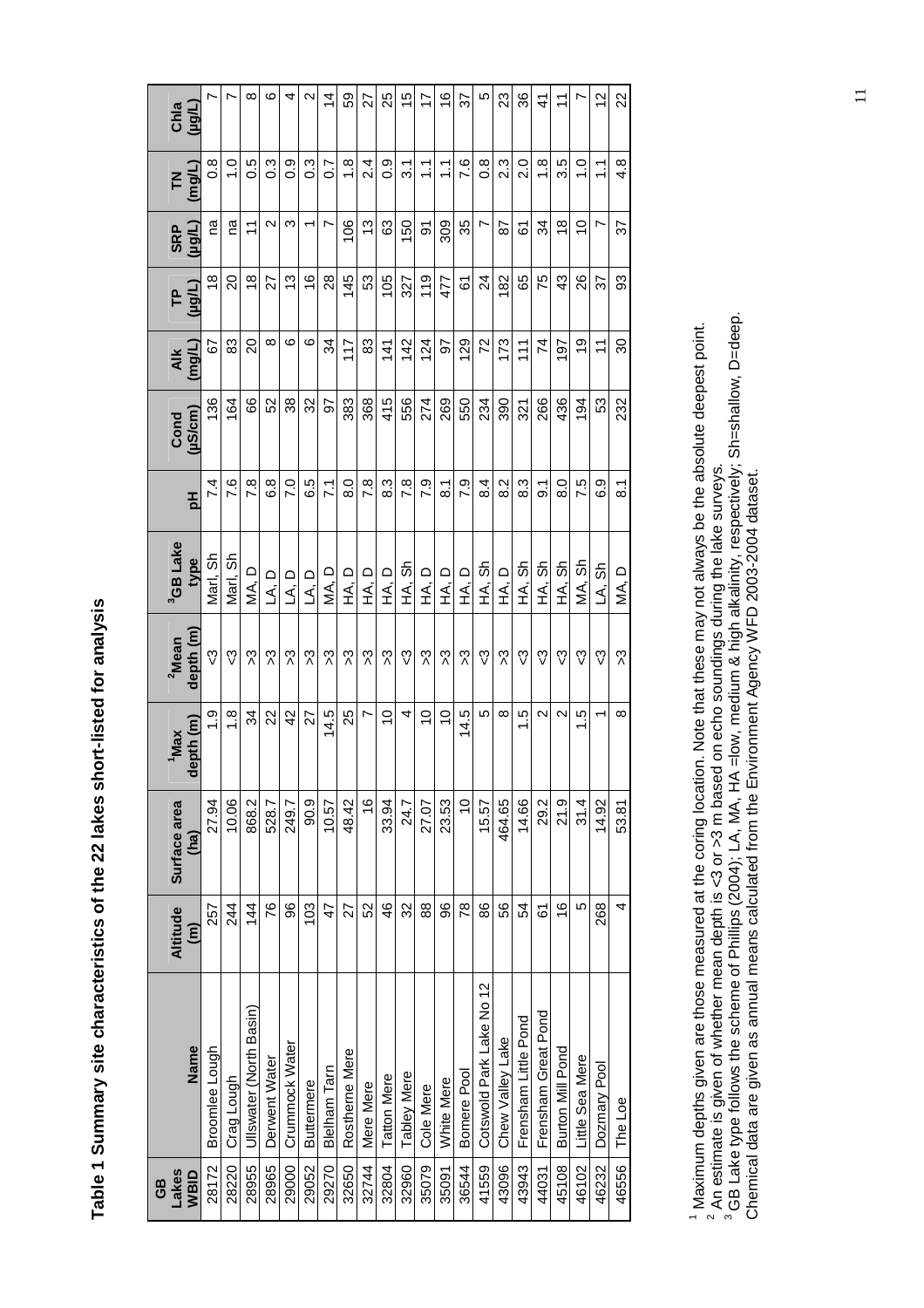| Lakes<br>GB |                          | Altitude             | Surface area   | 'Max              | <sup>2</sup> Mean | <sup>3</sup> GB Lake |                    | Cond   | $\overline{AB}$ | <u>բ</u>       | <b>SRP</b>        | $\mathsf{K}$          | Chla              |
|-------------|--------------------------|----------------------|----------------|-------------------|-------------------|----------------------|--------------------|--------|-----------------|----------------|-------------------|-----------------------|-------------------|
| <b>NBID</b> | Name                     | $\widehat{\epsilon}$ | (ha)           | depth (m)         | depth (m)         | type                 | 핌                  | uS/cm) | (mg/L)          | $($ Hg/L)      | (Hom)             | (mg/L)                | (Hôrl)            |
| 28172       | <b>Broomlee Lough</b>    | 257                  | 27.94          | ი<br>1            | ్చి               | Marl, Sh             | 74                 | 136    | 59              | $\frac{8}{3}$  | ma                | 8.o                   |                   |
| 28220       | Crag Lough               | 244                  | 10.06          | $\frac{8}{1}$     | స                 | Marl, Sh             | 7.6                | 164    | 83              | $\overline{6}$ | ma                | $\frac{0}{1}$         |                   |
| 28955       | Ullswater (North Basin)  | 144                  | 868.2          | ಸ                 | న                 | ∩<br>∖A              | 7.8                | 88     | 20              | $\frac{8}{3}$  | $\overline{1}$    | 0.5                   | $\infty$          |
| 28965       | Derwent Water            | 76                   | 528.7          | 22                | న                 | ۵<br>ک               | 6.8                | 52     | $\infty$        | 27             | $\mathbf{\Omega}$ | c3                    | ဖ                 |
| 29000       | Crummock Water           | 96                   | 249.7          | $\overline{4}$    | న                 | ם بک                 | $\overline{C}$     | 38     | ဖ               | 13             | ω                 | 0.0                   | 4                 |
| 29052       | <b>Buttermere</b>        | 103                  | 90.9           | 27                | న                 | ם بک                 | 6.5                | 32     | ဖ               | 16             |                   | ი<br>ი                | $\mathbf{\Omega}$ |
| 29270       | Blelham<br>Tarn          | 47                   | 10.57          | 14.5              | న                 | $\Box$<br>∕<br>≶     | $\overline{71}$    | 56     | 34              | $\frac{8}{2}$  | r                 | $\overline{0}$        | $\overline{4}$    |
| 32650       | Rostheme Mere            | 27                   | 48.42          | 25                | న                 | ロミ                   | $\frac{0}{8}$      | 383    | 117             | 145            | 106               | $\frac{8}{1}$         | SS                |
| 32744       | Mere Mere                | 52                   | $\frac{6}{5}$  | L                 | న                 | ロミ                   | $\overline{7.8}$   | 368    | 83              | 53             | $\frac{3}{2}$     | 2.4                   | 22                |
| 32804       | <b>Tatton Mere</b>       | 46                   | 33.94          | $\overline{0}$    | న                 | ロミ                   | 8.3                | 415    | 141             | 105            | 63                | ၀့                    | 25                |
| 32960       | <b>Tabley Mere</b>       | 32                   | 24.7           | 4                 | స                 | HA, Sh               | 7.8                | 556    | 142             | 327            | 150               | $\overline{3}$ .      | 15                |
| 35079       | Cole Mere                | $\frac{8}{8}$        | 27.07          | $\overline{C}$    | న                 | ロミ                   | <b>P.3</b>         | 274    | 124             | 119            | 5                 | $\tilde{\mathcal{L}}$ | 17                |
| 35091       | White Mere               | 96                   | 23.53          | $\overline{0}$    | న                 | ロミ                   | $\overline{\circ}$ | 269    | 56              | 477            | 309               | $\tilde{\mathcal{L}}$ | $\frac{6}{5}$     |
| 36544       | Bomere Pool              | 78                   | $\overline{0}$ | 14.5              | న                 | ロミ                   | 7.9                | 550    | 129             | 67             | 35                | 7.6                   | 57                |
| 41559       | Cotswold Park Lake No 12 | 86                   | 15.57          | 5                 | స                 | 出处<br>上              | $\frac{4}{8}$      | 234    | 72              | $\overline{2}$ | r                 | 8.O                   | ю                 |
| 43096       | Chew Valley Lake         | 56                   | 464.65         | $\infty$          | న                 | ロミ                   | 8.2                | 390    | 173             | 182            | 28                | 23                    | ಔ                 |
| 43943       | Frensham Little Pond     | 54                   | 14.66          | r.<br>۳           | స                 | HA, Sh               | 8.3                | 321    | 111             | 65             | 61                | 2.0                   | 36                |
| 44031       | Frensham Great Pond      | 61                   | 29.2           | 2                 | స                 | HA, Sh               | 5.                 | 266    | 74              | 75             | 34                | $\frac{8}{1}$         | 4                 |
| 45108       | Burton Mill Pond         | $\frac{6}{5}$        | 21.9           | $\mathbf{\Omega}$ | က္ပ               | HA, Sh               | $\frac{0}{8}$      | 436    | 197             | $\frac{3}{4}$  | $\frac{8}{1}$     | 3.5                   | $\overline{1}$    |
| 46102       | Little Sea Mere          | 5                    | 31.4           | r.<br>÷           | က္ပ               | MA, Sh               | 7.5                | 194    | Q)              | 26             | $\frac{1}{2}$     | $\frac{1}{2}$         |                   |
| 46232       | Dozmary Pool             | 268                  | 14.92          | $\overline{ }$    | స                 | LA, Sh               | დ<br>დ             | S3     | $\overline{1}$  | 22             | r                 | $\tilde{\mathcal{L}}$ | 27                |
| 46556       | The Loe                  | 4                    | 53.81          | $\infty$          | న                 | $\bigcirc$<br>Ś,     | $\overline{8}$ .   | 232    | 30              | 33             | 57                | $4.\overline{8}$      | 22                |

Table 1 Summary site characteristics of the 22 lakes short-listed for analysis **Table 1 Summary site characteristics of the 22 lakes short-listed for analysis** 

<sup>1</sup> Maximum depths given are those measured at the coring location. Note that these may not always be the absolute deepest point.<br><sup>2</sup> An estimate is given of whether mean depth is <3 or >3 m based on echo soundings during <sup>1</sup> Maximum depths given are those measured at the coring location. Note that these may not always be the absolute deepest point.<br><sup>2</sup> An estimate is given of whether mean depth is <3 or >3 m based on echo soundings during Chemical data are given as annual means calculated from the Environment Agency WFD 2003-2004 dataset.

11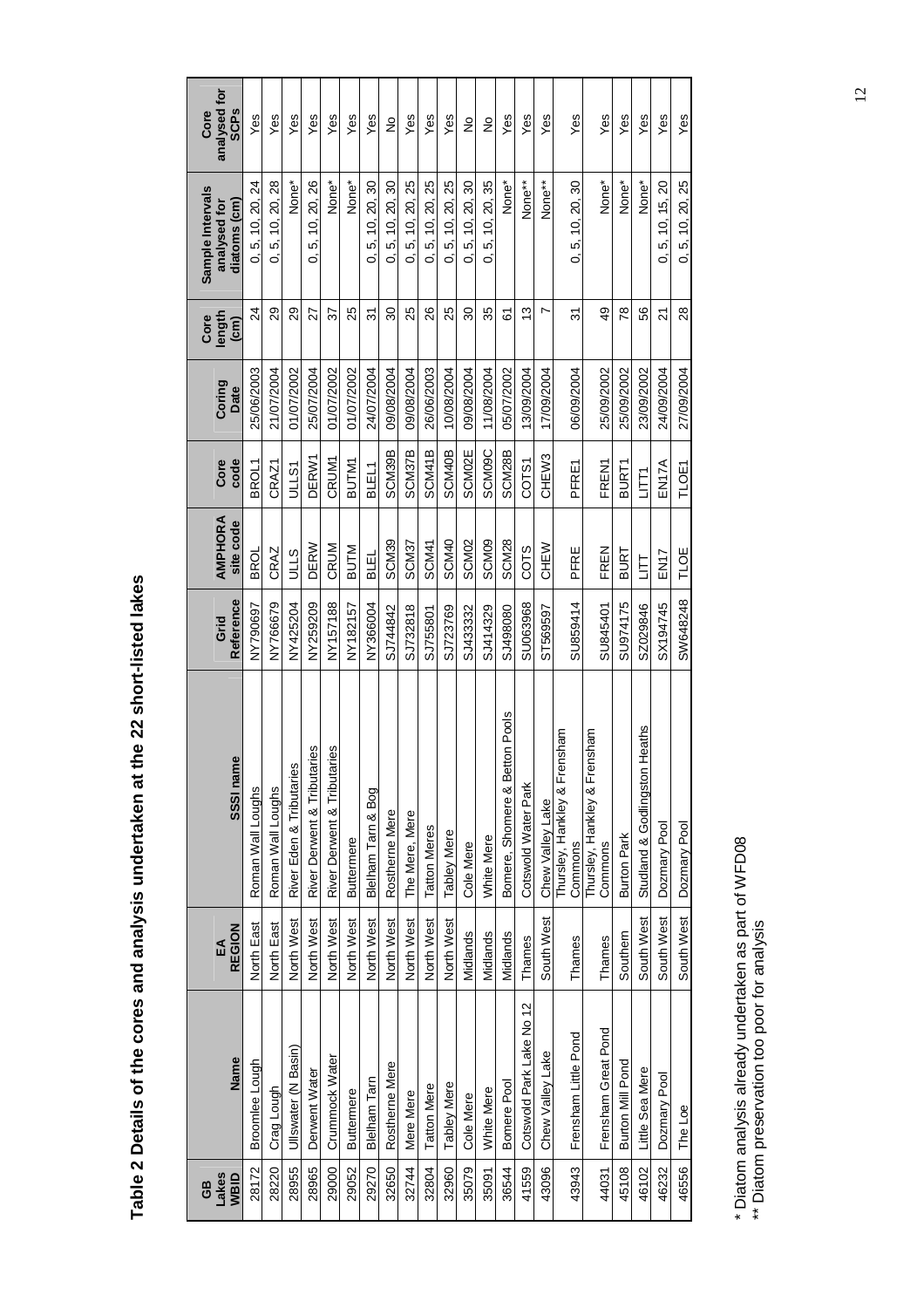| Lakes<br>WBID<br>6B | <b>Name</b>              | <b>REGION</b><br>EA | SSSI name                               | Reference<br>Grid | <b>AMPHORA</b><br>site code | Core<br>code       | Coring<br>Date | length<br>Core<br>$\overline{\text{cm}}$ | Sample Intervals<br>diatoms (cm)<br>analysed for | analysed for<br><b>SCPs</b><br>Core |
|---------------------|--------------------------|---------------------|-----------------------------------------|-------------------|-----------------------------|--------------------|----------------|------------------------------------------|--------------------------------------------------|-------------------------------------|
| 28172               | <b>Broomlee Lough</b>    | North East          | Roman Wall Loughs                       | NY790697          | <b>BROL</b>                 | BROL1              | 25/06/2003     | 24                                       | 0, 5, 10, 20, 24                                 | Yes                                 |
| 28220               | Crag Lough               | North East          | Roman Wall Loughs                       | NY766679          | CRAZ                        | CRAZ1              | 21/07/2004     | 29                                       | 10, 20, 28<br>$\mathfrak{s}$<br>င                | Yes                                 |
| 28955               | Ullswater (N Basin)      | North West          | River Eden & Tributaries                | NY425204          | <b>OLLS</b>                 | <b>JLLS1</b>       | 01/07/2002     | 29                                       | None*                                            | Yes                                 |
| 28965               | Derwent Water            | North West          | River Derwent & Tributaries             | NY259209          | DERW                        | DERW1              | 25/07/2004     | 27                                       | 10, 20, 26<br>ιó<br>6                            | Yes                                 |
| 29000               | Crummock Water           | North West          | aries<br>River Derwent & Tribut         | NY157188          | CRUM                        | <b>CRUM1</b>       | 01/07/2002     | 22                                       | None*                                            | Yes                                 |
| 29052               | Buttermere               | North West          | <b>Buttermere</b>                       | NY182157          | <b>BUTM</b>                 | <b>BUTM1</b>       | 01/07/2002     | 25                                       | None*                                            | Yes                                 |
| 29270               | <b>Blelham Tarn</b>      | North West          | Blelham Tarn & Bog                      | NY366004          | <b>BLEL</b>                 | BLEL1              | 24/07/2004     | 31                                       | 0, 5, 10, 20, 30                                 | Yes                                 |
| 32650               | Rostherne Mere           | North West          | Rostherne Mere                          | SJ744842          | SCM39                       | SCM39B             | 09/08/2004     | 30                                       | 0, 5, 10, 20, 30                                 | ş                                   |
| 32744               | Mere Mere                | North West          | The Mere, Mere                          | SJ732818          | SCM <sub>37</sub>           | SCM37B             | 09/08/2004     | 25                                       | 0, 5, 10, 20, 25                                 | Yes                                 |
| 32804               | <b>Tatton Mere</b>       | North West          | <b>Tatton Meres</b>                     | SJ755801          | SCM41                       | SCM41B             | 26/06/2003     | 26                                       | 0, 5, 10, 20, 25                                 | Yes                                 |
| 32960               | <b>Tabley Mere</b>       | North West          | Tabley Mere                             | SJ723769          | SCM40                       | SCM40B             | 10/08/2004     | 25                                       | 0, 5, 10, 20, 25                                 | Yes                                 |
| 35079               | Cole Mere                | Midlands            | Cole Mere                               | SJ433332          | SCM <sub>02</sub>           | SCM02E             | 09/08/2004     | 30                                       | 0, 5, 10, 20, 30                                 | $\frac{1}{2}$                       |
| 35091               | White Mere               | Midlands            | White Mere                              | SJ414329          | <b>SCMO9</b>                | <b>SCMO9C</b>      | 11/08/2004     | 35                                       | 0, 5, 10, 20, 35                                 | $\frac{1}{2}$                       |
| 36544               | Bomere Pool              | Midlands            | stton Pools<br>Bomere, Shomere & Be     | SJ498080          | SCM <sub>28</sub>           | SCM28B             | 05/07/2002     | 6                                        | None*                                            | Yes                                 |
| 41559               | Cotswold Park Lake No 12 | Thames              | Cotswold Water Park                     | SU063968          | COTS                        | COTS1              | 13/09/2004     | 13                                       | None <sup>**</sup>                               | Yes                                 |
| 43096               | Chew Valley Lake         | South West          | Chew Valley Lake                        | ST569597          | <b>NARY</b>                 | CHEW <sub>3</sub>  | 17/09/2004     | r                                        | None <sup>**</sup>                               | Yes                                 |
| 43943               | Frensham Little Pond     | Thames              | Thursley, Hankley & Frensham<br>Commons | SU859414          | PFRE                        | PFRE1              | 06/09/2004     | 75                                       | 0, 5, 10, 20, 30                                 | Yes                                 |
| 44031               | Frensham Great Pond      | Thames              | Thursley, Hankley & Frensham<br>Commons | SU845401          | FREN                        | <b>FREN1</b>       | 25/09/2002     | 49                                       | None*                                            | Yes                                 |
| 45108               | Burton Mill Pond         | Southern            | Burton Park                             | SU974175          | BURT                        | BURT1              | 25/09/2002     | 78                                       | None*                                            | Yes                                 |
| 46102               | Little Sea Mere          | South West          | h Heaths<br>Studland & Godlingstor      | SZ029846          | È                           | LITT               | 23/09/2002     | 56                                       | None*                                            | Yes                                 |
| 46232               | Dozmary Pool             | South West          | Dozmary Pool                            | SX194745          | EN17                        | EN <sub>17</sub> A | 24/09/2004     | 21                                       | 0, 5, 10, 15, 20                                 | Yes                                 |
| 46556               | The Loe                  | South West          | Dozmary Pool                            | SW648248          | TLOE                        | TLOE1              | 27/09/2004     | $\frac{8}{2}$                            | 0, 5, 10, 20, 25                                 | Yes                                 |

Table 2 Details of the cores and analysis undertaken at the 22 short-listed lakes **Table 2 Details of the cores and analysis undertaken at the 22 short-listed lakes** 

\* Diatom analysis already undertaken as part of WFD08<br>\*\* Diatom preservation too poor for analysis \* Diatom analysis already undertaken as part of WFD08 \*\* Diatom preservation too poor for analysis

12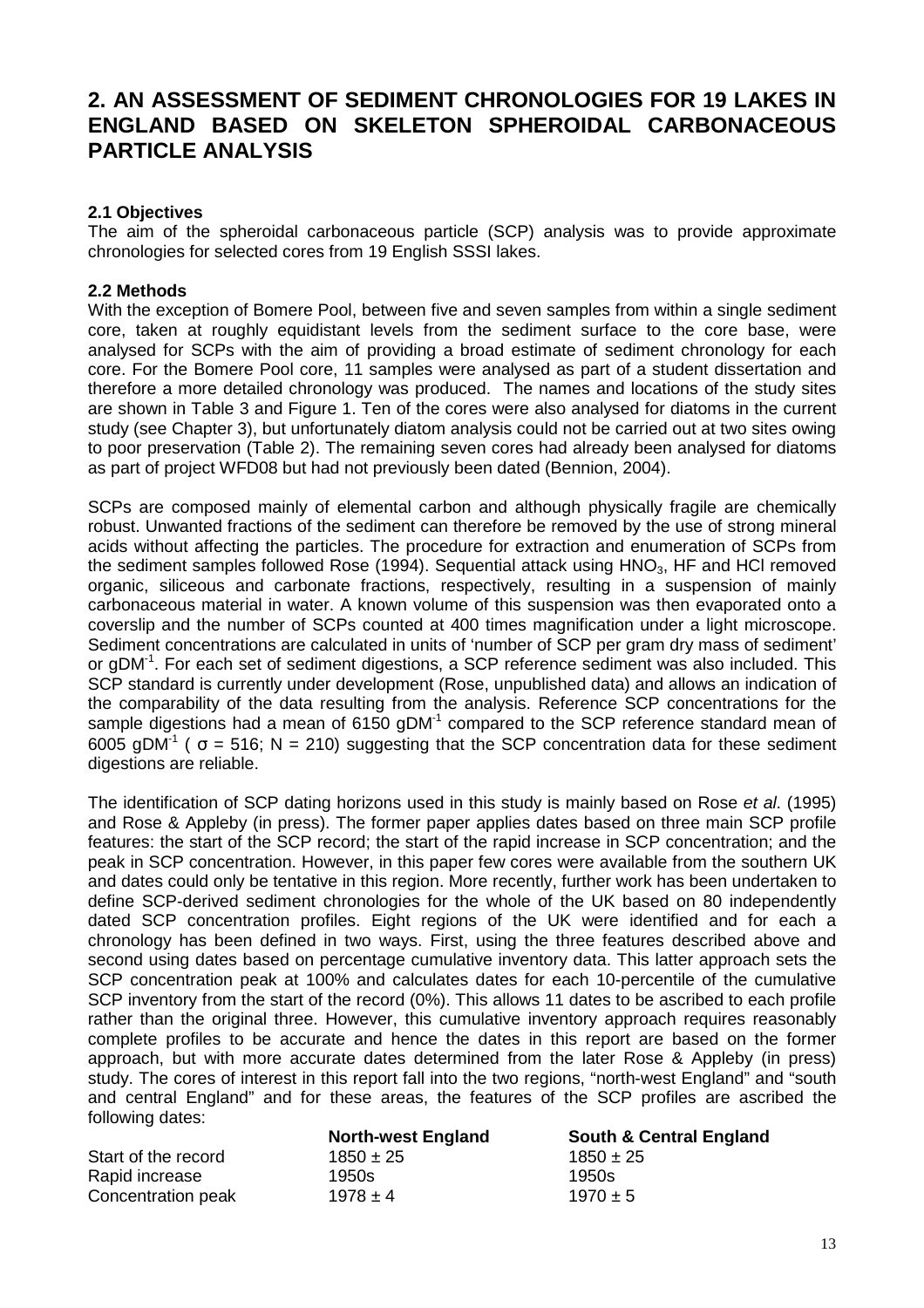#### **2. AN ASSESSMENT OF SEDIMENT CHRONOLOGIES FOR 19 LAKES IN ENGLAND BASED ON SKELETON SPHEROIDAL CARBONACEOUS PARTICLE ANALYSIS**

#### **2.1 Objectives**

The aim of the spheroidal carbonaceous particle (SCP) analysis was to provide approximate chronologies for selected cores from 19 English SSSI lakes.

#### **2.2 Methods**

With the exception of Bomere Pool, between five and seven samples from within a single sediment core, taken at roughly equidistant levels from the sediment surface to the core base, were analysed for SCPs with the aim of providing a broad estimate of sediment chronology for each core. For the Bomere Pool core, 11 samples were analysed as part of a student dissertation and therefore a more detailed chronology was produced. The names and locations of the study sites are shown in Table 3 and Figure 1. Ten of the cores were also analysed for diatoms in the current study (see Chapter 3), but unfortunately diatom analysis could not be carried out at two sites owing to poor preservation (Table 2). The remaining seven cores had already been analysed for diatoms as part of project WFD08 but had not previously been dated (Bennion, 2004).

SCPs are composed mainly of elemental carbon and although physically fragile are chemically robust. Unwanted fractions of the sediment can therefore be removed by the use of strong mineral acids without affecting the particles. The procedure for extraction and enumeration of SCPs from the sediment samples followed Rose (1994). Sequential attack using  $HNO<sub>3</sub>$ , HF and HCl removed organic, siliceous and carbonate fractions, respectively, resulting in a suspension of mainly carbonaceous material in water. A known volume of this suspension was then evaporated onto a coverslip and the number of SCPs counted at 400 times magnification under a light microscope. Sediment concentrations are calculated in units of 'number of SCP per gram dry mass of sediment' or gDM<sup>-1</sup>. For each set of sediment digestions, a SCP reference sediment was also included. This SCP standard is currently under development (Rose, unpublished data) and allows an indication of the comparability of the data resulting from the analysis. Reference SCP concentrations for the sample digestions had a mean of 6150 gDM<sup>-1</sup> compared to the SCP reference standard mean of 6005 gDM<sup>-1</sup> (  $\sigma$  = 516; N = 210) suggesting that the SCP concentration data for these sediment digestions are reliable.

The identification of SCP dating horizons used in this study is mainly based on Rose et al. (1995) and Rose & Appleby (in press). The former paper applies dates based on three main SCP profile features: the start of the SCP record; the start of the rapid increase in SCP concentration; and the peak in SCP concentration. However, in this paper few cores were available from the southern UK and dates could only be tentative in this region. More recently, further work has been undertaken to define SCP-derived sediment chronologies for the whole of the UK based on 80 independently dated SCP concentration profiles. Eight regions of the UK were identified and for each a chronology has been defined in two ways. First, using the three features described above and second using dates based on percentage cumulative inventory data. This latter approach sets the SCP concentration peak at 100% and calculates dates for each 10-percentile of the cumulative SCP inventory from the start of the record (0%). This allows 11 dates to be ascribed to each profile rather than the original three. However, this cumulative inventory approach requires reasonably complete profiles to be accurate and hence the dates in this report are based on the former approach, but with more accurate dates determined from the later Rose & Appleby (in press) study. The cores of interest in this report fall into the two regions, "north-west England" and "south and central England" and for these areas, the features of the SCP profiles are ascribed the following dates:

|                     | <b>North-west England</b> | <b>South &amp; Central England</b> |
|---------------------|---------------------------|------------------------------------|
| Start of the record | $1850 \pm 25$             | $1850 \pm 25$                      |
| Rapid increase      | 1950s                     | 1950s                              |
| Concentration peak  | $1978 \pm 4$              | $1970 \pm 5$                       |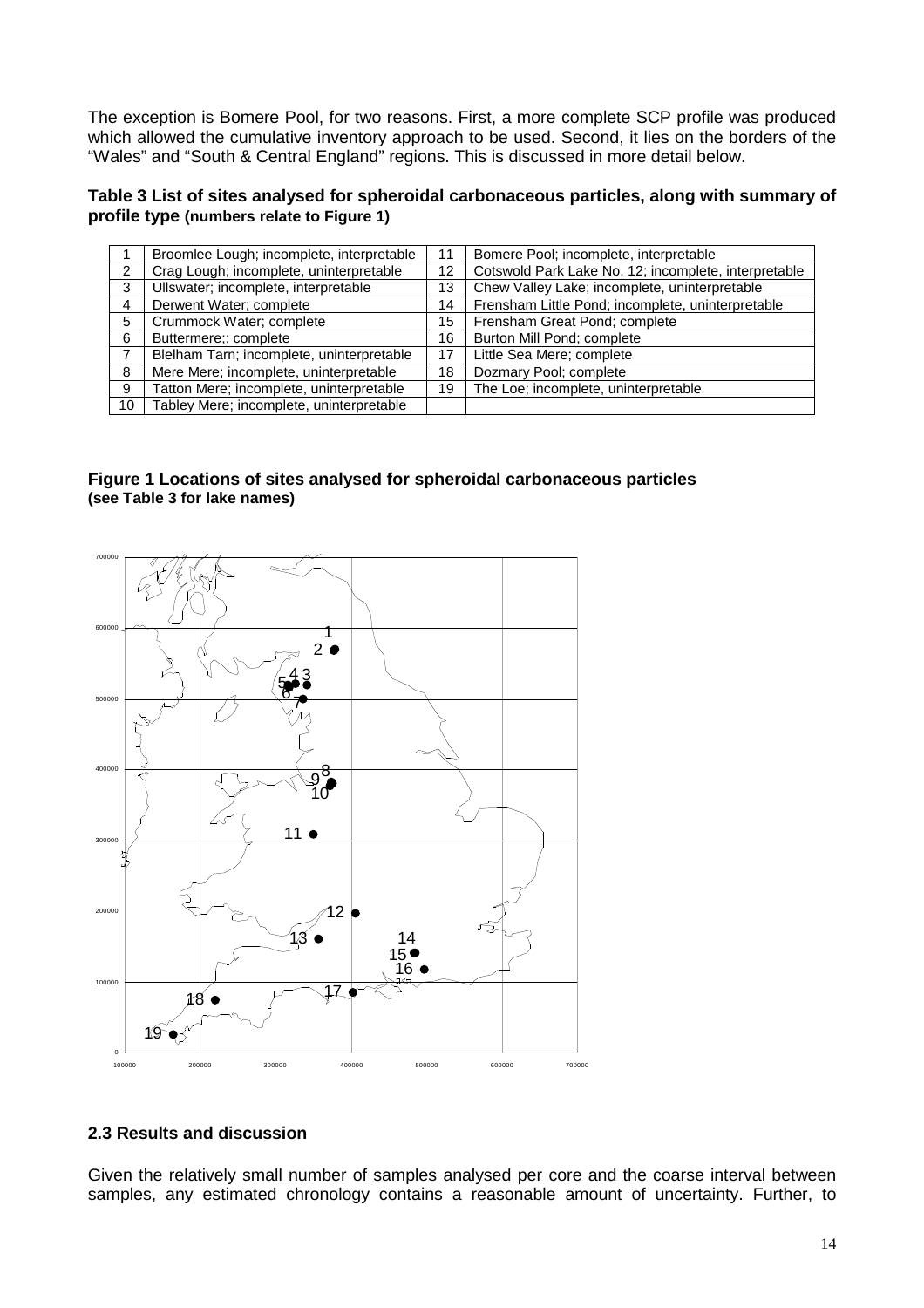The exception is Bomere Pool, for two reasons. First, a more complete SCP profile was produced which allowed the cumulative inventory approach to be used. Second, it lies on the borders of the "Wales" and "South & Central England" regions. This is discussed in more detail below.

#### **Table 3 List of sites analysed for spheroidal carbonaceous particles, along with summary of profile type (numbers relate to Figure 1)**

|    | Broomlee Lough; incomplete, interpretable |    | Bomere Pool; incomplete, interpretable               |
|----|-------------------------------------------|----|------------------------------------------------------|
| 2  | Crag Lough; incomplete, uninterpretable   | 12 | Cotswold Park Lake No. 12; incomplete, interpretable |
| 3  | Ullswater; incomplete, interpretable      | 13 | Chew Valley Lake; incomplete, uninterpretable        |
| 4  | Derwent Water; complete                   | 14 | Frensham Little Pond; incomplete, uninterpretable    |
| 5  | Crummock Water; complete                  | 15 | Frensham Great Pond; complete                        |
| 6  | Buttermere;; complete                     | 16 | Burton Mill Pond; complete                           |
|    | Blelham Tarn; incomplete, uninterpretable | 17 | Little Sea Mere; complete                            |
| 8  | Mere Mere; incomplete, uninterpretable    | 18 | Dozmary Pool; complete                               |
| 9  | Tatton Mere; incomplete, uninterpretable  | 19 | The Loe; incomplete, uninterpretable                 |
| 10 | Tabley Mere; incomplete, uninterpretable  |    |                                                      |

#### **Figure 1 Locations of sites analysed for spheroidal carbonaceous particles (see Table 3 for lake names)**



#### **2.3 Results and discussion**

Given the relatively small number of samples analysed per core and the coarse interval between samples, any estimated chronology contains a reasonable amount of uncertainty. Further, to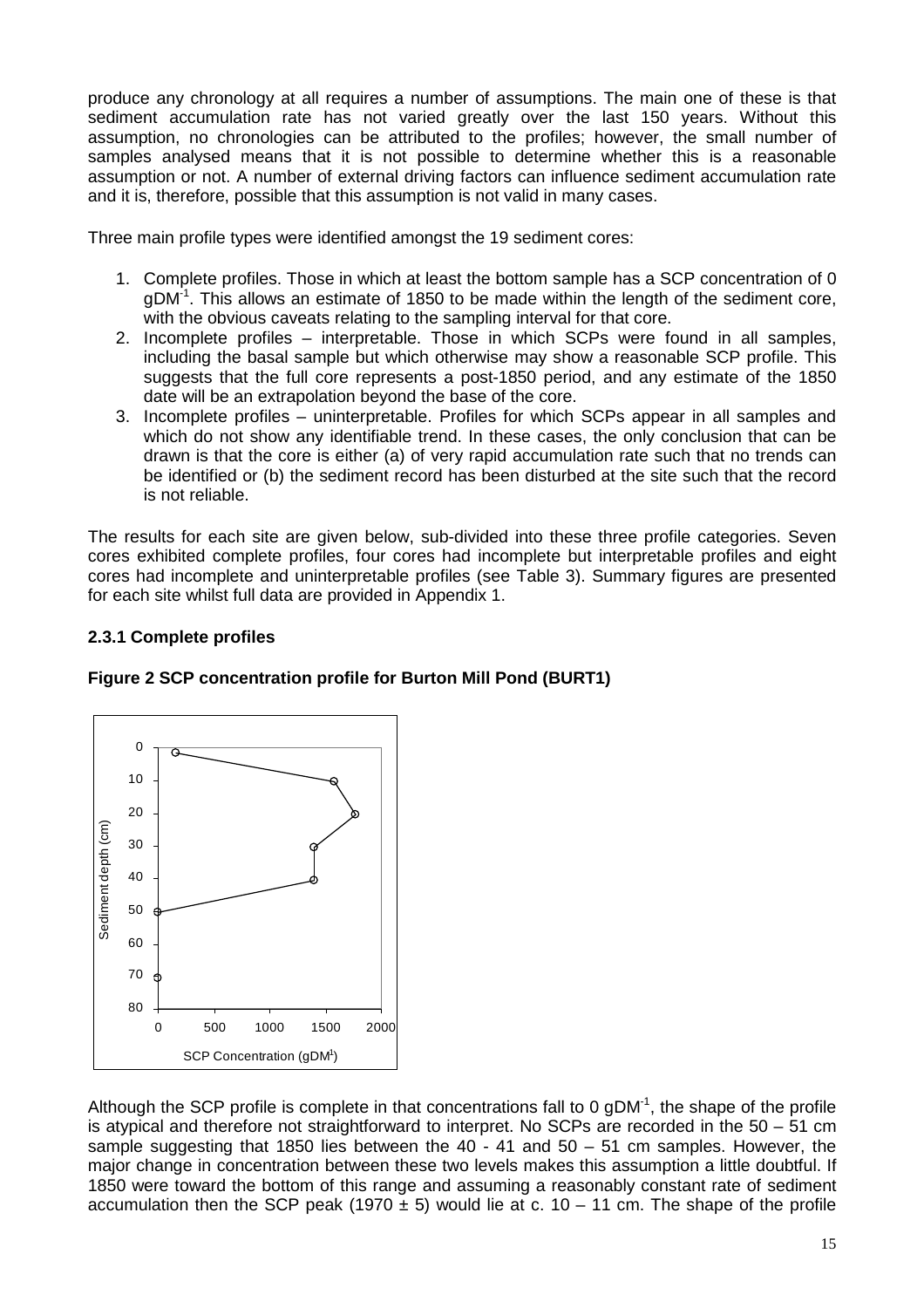produce any chronology at all requires a number of assumptions. The main one of these is that sediment accumulation rate has not varied greatly over the last 150 years. Without this assumption, no chronologies can be attributed to the profiles; however, the small number of samples analysed means that it is not possible to determine whether this is a reasonable assumption or not. A number of external driving factors can influence sediment accumulation rate and it is, therefore, possible that this assumption is not valid in many cases.

Three main profile types were identified amongst the 19 sediment cores:

- 1. Complete profiles. Those in which at least the bottom sample has a SCP concentration of 0  $qDM<sup>-1</sup>$ . This allows an estimate of 1850 to be made within the length of the sediment core, with the obvious caveats relating to the sampling interval for that core.
- 2. Incomplete profiles interpretable. Those in which SCPs were found in all samples, including the basal sample but which otherwise may show a reasonable SCP profile. This suggests that the full core represents a post-1850 period, and any estimate of the 1850 date will be an extrapolation beyond the base of the core.
- 3. Incomplete profiles uninterpretable. Profiles for which SCPs appear in all samples and which do not show any identifiable trend. In these cases, the only conclusion that can be drawn is that the core is either (a) of very rapid accumulation rate such that no trends can be identified or (b) the sediment record has been disturbed at the site such that the record is not reliable.

The results for each site are given below, sub-divided into these three profile categories. Seven cores exhibited complete profiles, four cores had incomplete but interpretable profiles and eight cores had incomplete and uninterpretable profiles (see Table 3). Summary figures are presented for each site whilst full data are provided in Appendix 1.

#### **2.3.1 Complete profiles**





Although the SCP profile is complete in that concentrations fall to 0  $qDM<sup>-1</sup>$ , the shape of the profile is atypical and therefore not straightforward to interpret. No SCPs are recorded in the 50 – 51 cm sample suggesting that 1850 lies between the 40 - 41 and 50 – 51 cm samples. However, the major change in concentration between these two levels makes this assumption a little doubtful. If 1850 were toward the bottom of this range and assuming a reasonably constant rate of sediment accumulation then the SCP peak (1970  $\pm$  5) would lie at c. 10 – 11 cm. The shape of the profile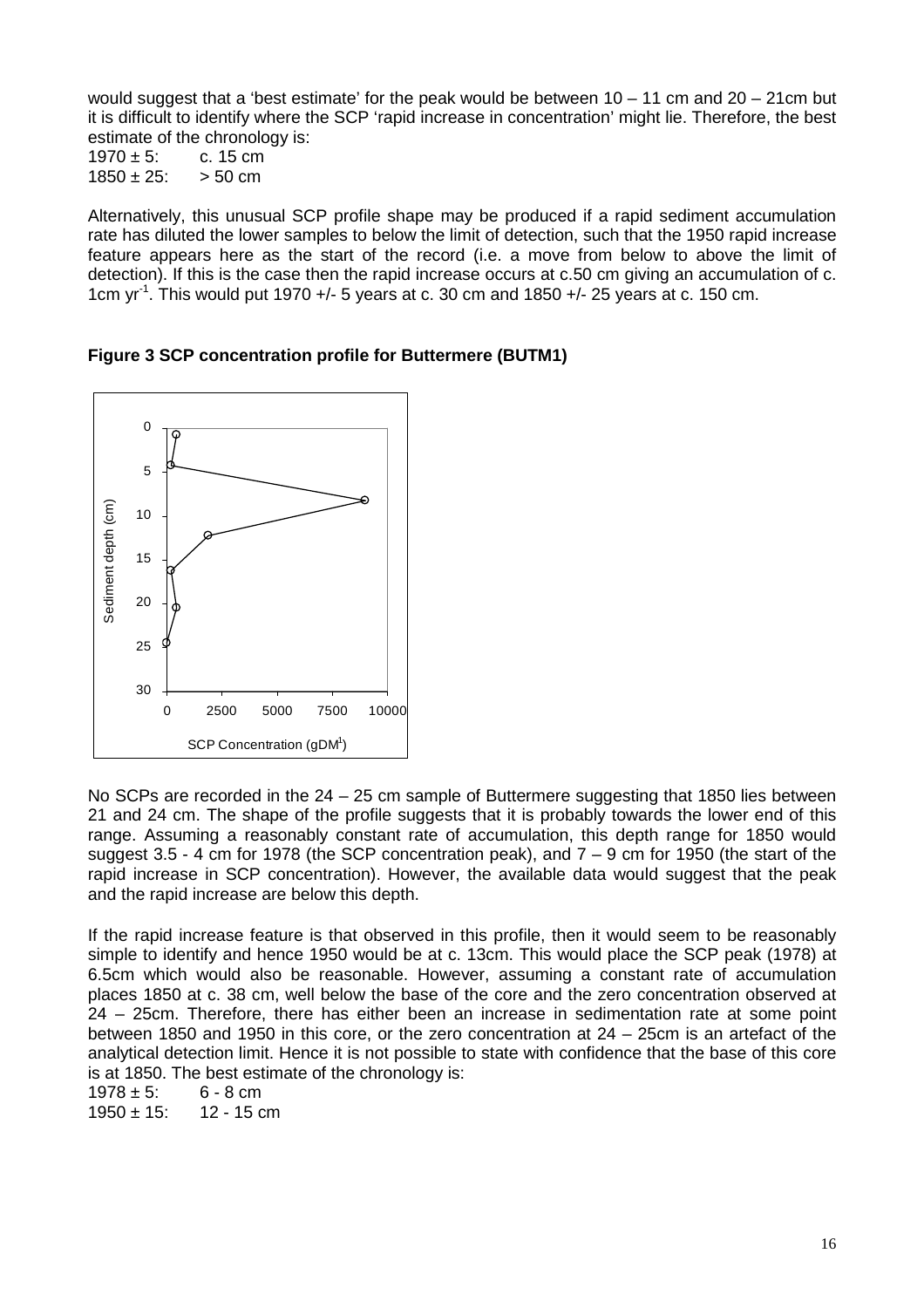would suggest that a 'best estimate' for the peak would be between 10 – 11 cm and 20 – 21cm but it is difficult to identify where the SCP 'rapid increase in concentration' might lie. Therefore, the best estimate of the chronology is:

 $1970 \pm 5$ : c. 15 cm  $1850 \pm 25$ :  $> 50$  cm

Alternatively, this unusual SCP profile shape may be produced if a rapid sediment accumulation rate has diluted the lower samples to below the limit of detection, such that the 1950 rapid increase feature appears here as the start of the record (i.e. a move from below to above the limit of detection). If this is the case then the rapid increase occurs at c.50 cm giving an accumulation of c. 1cm  $yr^{-1}$ . This would put 1970 +/- 5 years at c. 30 cm and 1850 +/- 25 years at c. 150 cm.

**Figure 3 SCP concentration profile for Buttermere (BUTM1)** 



No SCPs are recorded in the  $24 - 25$  cm sample of Buttermere suggesting that 1850 lies between 21 and 24 cm. The shape of the profile suggests that it is probably towards the lower end of this range. Assuming a reasonably constant rate of accumulation, this depth range for 1850 would suggest 3.5 - 4 cm for 1978 (the SCP concentration peak), and 7 – 9 cm for 1950 (the start of the rapid increase in SCP concentration). However, the available data would suggest that the peak and the rapid increase are below this depth.

If the rapid increase feature is that observed in this profile, then it would seem to be reasonably simple to identify and hence 1950 would be at c. 13cm. This would place the SCP peak (1978) at 6.5cm which would also be reasonable. However, assuming a constant rate of accumulation places 1850 at c. 38 cm, well below the base of the core and the zero concentration observed at 24 – 25cm. Therefore, there has either been an increase in sedimentation rate at some point between 1850 and 1950 in this core, or the zero concentration at 24 – 25cm is an artefact of the analytical detection limit. Hence it is not possible to state with confidence that the base of this core is at 1850. The best estimate of the chronology is:

 $1978 \pm 5$ : 6 - 8 cm  $1950 \pm 15$ : 12 - 15 cm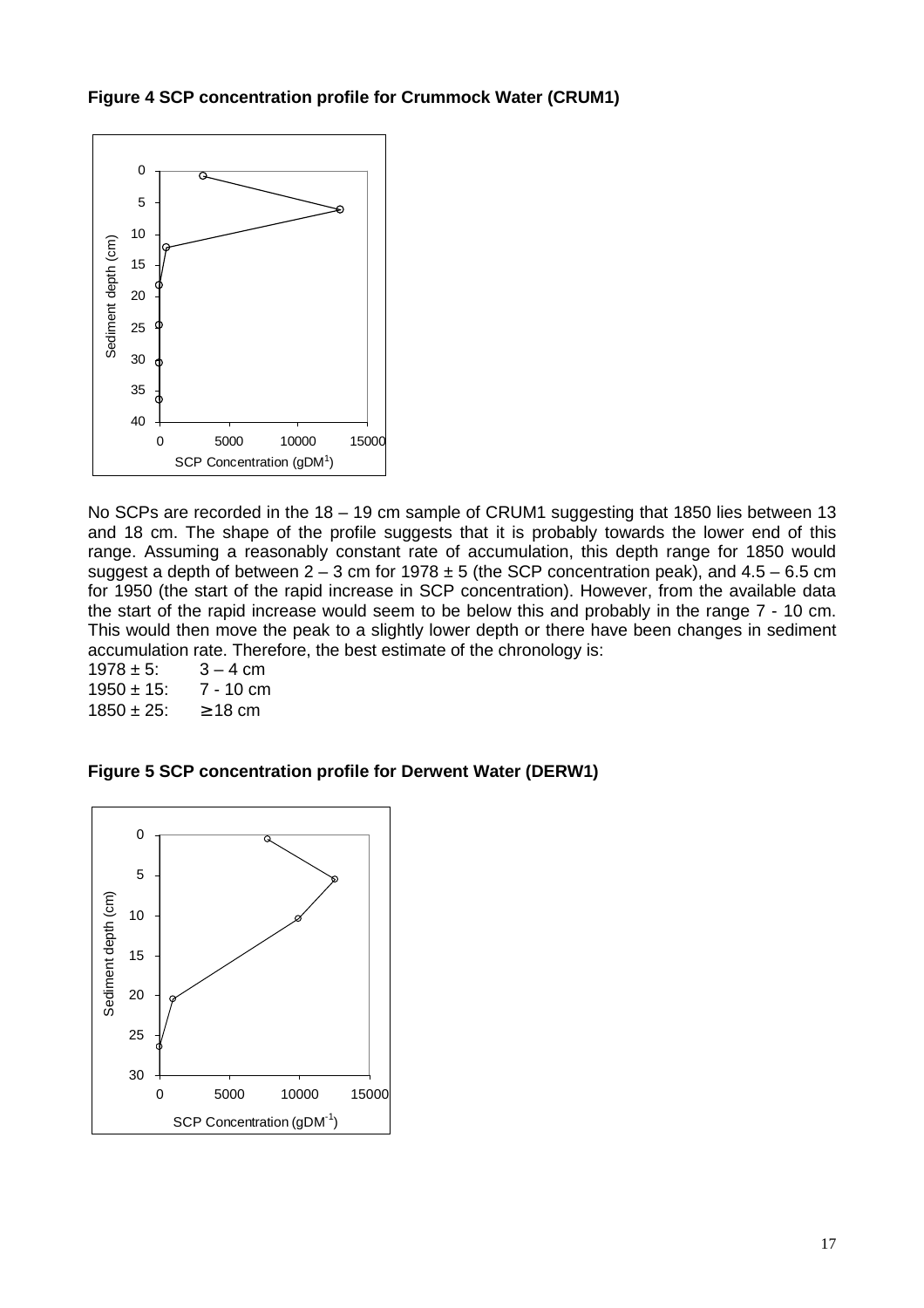**Figure 4 SCP concentration profile for Crummock Water (CRUM1)** 



No SCPs are recorded in the 18 – 19 cm sample of CRUM1 suggesting that 1850 lies between 13 and 18 cm. The shape of the profile suggests that it is probably towards the lower end of this range. Assuming a reasonably constant rate of accumulation, this depth range for 1850 would suggest a depth of between  $2 - 3$  cm for 1978  $\pm 5$  (the SCP concentration peak), and  $4.5 - 6.5$  cm for 1950 (the start of the rapid increase in SCP concentration). However, from the available data the start of the rapid increase would seem to be below this and probably in the range 7 - 10 cm. This would then move the peak to a slightly lower depth or there have been changes in sediment accumulation rate. Therefore, the best estimate of the chronology is:

 $1978 \pm 5$ :  $3 - 4$  cm<br> $1950 \pm 15$ :  $7 - 10$  cm  $1950 \pm 15$ :  $1850 \pm 25$ :  $\geq 18$  cm

**Figure 5 SCP concentration profile for Derwent Water (DERW1)** 

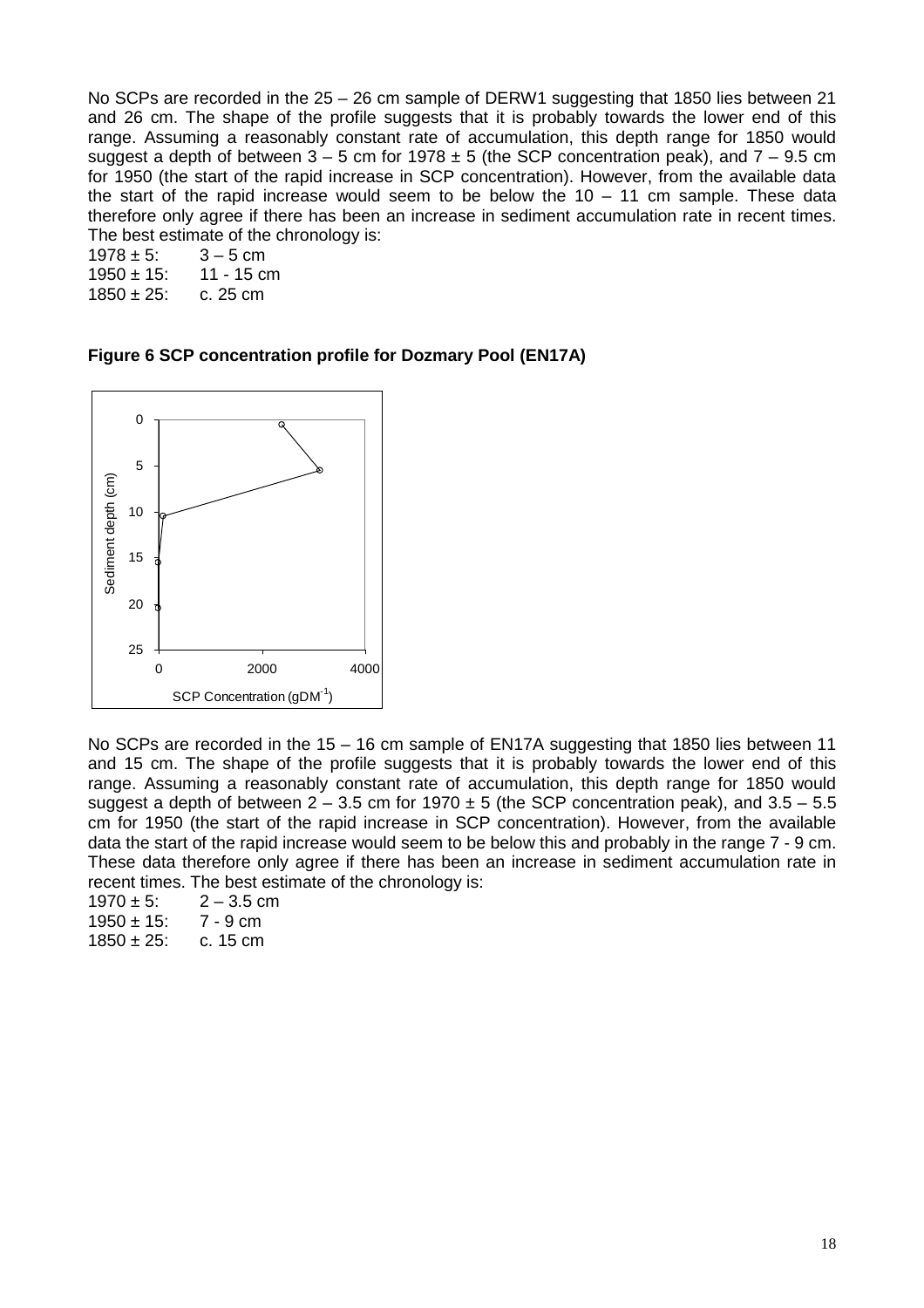No SCPs are recorded in the 25 – 26 cm sample of DERW1 suggesting that 1850 lies between 21 and 26 cm. The shape of the profile suggests that it is probably towards the lower end of this range. Assuming a reasonably constant rate of accumulation, this depth range for 1850 would suggest a depth of between  $3 - 5$  cm for  $1978 \pm 5$  (the SCP concentration peak), and  $7 - 9.5$  cm for 1950 (the start of the rapid increase in SCP concentration). However, from the available data the start of the rapid increase would seem to be below the  $10 - 11$  cm sample. These data therefore only agree if there has been an increase in sediment accumulation rate in recent times. The best estimate of the chronology is:

 $1978 \pm 5$ :  $3 - 5$  cm  $1950 \pm 15$ : 11 - 15 cm  $1850 \pm 25$ : c. 25 cm

**Figure 6 SCP concentration profile for Dozmary Pool (EN17A)** 



No SCPs are recorded in the 15 – 16 cm sample of EN17A suggesting that 1850 lies between 11 and 15 cm. The shape of the profile suggests that it is probably towards the lower end of this range. Assuming a reasonably constant rate of accumulation, this depth range for 1850 would suggest a depth of between  $2 - 3.5$  cm for 1970  $\pm 5$  (the SCP concentration peak), and  $3.5 - 5.5$ cm for 1950 (the start of the rapid increase in SCP concentration). However, from the available data the start of the rapid increase would seem to be below this and probably in the range 7 - 9 cm. These data therefore only agree if there has been an increase in sediment accumulation rate in recent times. The best estimate of the chronology is:

 $1970 \pm 5$ :  $2 - 3.5$  cm  $1950 \pm 15$ : 7 - 9 cm  $1850 \pm 25$ : c. 15 cm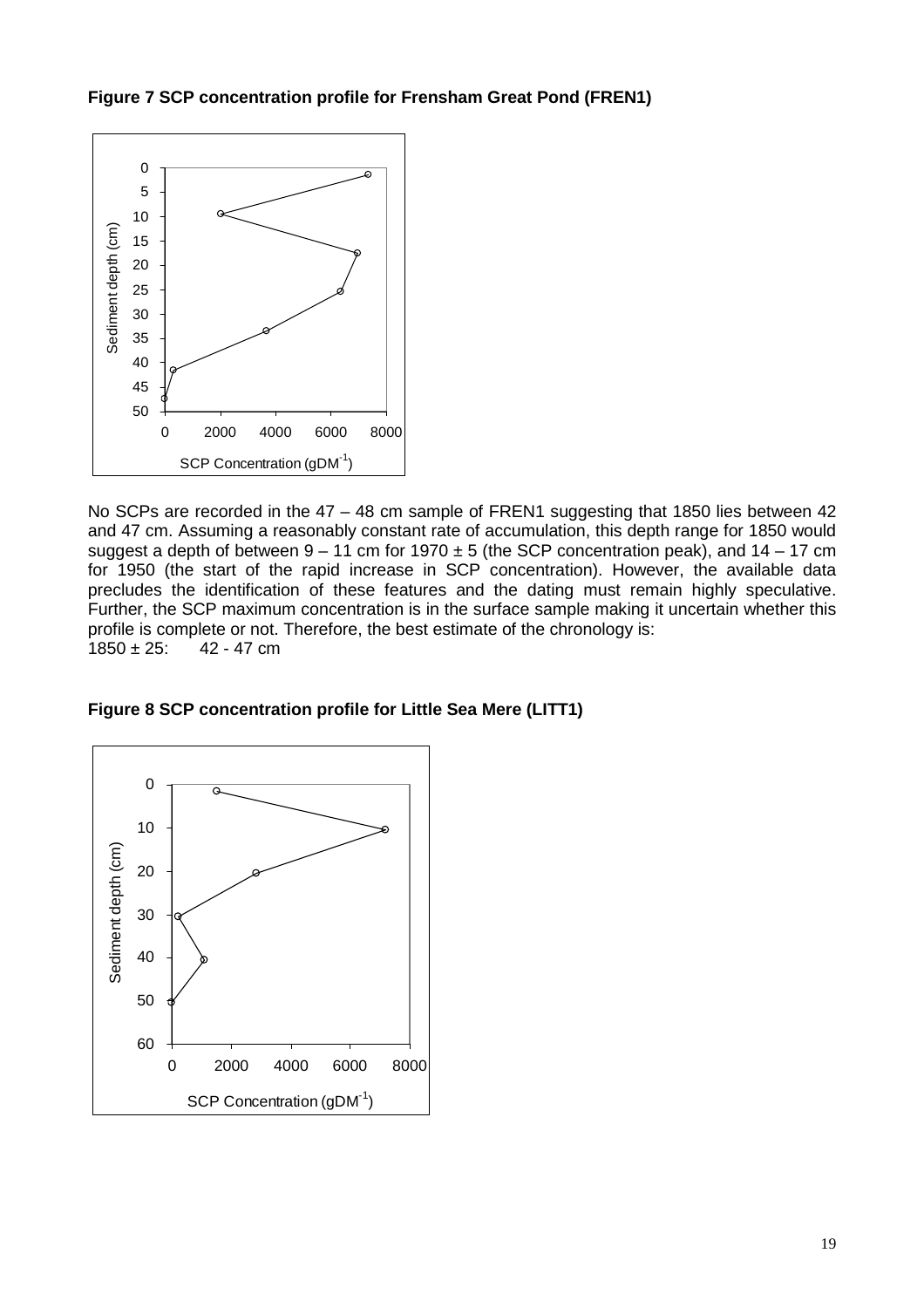**Figure 7 SCP concentration profile for Frensham Great Pond (FREN1)** 



No SCPs are recorded in the 47 – 48 cm sample of FREN1 suggesting that 1850 lies between 42 and 47 cm. Assuming a reasonably constant rate of accumulation, this depth range for 1850 would suggest a depth of between  $9 - 11$  cm for  $1970 \pm 5$  (the SCP concentration peak), and  $14 - 17$  cm for 1950 (the start of the rapid increase in SCP concentration). However, the available data precludes the identification of these features and the dating must remain highly speculative. Further, the SCP maximum concentration is in the surface sample making it uncertain whether this profile is complete or not. Therefore, the best estimate of the chronology is:<br> $1850 \pm 25$ :  $42 - 47$  cm 42 - 47 cm

**Figure 8 SCP concentration profile for Little Sea Mere (LITT1)** 

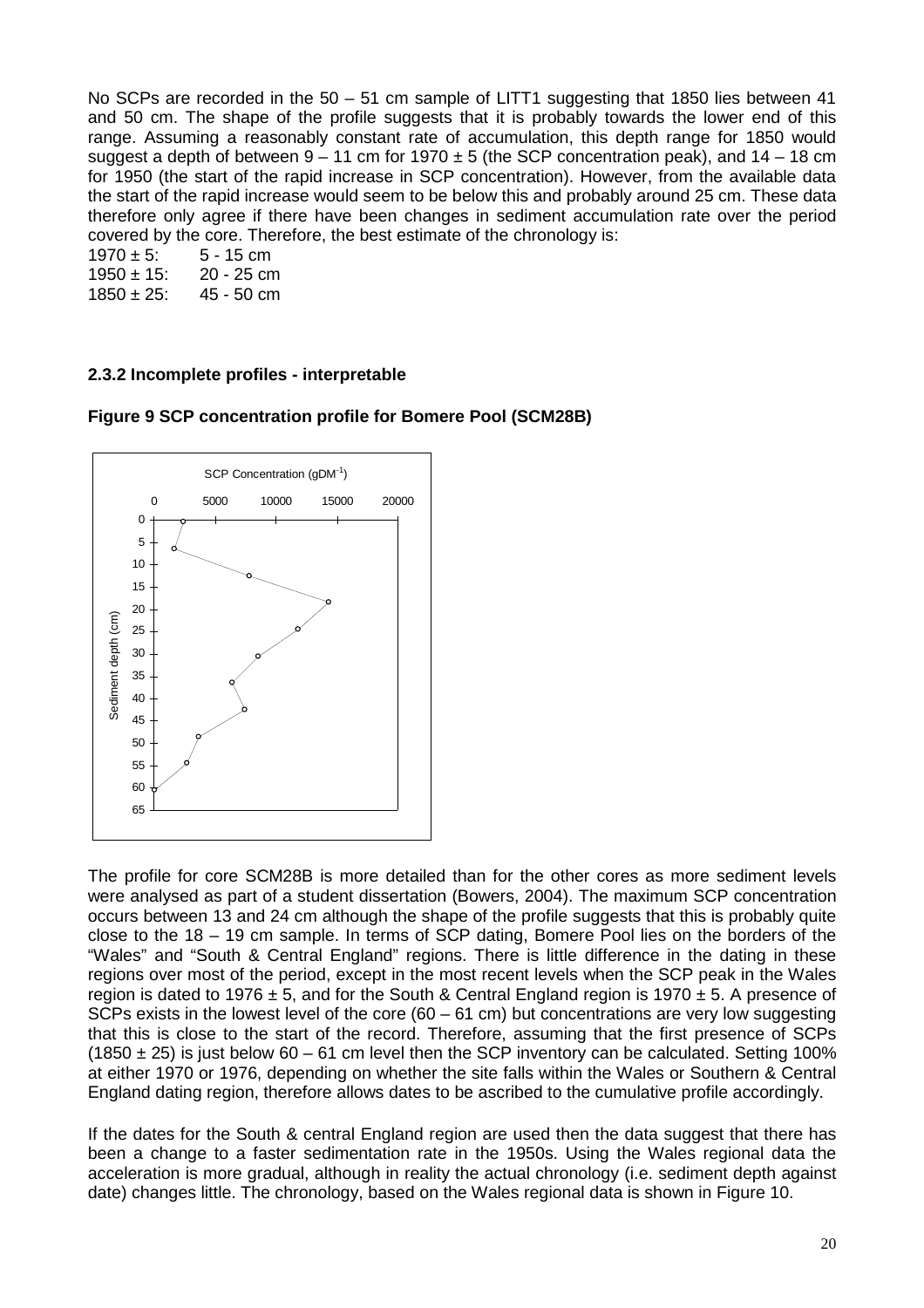No SCPs are recorded in the  $50 - 51$  cm sample of LITT1 suggesting that 1850 lies between 41 and 50 cm. The shape of the profile suggests that it is probably towards the lower end of this range. Assuming a reasonably constant rate of accumulation, this depth range for 1850 would suggest a depth of between  $9 - 11$  cm for  $1970 \pm 5$  (the SCP concentration peak), and  $14 - 18$  cm for 1950 (the start of the rapid increase in SCP concentration). However, from the available data the start of the rapid increase would seem to be below this and probably around 25 cm. These data therefore only agree if there have been changes in sediment accumulation rate over the period covered by the core. Therefore, the best estimate of the chronology is:

| $1970 \pm 5$ :  | 5 - 15 cm  |
|-----------------|------------|
| $1950 \pm 15$ : | 20 - 25 cm |
| $1850 \pm 25$ : | 45 - 50 cm |

#### **2.3.2 Incomplete profiles - interpretable**



**Figure 9 SCP concentration profile for Bomere Pool (SCM28B)** 

The profile for core SCM28B is more detailed than for the other cores as more sediment levels were analysed as part of a student dissertation (Bowers, 2004). The maximum SCP concentration occurs between 13 and 24 cm although the shape of the profile suggests that this is probably quite close to the 18 – 19 cm sample. In terms of SCP dating, Bomere Pool lies on the borders of the "Wales" and "South & Central England" regions. There is little difference in the dating in these regions over most of the period, except in the most recent levels when the SCP peak in the Wales region is dated to 1976  $\pm$  5, and for the South & Central England region is 1970  $\pm$  5. A presence of SCPs exists in the lowest level of the core  $(60 - 61)$  cm) but concentrations are very low suggesting that this is close to the start of the record. Therefore, assuming that the first presence of SCPs (1850  $\pm$  25) is just below 60 – 61 cm level then the SCP inventory can be calculated. Setting 100% at either 1970 or 1976, depending on whether the site falls within the Wales or Southern & Central England dating region, therefore allows dates to be ascribed to the cumulative profile accordingly.

If the dates for the South & central England region are used then the data suggest that there has been a change to a faster sedimentation rate in the 1950s. Using the Wales regional data the acceleration is more gradual, although in reality the actual chronology (i.e. sediment depth against date) changes little. The chronology, based on the Wales regional data is shown in Figure 10.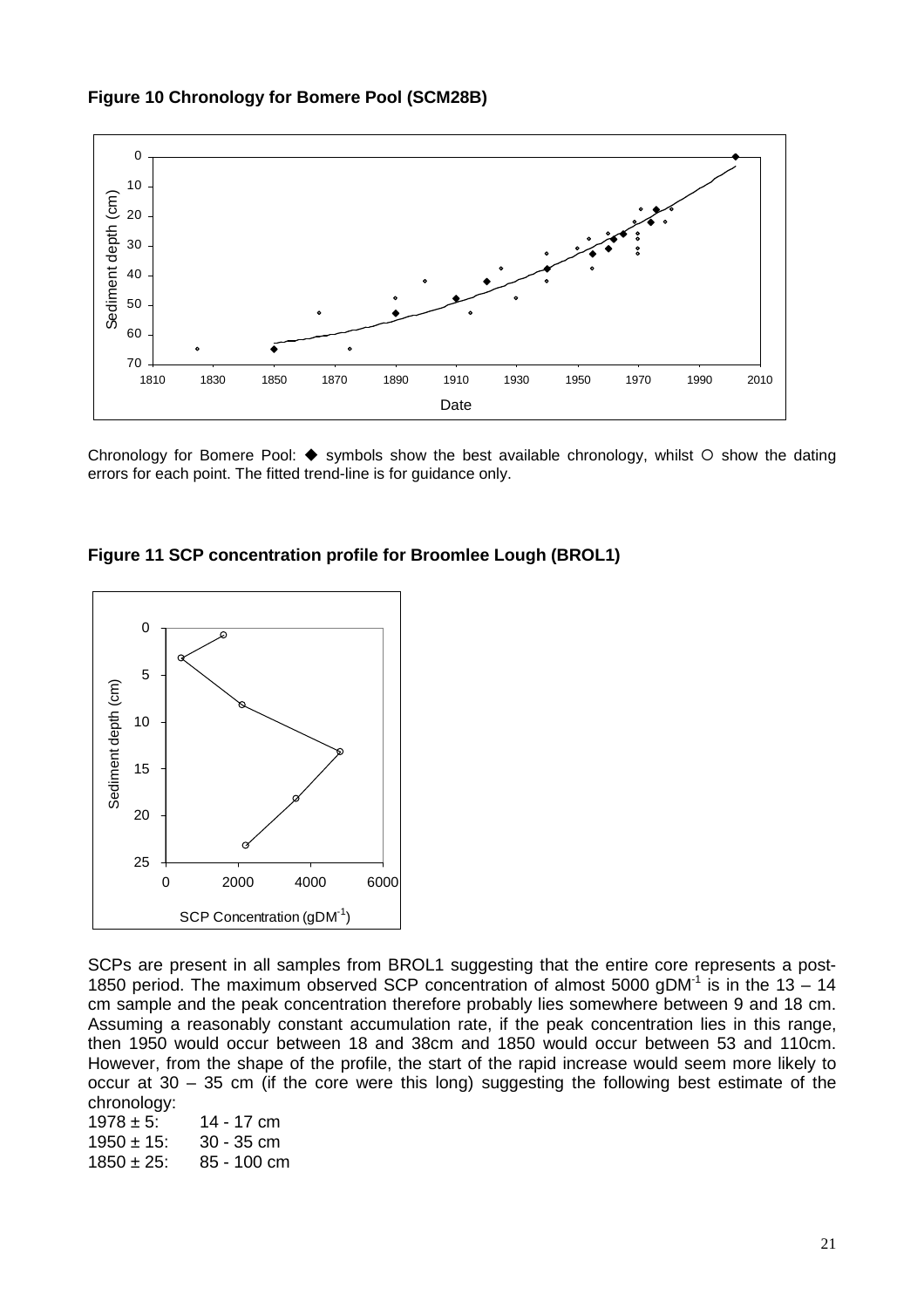



Chronology for Bomere Pool:  $\blacklozenge$  symbols show the best available chronology, whilst  $\bigcirc$  show the dating errors for each point. The fitted trend-line is for guidance only.

**Figure 11 SCP concentration profile for Broomlee Lough (BROL1)** 



SCPs are present in all samples from BROL1 suggesting that the entire core represents a post-1850 period. The maximum observed SCP concentration of almost 5000 gDM<sup>-1</sup> is in the 13 – 14 cm sample and the peak concentration therefore probably lies somewhere between 9 and 18 cm. Assuming a reasonably constant accumulation rate, if the peak concentration lies in this range, then 1950 would occur between 18 and 38cm and 1850 would occur between 53 and 110cm. However, from the shape of the profile, the start of the rapid increase would seem more likely to occur at 30 – 35 cm (if the core were this long) suggesting the following best estimate of the chronology:

 $1978 \pm 5$ : 14 - 17 cm  $1950 \pm 15$ :  $30 - 35$  cm<br> $1850 \pm 25$ :  $85 - 100$  cm 85 - 100 cm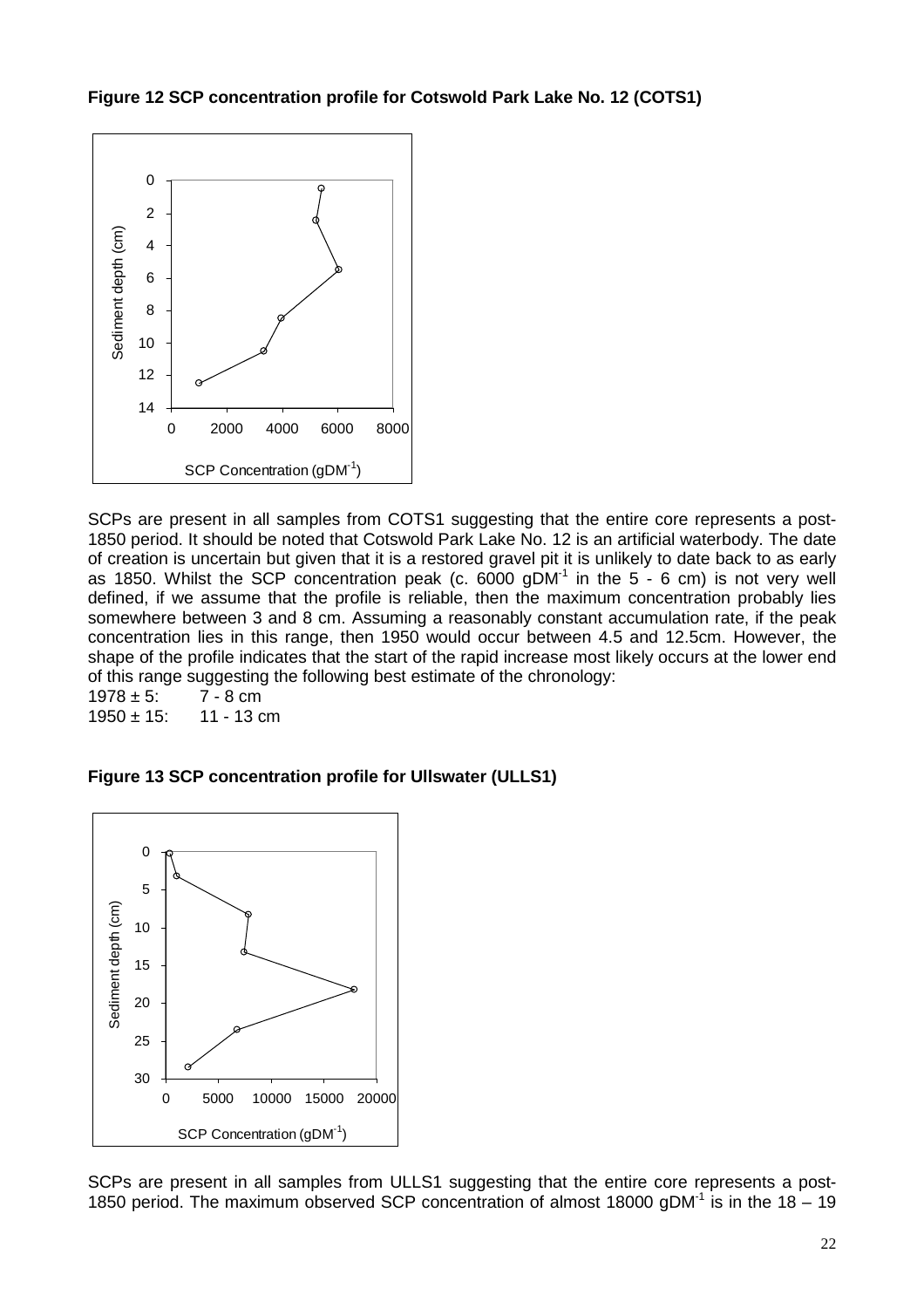**Figure 12 SCP concentration profile for Cotswold Park Lake No. 12 (COTS1)** 



SCPs are present in all samples from COTS1 suggesting that the entire core represents a post-1850 period. It should be noted that Cotswold Park Lake No. 12 is an artificial waterbody. The date of creation is uncertain but given that it is a restored gravel pit it is unlikely to date back to as early as 1850. Whilst the SCP concentration peak (c.  $6000$  gDM<sup>-1</sup> in the 5 - 6 cm) is not very well defined, if we assume that the profile is reliable, then the maximum concentration probably lies somewhere between 3 and 8 cm. Assuming a reasonably constant accumulation rate, if the peak concentration lies in this range, then 1950 would occur between 4.5 and 12.5cm. However, the shape of the profile indicates that the start of the rapid increase most likely occurs at the lower end of this range suggesting the following best estimate of the chronology:<br>1978  $\pm$  5:  $\qquad$  7 - 8 cm

 $1978 \pm 5$ :  $1950 + 15$  11 - 13 cm

**Figure 13 SCP concentration profile for Ullswater (ULLS1)** 



SCPs are present in all samples from ULLS1 suggesting that the entire core represents a post-1850 period. The maximum observed SCP concentration of almost 18000 gDM $<sup>1</sup>$  is in the 18 – 19</sup>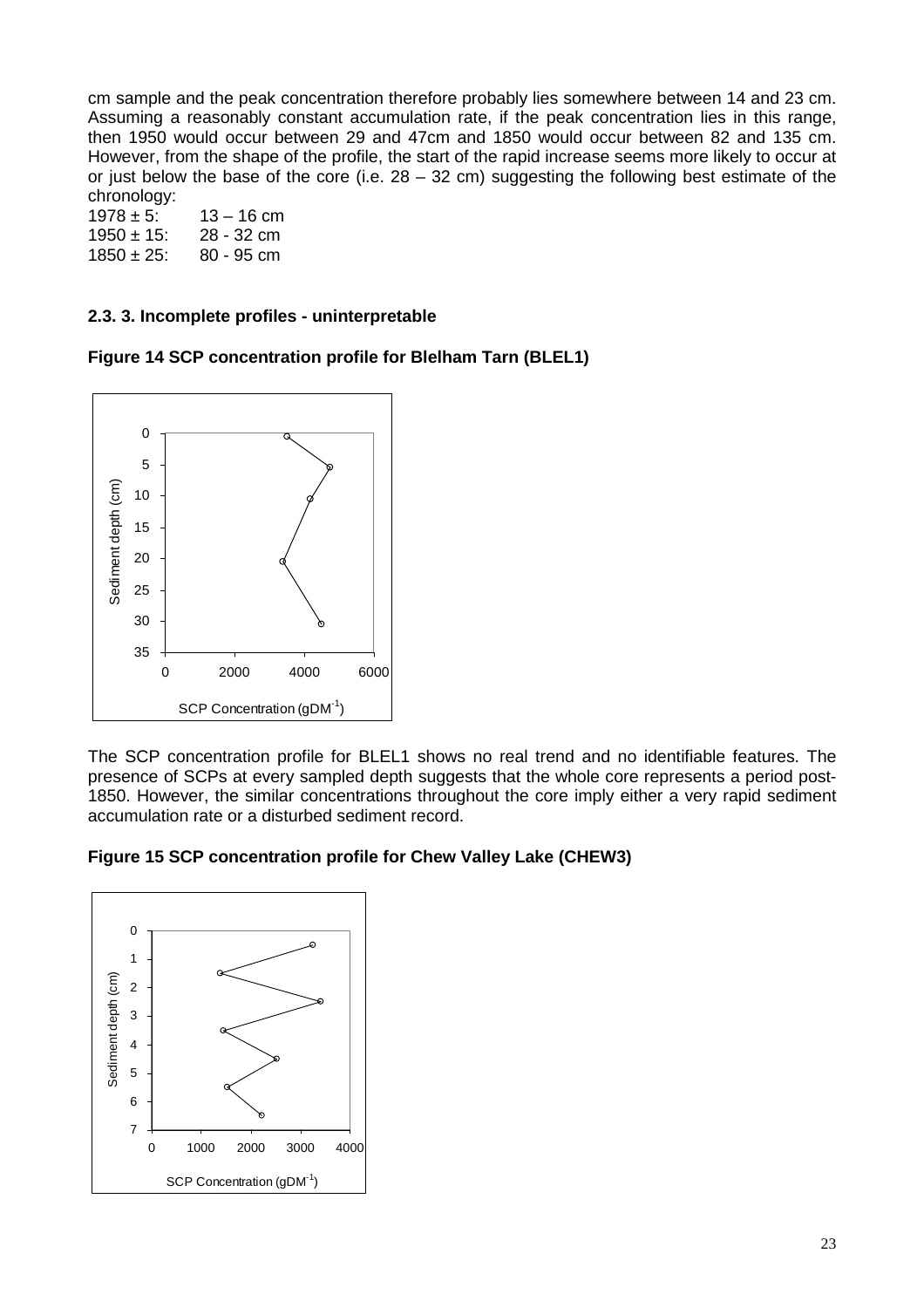cm sample and the peak concentration therefore probably lies somewhere between 14 and 23 cm. Assuming a reasonably constant accumulation rate, if the peak concentration lies in this range, then 1950 would occur between 29 and 47cm and 1850 would occur between 82 and 135 cm. However, from the shape of the profile, the start of the rapid increase seems more likely to occur at or just below the base of the core (i.e.  $28 - 32$  cm) suggesting the following best estimate of the chronology:

 $1978 \pm 5$ :  $13 - 16$  cm  $1950 \pm 15$ : 28 - 32 cm  $1850 \pm 25$ : 80 - 95 cm

#### **2.3. 3. Incomplete profiles - uninterpretable**

**Figure 14 SCP concentration profile for Blelham Tarn (BLEL1)** 



The SCP concentration profile for BLEL1 shows no real trend and no identifiable features. The presence of SCPs at every sampled depth suggests that the whole core represents a period post-1850. However, the similar concentrations throughout the core imply either a very rapid sediment accumulation rate or a disturbed sediment record.



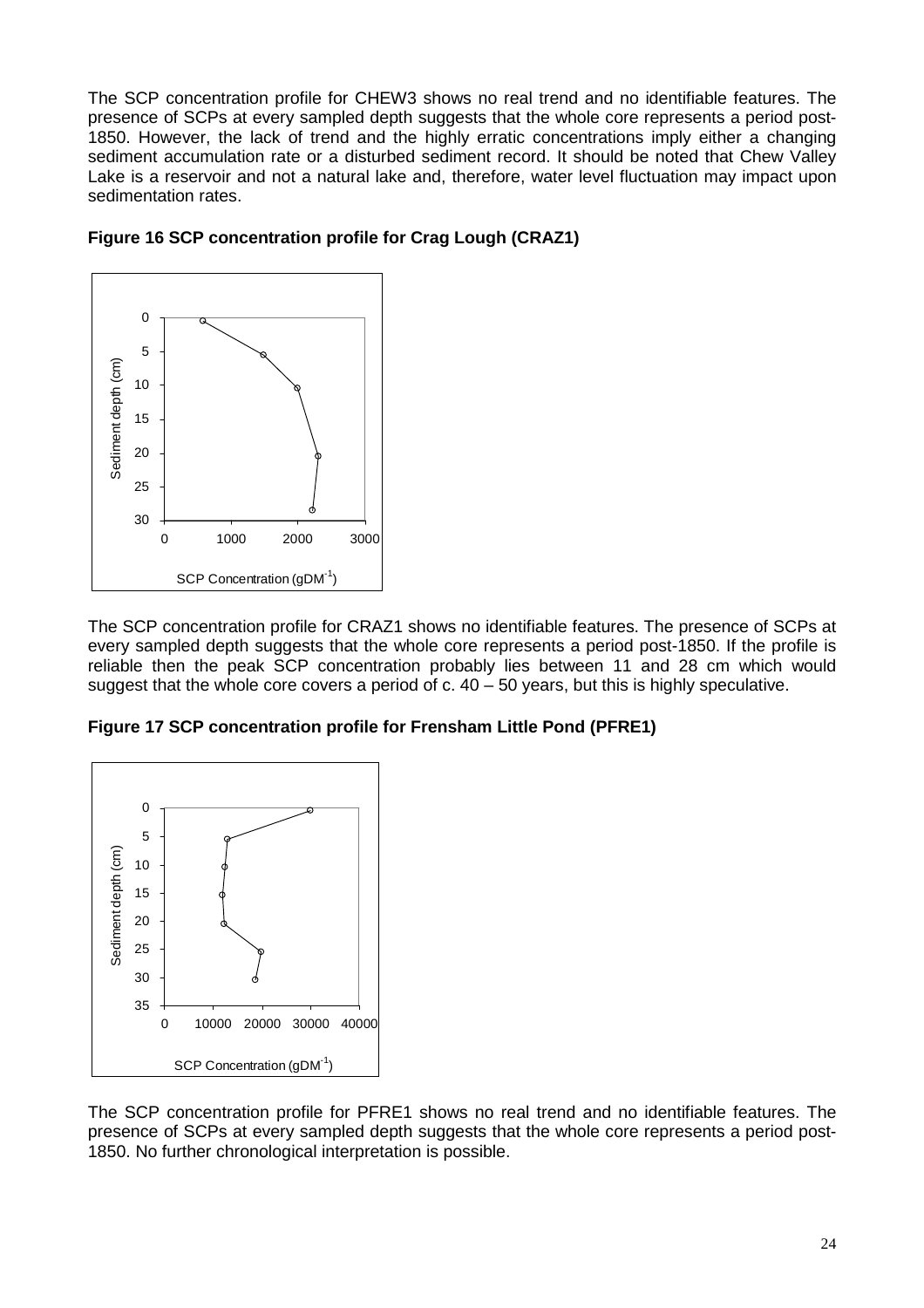The SCP concentration profile for CHEW3 shows no real trend and no identifiable features. The presence of SCPs at every sampled depth suggests that the whole core represents a period post-1850. However, the lack of trend and the highly erratic concentrations imply either a changing sediment accumulation rate or a disturbed sediment record. It should be noted that Chew Valley Lake is a reservoir and not a natural lake and, therefore, water level fluctuation may impact upon sedimentation rates.



#### **Figure 16 SCP concentration profile for Crag Lough (CRAZ1)**

The SCP concentration profile for CRAZ1 shows no identifiable features. The presence of SCPs at every sampled depth suggests that the whole core represents a period post-1850. If the profile is reliable then the peak SCP concentration probably lies between 11 and 28 cm which would suggest that the whole core covers a period of c.  $40 - 50$  years, but this is highly speculative.

**Figure 17 SCP concentration profile for Frensham Little Pond (PFRE1)** 



The SCP concentration profile for PFRE1 shows no real trend and no identifiable features. The presence of SCPs at every sampled depth suggests that the whole core represents a period post-1850. No further chronological interpretation is possible.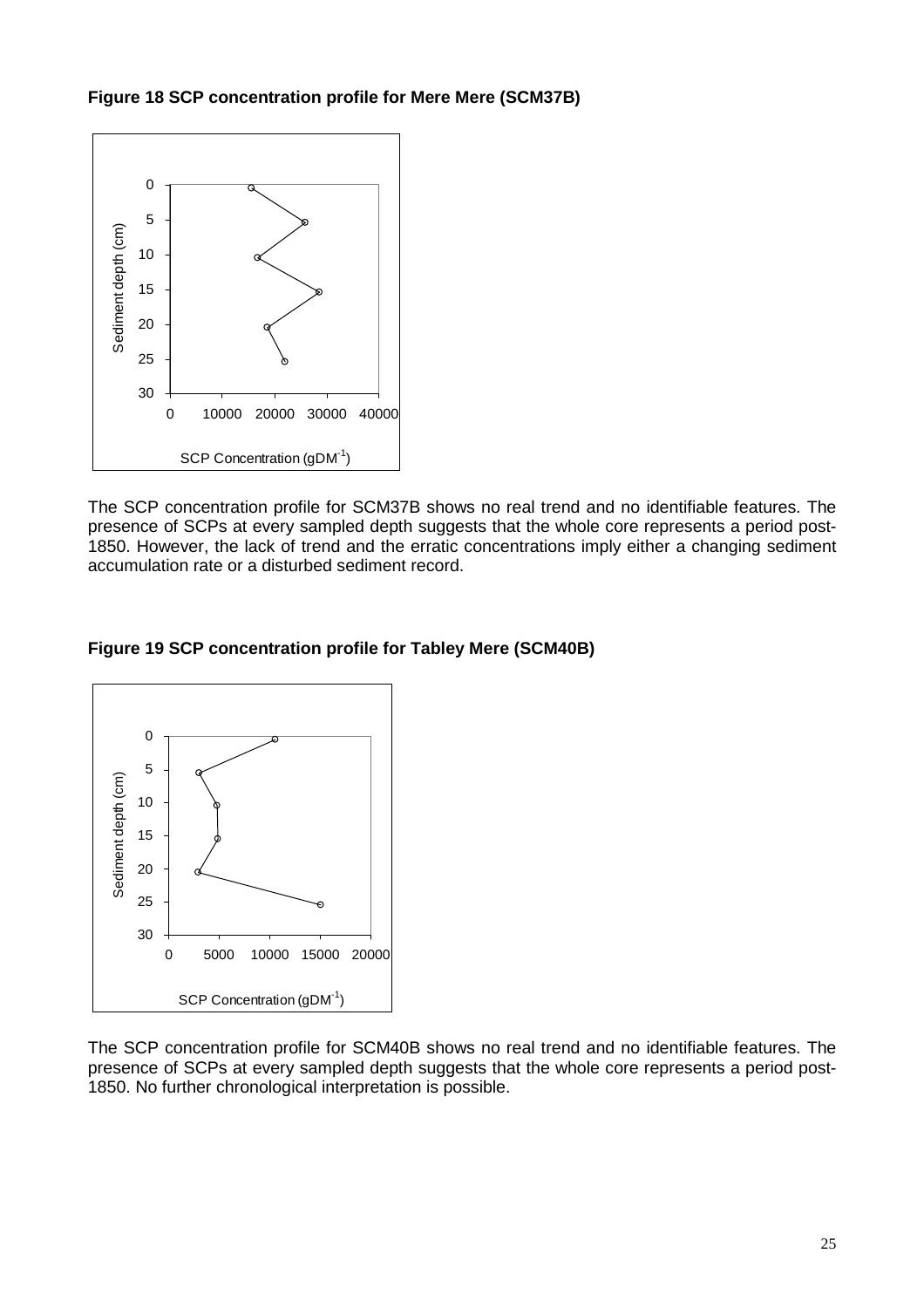**Figure 18 SCP concentration profile for Mere Mere (SCM37B)** 



The SCP concentration profile for SCM37B shows no real trend and no identifiable features. The presence of SCPs at every sampled depth suggests that the whole core represents a period post-1850. However, the lack of trend and the erratic concentrations imply either a changing sediment accumulation rate or a disturbed sediment record.

**Figure 19 SCP concentration profile for Tabley Mere (SCM40B)** 



The SCP concentration profile for SCM40B shows no real trend and no identifiable features. The presence of SCPs at every sampled depth suggests that the whole core represents a period post-1850. No further chronological interpretation is possible.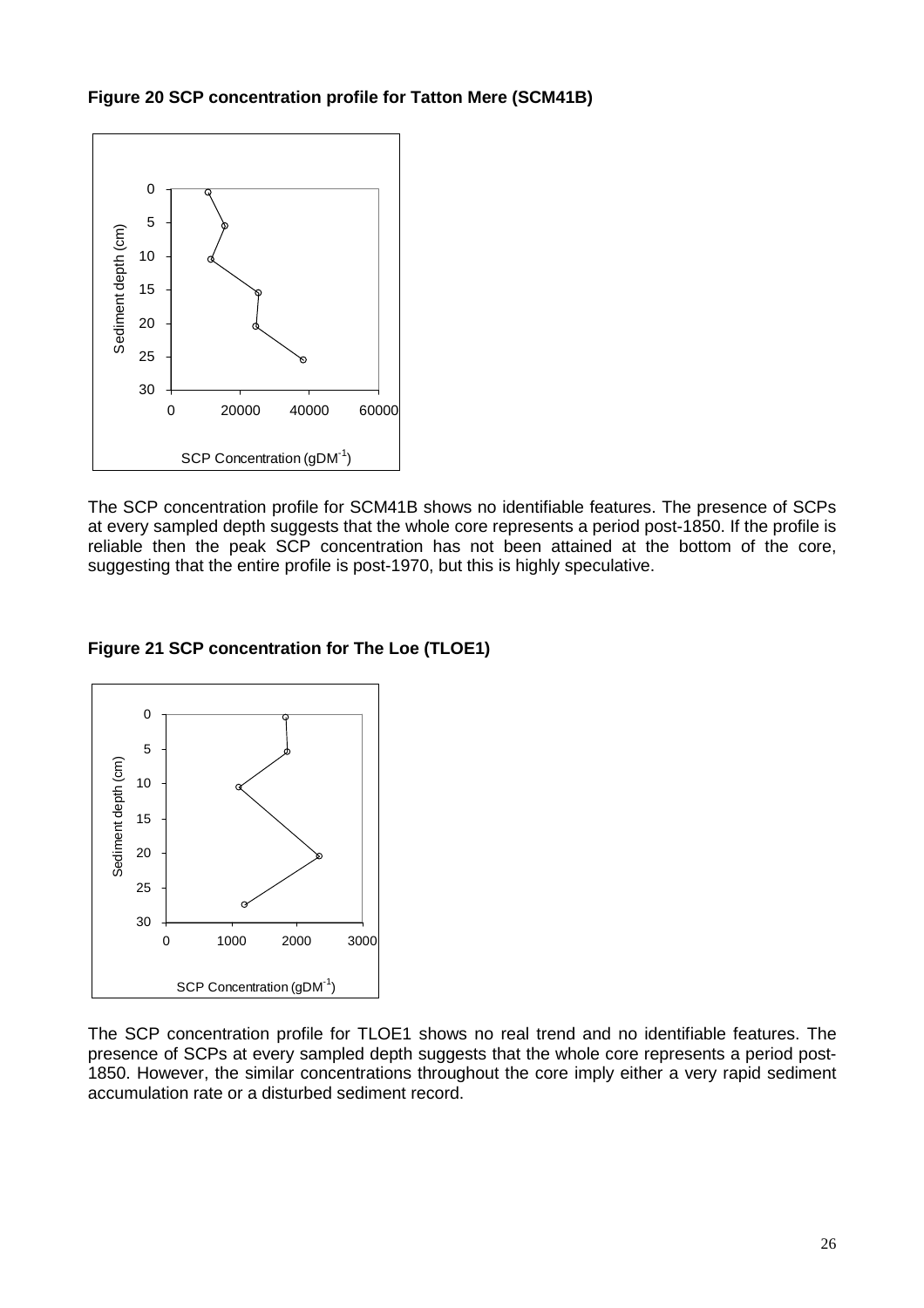**Figure 20 SCP concentration profile for Tatton Mere (SCM41B)** 



The SCP concentration profile for SCM41B shows no identifiable features. The presence of SCPs at every sampled depth suggests that the whole core represents a period post-1850. If the profile is reliable then the peak SCP concentration has not been attained at the bottom of the core, suggesting that the entire profile is post-1970, but this is highly speculative.

#### **Figure 21 SCP concentration for The Loe (TLOE1)**



The SCP concentration profile for TLOE1 shows no real trend and no identifiable features. The presence of SCPs at every sampled depth suggests that the whole core represents a period post-1850. However, the similar concentrations throughout the core imply either a very rapid sediment accumulation rate or a disturbed sediment record.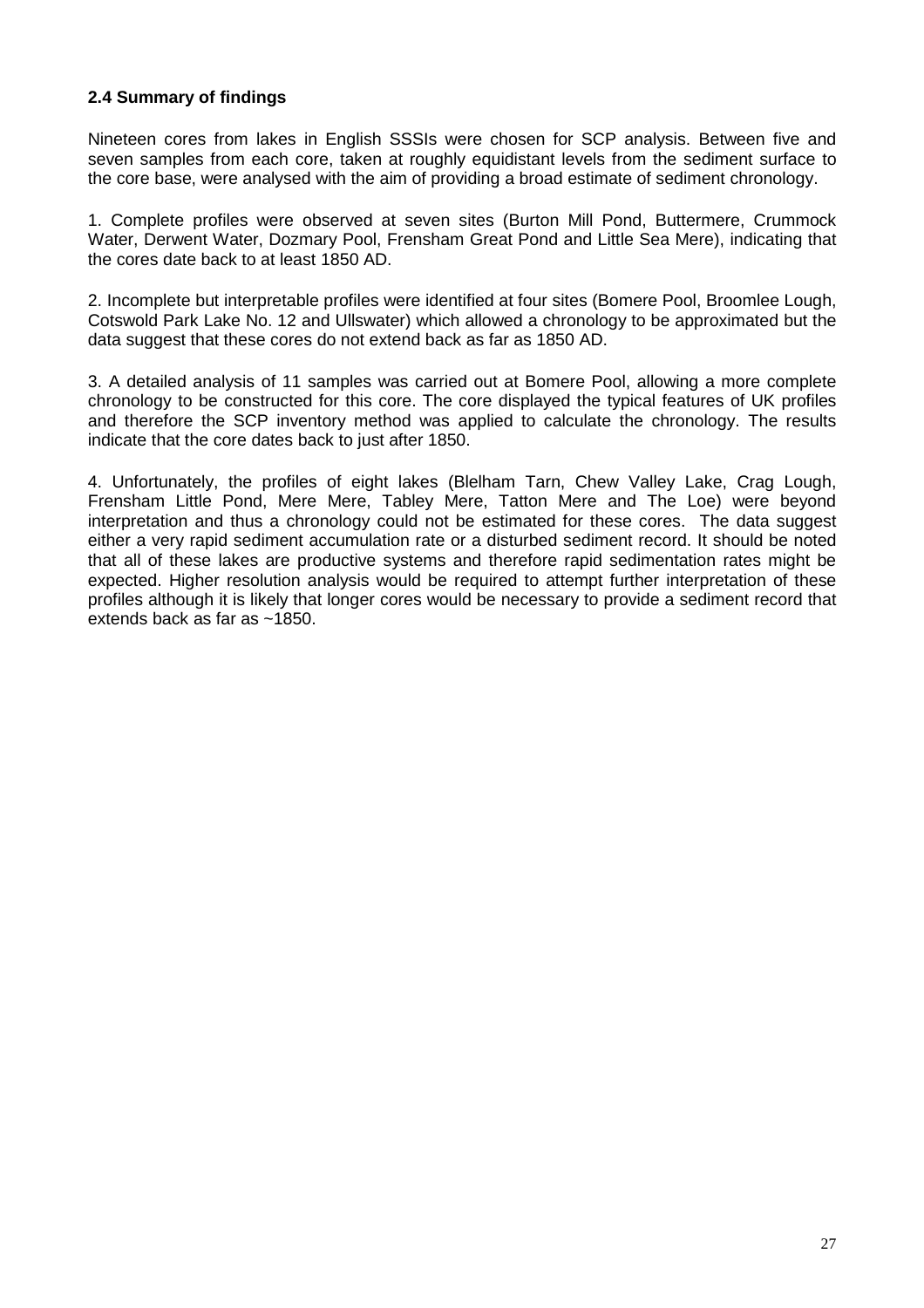#### **2.4 Summary of findings**

Nineteen cores from lakes in English SSSIs were chosen for SCP analysis. Between five and seven samples from each core, taken at roughly equidistant levels from the sediment surface to the core base, were analysed with the aim of providing a broad estimate of sediment chronology.

1. Complete profiles were observed at seven sites (Burton Mill Pond, Buttermere, Crummock Water, Derwent Water, Dozmary Pool, Frensham Great Pond and Little Sea Mere), indicating that the cores date back to at least 1850 AD.

2. Incomplete but interpretable profiles were identified at four sites (Bomere Pool, Broomlee Lough, Cotswold Park Lake No. 12 and Ullswater) which allowed a chronology to be approximated but the data suggest that these cores do not extend back as far as 1850 AD.

3. A detailed analysis of 11 samples was carried out at Bomere Pool, allowing a more complete chronology to be constructed for this core. The core displayed the typical features of UK profiles and therefore the SCP inventory method was applied to calculate the chronology. The results indicate that the core dates back to just after 1850.

4. Unfortunately, the profiles of eight lakes (Blelham Tarn, Chew Valley Lake, Crag Lough, Frensham Little Pond, Mere Mere, Tabley Mere, Tatton Mere and The Loe) were beyond interpretation and thus a chronology could not be estimated for these cores. The data suggest either a very rapid sediment accumulation rate or a disturbed sediment record. It should be noted that all of these lakes are productive systems and therefore rapid sedimentation rates might be expected. Higher resolution analysis would be required to attempt further interpretation of these profiles although it is likely that longer cores would be necessary to provide a sediment record that extends back as far as ~1850.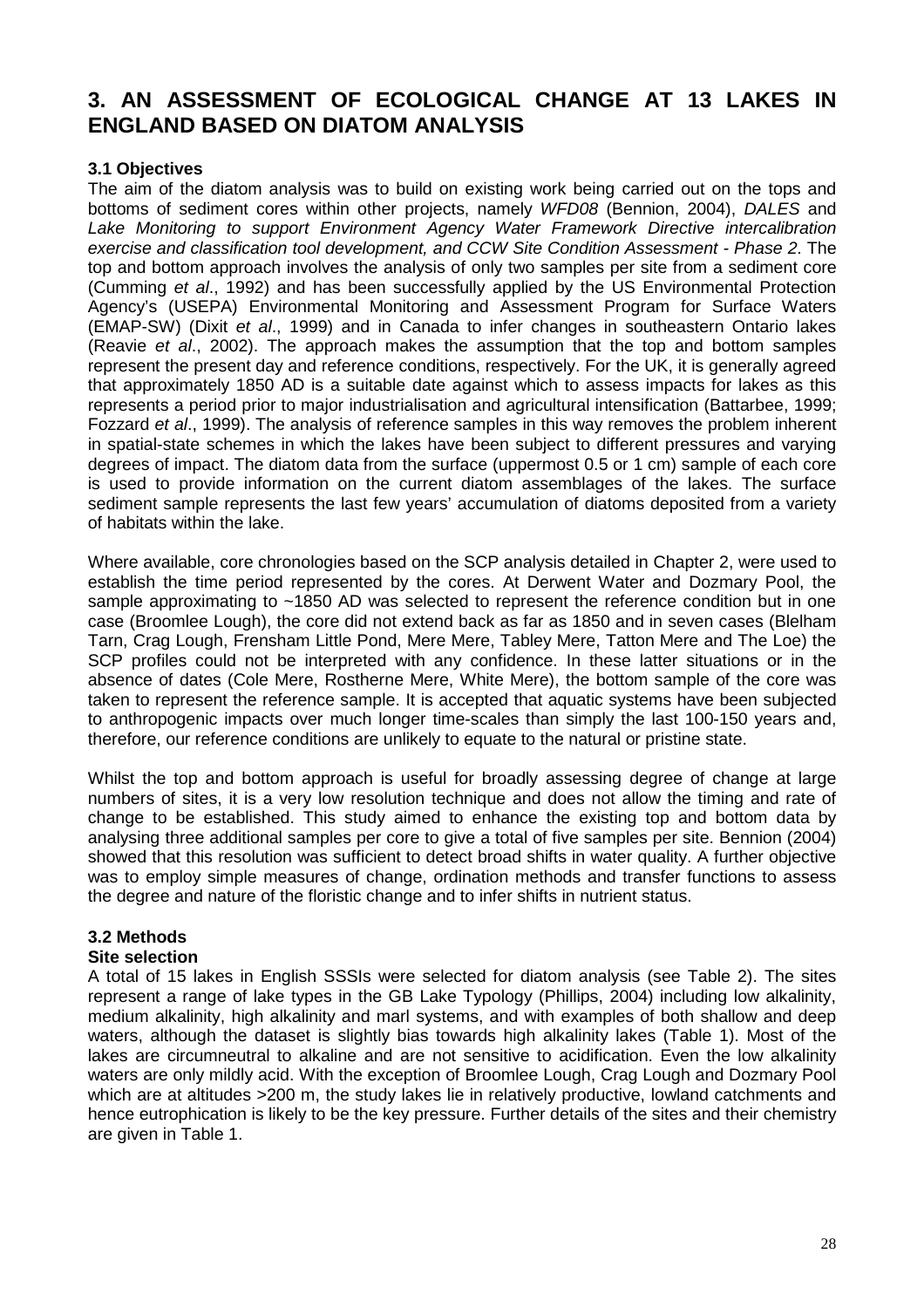### **3. AN ASSESSMENT OF ECOLOGICAL CHANGE AT 13 LAKES IN ENGLAND BASED ON DIATOM ANALYSIS**

#### **3.1 Objectives**

The aim of the diatom analysis was to build on existing work being carried out on the tops and bottoms of sediment cores within other projects, namely WFD08 (Bennion, 2004), DALES and Lake Monitoring to support Environment Agency Water Framework Directive intercalibration exercise and classification tool development, and CCW Site Condition Assessment - Phase 2. The top and bottom approach involves the analysis of only two samples per site from a sediment core (Cumming et al., 1992) and has been successfully applied by the US Environmental Protection Agency's (USEPA) Environmental Monitoring and Assessment Program for Surface Waters (EMAP-SW) (Dixit et al., 1999) and in Canada to infer changes in southeastern Ontario lakes (Reavie et al., 2002). The approach makes the assumption that the top and bottom samples represent the present day and reference conditions, respectively. For the UK, it is generally agreed that approximately 1850 AD is a suitable date against which to assess impacts for lakes as this represents a period prior to major industrialisation and agricultural intensification (Battarbee, 1999; Fozzard et al., 1999). The analysis of reference samples in this way removes the problem inherent in spatial-state schemes in which the lakes have been subject to different pressures and varying degrees of impact. The diatom data from the surface (uppermost 0.5 or 1 cm) sample of each core is used to provide information on the current diatom assemblages of the lakes. The surface sediment sample represents the last few years' accumulation of diatoms deposited from a variety of habitats within the lake.

Where available, core chronologies based on the SCP analysis detailed in Chapter 2, were used to establish the time period represented by the cores. At Derwent Water and Dozmary Pool, the sample approximating to ~1850 AD was selected to represent the reference condition but in one case (Broomlee Lough), the core did not extend back as far as 1850 and in seven cases (Blelham Tarn, Crag Lough, Frensham Little Pond, Mere Mere, Tabley Mere, Tatton Mere and The Loe) the SCP profiles could not be interpreted with any confidence. In these latter situations or in the absence of dates (Cole Mere, Rostherne Mere, White Mere), the bottom sample of the core was taken to represent the reference sample. It is accepted that aquatic systems have been subjected to anthropogenic impacts over much longer time-scales than simply the last 100-150 years and, therefore, our reference conditions are unlikely to equate to the natural or pristine state.

Whilst the top and bottom approach is useful for broadly assessing degree of change at large numbers of sites, it is a very low resolution technique and does not allow the timing and rate of change to be established. This study aimed to enhance the existing top and bottom data by analysing three additional samples per core to give a total of five samples per site. Bennion (2004) showed that this resolution was sufficient to detect broad shifts in water quality. A further objective was to employ simple measures of change, ordination methods and transfer functions to assess the degree and nature of the floristic change and to infer shifts in nutrient status.

#### **3.2 Methods**

#### **Site selection**

A total of 15 lakes in English SSSIs were selected for diatom analysis (see Table 2). The sites represent a range of lake types in the GB Lake Typology (Phillips, 2004) including low alkalinity, medium alkalinity, high alkalinity and marl systems, and with examples of both shallow and deep waters, although the dataset is slightly bias towards high alkalinity lakes (Table 1). Most of the lakes are circumneutral to alkaline and are not sensitive to acidification. Even the low alkalinity waters are only mildly acid. With the exception of Broomlee Lough, Crag Lough and Dozmary Pool which are at altitudes >200 m, the study lakes lie in relatively productive, lowland catchments and hence eutrophication is likely to be the key pressure. Further details of the sites and their chemistry are given in Table 1.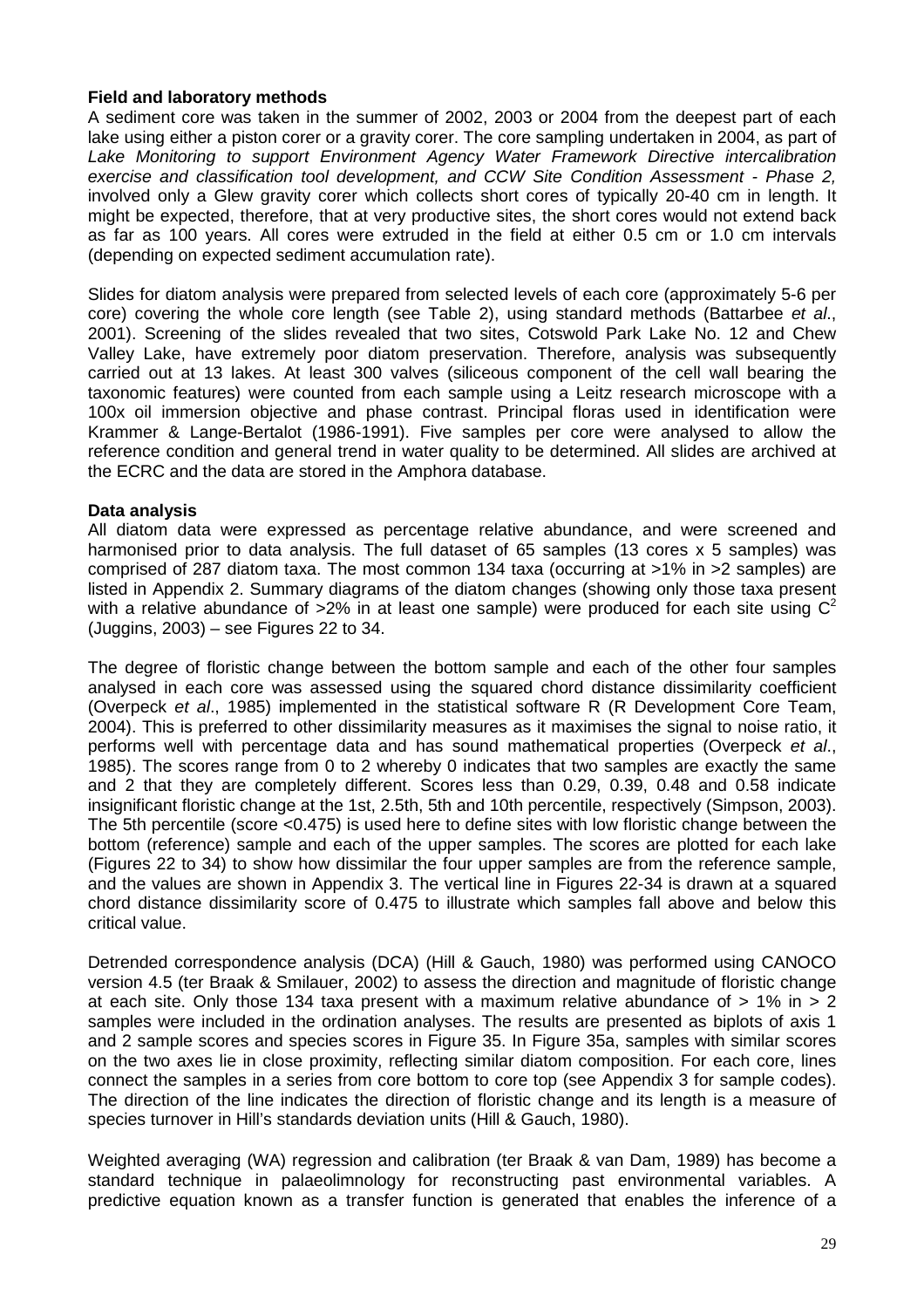#### **Field and laboratory methods**

A sediment core was taken in the summer of 2002, 2003 or 2004 from the deepest part of each lake using either a piston corer or a gravity corer. The core sampling undertaken in 2004, as part of Lake Monitoring to support Environment Agency Water Framework Directive intercalibration exercise and classification tool development, and CCW Site Condition Assessment - Phase 2, involved only a Glew gravity corer which collects short cores of typically 20-40 cm in length. It might be expected, therefore, that at very productive sites, the short cores would not extend back as far as 100 years. All cores were extruded in the field at either 0.5 cm or 1.0 cm intervals (depending on expected sediment accumulation rate).

Slides for diatom analysis were prepared from selected levels of each core (approximately 5-6 per core) covering the whole core length (see Table 2), using standard methods (Battarbee et al., 2001). Screening of the slides revealed that two sites, Cotswold Park Lake No. 12 and Chew Valley Lake, have extremely poor diatom preservation. Therefore, analysis was subsequently carried out at 13 lakes. At least 300 valves (siliceous component of the cell wall bearing the taxonomic features) were counted from each sample using a Leitz research microscope with a 100x oil immersion objective and phase contrast. Principal floras used in identification were Krammer & Lange-Bertalot (1986-1991). Five samples per core were analysed to allow the reference condition and general trend in water quality to be determined. All slides are archived at the ECRC and the data are stored in the Amphora database.

#### **Data analysis**

All diatom data were expressed as percentage relative abundance, and were screened and harmonised prior to data analysis. The full dataset of 65 samples (13 cores x 5 samples) was comprised of 287 diatom taxa. The most common 134 taxa (occurring at >1% in >2 samples) are listed in Appendix 2. Summary diagrams of the diatom changes (showing only those taxa present with a relative abundance of  $>2\%$  in at least one sample) were produced for each site using  $C^2$ (Juggins, 2003) – see Figures 22 to 34.

The degree of floristic change between the bottom sample and each of the other four samples analysed in each core was assessed using the squared chord distance dissimilarity coefficient (Overpeck et al., 1985) implemented in the statistical software R (R Development Core Team, 2004). This is preferred to other dissimilarity measures as it maximises the signal to noise ratio, it performs well with percentage data and has sound mathematical properties (Overpeck et al., 1985). The scores range from 0 to 2 whereby 0 indicates that two samples are exactly the same and 2 that they are completely different. Scores less than 0.29, 0.39, 0.48 and 0.58 indicate insignificant floristic change at the 1st, 2.5th, 5th and 10th percentile, respectively (Simpson, 2003). The 5th percentile (score <0.475) is used here to define sites with low floristic change between the bottom (reference) sample and each of the upper samples. The scores are plotted for each lake (Figures 22 to 34) to show how dissimilar the four upper samples are from the reference sample, and the values are shown in Appendix 3. The vertical line in Figures 22-34 is drawn at a squared chord distance dissimilarity score of 0.475 to illustrate which samples fall above and below this critical value.

Detrended correspondence analysis (DCA) (Hill & Gauch, 1980) was performed using CANOCO version 4.5 (ter Braak & Smilauer, 2002) to assess the direction and magnitude of floristic change at each site. Only those 134 taxa present with a maximum relative abundance of  $> 1\%$  in  $> 2$ samples were included in the ordination analyses. The results are presented as biplots of axis 1 and 2 sample scores and species scores in Figure 35. In Figure 35a, samples with similar scores on the two axes lie in close proximity, reflecting similar diatom composition. For each core, lines connect the samples in a series from core bottom to core top (see Appendix 3 for sample codes). The direction of the line indicates the direction of floristic change and its length is a measure of species turnover in Hill's standards deviation units (Hill & Gauch, 1980).

Weighted averaging (WA) regression and calibration (ter Braak & van Dam, 1989) has become a standard technique in palaeolimnology for reconstructing past environmental variables. A predictive equation known as a transfer function is generated that enables the inference of a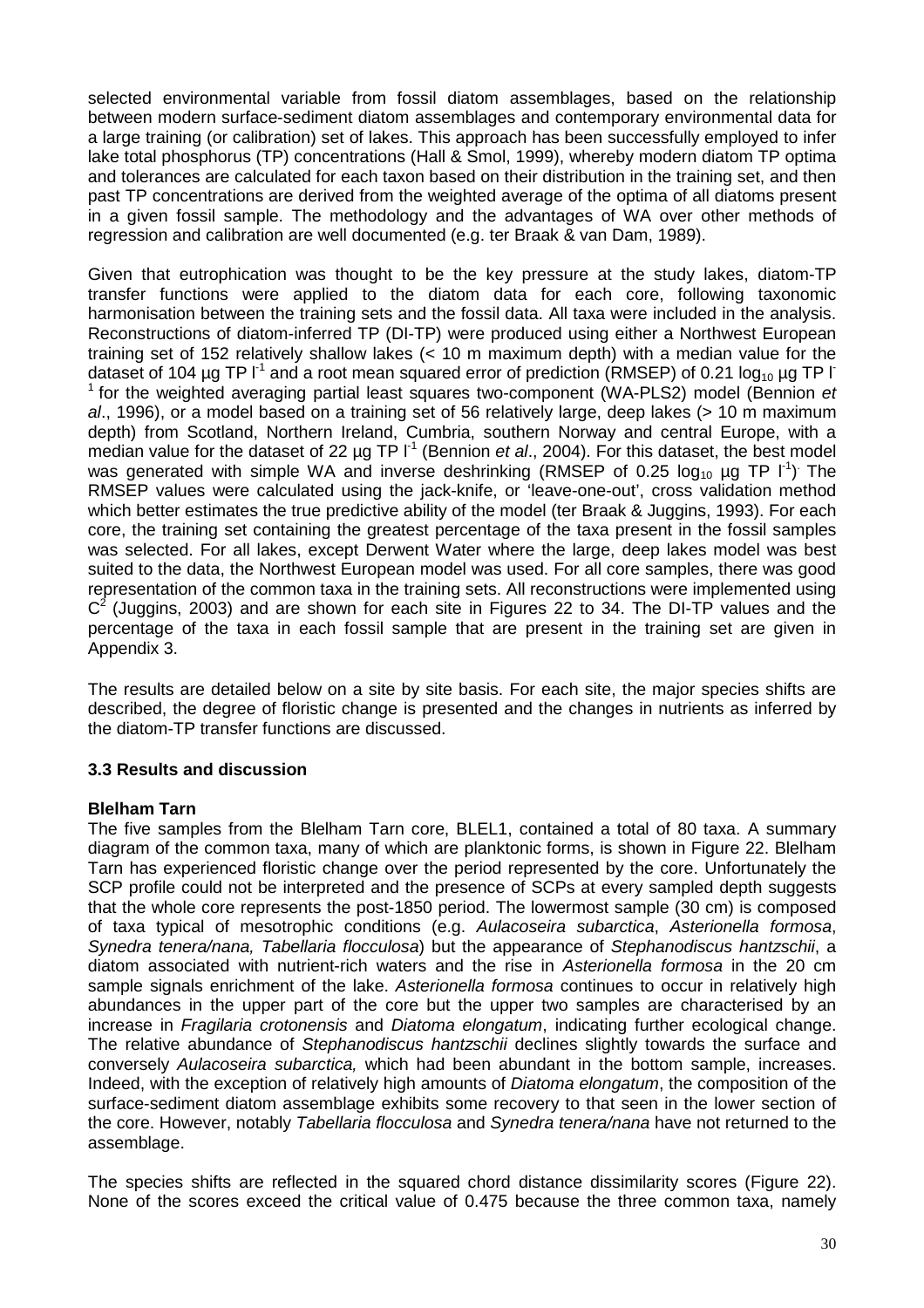selected environmental variable from fossil diatom assemblages, based on the relationship between modern surface-sediment diatom assemblages and contemporary environmental data for a large training (or calibration) set of lakes. This approach has been successfully employed to infer lake total phosphorus (TP) concentrations (Hall & Smol, 1999), whereby modern diatom TP optima and tolerances are calculated for each taxon based on their distribution in the training set, and then past TP concentrations are derived from the weighted average of the optima of all diatoms present in a given fossil sample. The methodology and the advantages of WA over other methods of regression and calibration are well documented (e.g. ter Braak & van Dam, 1989).

Given that eutrophication was thought to be the key pressure at the study lakes, diatom-TP transfer functions were applied to the diatom data for each core, following taxonomic harmonisation between the training sets and the fossil data. All taxa were included in the analysis. Reconstructions of diatom-inferred TP (DI-TP) were produced using either a Northwest European training set of 152 relatively shallow lakes (< 10 m maximum depth) with a median value for the dataset of 104 µg TP  $I^1$  and a root mean squared error of prediction (RMSEP) of 0.21  $log_{10}$  µg TP I  $1$  for the weighted averaging partial least squares two-component (WA-PLS2) model (Bennion et al., 1996), or a model based on a training set of 56 relatively large, deep lakes (> 10 m maximum depth) from Scotland, Northern Ireland, Cumbria, southern Norway and central Europe, with a median value for the dataset of 22  $\mu$ g TP  $I^1$  (Bennion *et al.*, 2004). For this dataset, the best model was generated with simple WA and inverse deshrinking (RMSEP of 0.25  $log_{10}$  µg TP  $1<sup>-1</sup>$ ) The RMSEP values were calculated using the jack-knife, or 'leave-one-out', cross validation method which better estimates the true predictive ability of the model (ter Braak & Juggins, 1993). For each core, the training set containing the greatest percentage of the taxa present in the fossil samples was selected. For all lakes, except Derwent Water where the large, deep lakes model was best suited to the data, the Northwest European model was used. For all core samples, there was good representation of the common taxa in the training sets. All reconstructions were implemented using  $C<sup>2</sup>$  (Juggins, 2003) and are shown for each site in Figures 22 to 34. The DI-TP values and the percentage of the taxa in each fossil sample that are present in the training set are given in Appendix 3.

The results are detailed below on a site by site basis. For each site, the major species shifts are described, the degree of floristic change is presented and the changes in nutrients as inferred by the diatom-TP transfer functions are discussed.

#### **3.3 Results and discussion**

#### **Blelham Tarn**

The five samples from the Blelham Tarn core, BLEL1, contained a total of 80 taxa. A summary diagram of the common taxa, many of which are planktonic forms, is shown in Figure 22. Blelham Tarn has experienced floristic change over the period represented by the core. Unfortunately the SCP profile could not be interpreted and the presence of SCPs at every sampled depth suggests that the whole core represents the post-1850 period. The lowermost sample (30 cm) is composed of taxa typical of mesotrophic conditions (e.g. Aulacoseira subarctica, Asterionella formosa, Synedra tenera/nana, Tabellaria flocculosa) but the appearance of Stephanodiscus hantzschii, a diatom associated with nutrient-rich waters and the rise in Asterionella formosa in the 20 cm sample signals enrichment of the lake. Asterionella formosa continues to occur in relatively high abundances in the upper part of the core but the upper two samples are characterised by an increase in Fragilaria crotonensis and Diatoma elongatum, indicating further ecological change. The relative abundance of Stephanodiscus hantzschii declines slightly towards the surface and conversely Aulacoseira subarctica, which had been abundant in the bottom sample, increases. Indeed, with the exception of relatively high amounts of Diatoma elongatum, the composition of the surface-sediment diatom assemblage exhibits some recovery to that seen in the lower section of the core. However, notably Tabellaria flocculosa and Synedra tenera/nana have not returned to the assemblage.

The species shifts are reflected in the squared chord distance dissimilarity scores (Figure 22). None of the scores exceed the critical value of 0.475 because the three common taxa, namely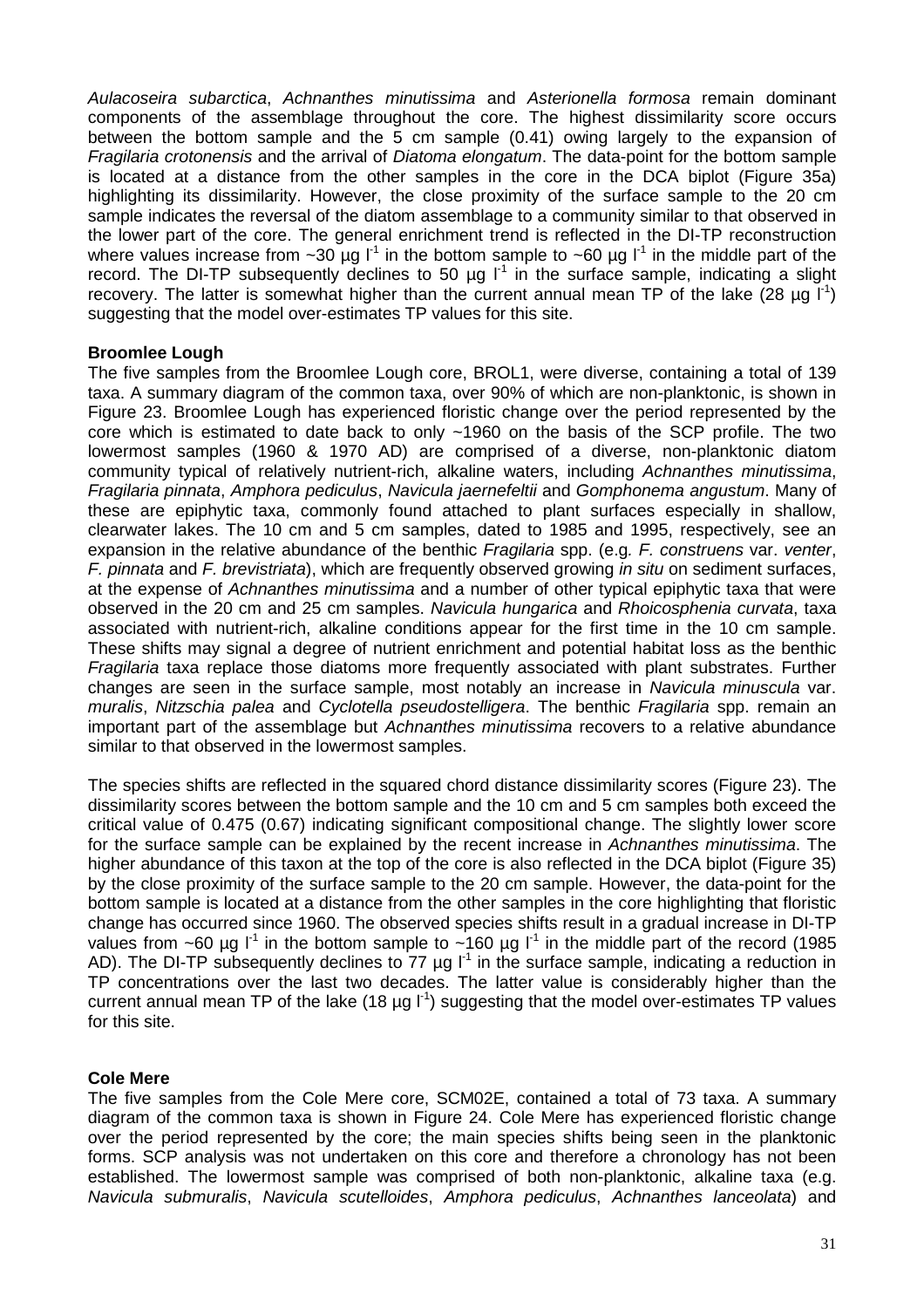Aulacoseira subarctica, Achnanthes minutissima and Asterionella formosa remain dominant components of the assemblage throughout the core. The highest dissimilarity score occurs between the bottom sample and the 5 cm sample (0.41) owing largely to the expansion of Fragilaria crotonensis and the arrival of Diatoma elongatum. The data-point for the bottom sample is located at a distance from the other samples in the core in the DCA biplot (Figure 35a) highlighting its dissimilarity. However, the close proximity of the surface sample to the 20 cm sample indicates the reversal of the diatom assemblage to a community similar to that observed in the lower part of the core. The general enrichment trend is reflected in the DI-TP reconstruction where values increase from ~30 µg  $I^1$  in the bottom sample to ~60 µg  $I^1$  in the middle part of the record. The DI-TP subsequently declines to 50  $\mu$ g l<sup>1</sup> in the surface sample, indicating a slight recovery. The latter is somewhat higher than the current annual mean TP of the lake (28  $\mu$ g l<sup>-1</sup>) suggesting that the model over-estimates TP values for this site.

#### **Broomlee Lough**

The five samples from the Broomlee Lough core, BROL1, were diverse, containing a total of 139 taxa. A summary diagram of the common taxa, over 90% of which are non-planktonic, is shown in Figure 23. Broomlee Lough has experienced floristic change over the period represented by the core which is estimated to date back to only ~1960 on the basis of the SCP profile. The two lowermost samples (1960 & 1970 AD) are comprised of a diverse, non-planktonic diatom community typical of relatively nutrient-rich, alkaline waters, including Achnanthes minutissima, Fragilaria pinnata, Amphora pediculus, Navicula jaernefeltii and Gomphonema angustum. Many of these are epiphytic taxa, commonly found attached to plant surfaces especially in shallow, clearwater lakes. The 10 cm and 5 cm samples, dated to 1985 and 1995, respectively, see an expansion in the relative abundance of the benthic Fragilaria spp. (e.g. F. construens var. venter, F. pinnata and F. brevistriata), which are frequently observed growing in situ on sediment surfaces, at the expense of Achnanthes minutissima and a number of other typical epiphytic taxa that were observed in the 20 cm and 25 cm samples. Navicula hungarica and Rhoicosphenia curvata, taxa associated with nutrient-rich, alkaline conditions appear for the first time in the 10 cm sample. These shifts may signal a degree of nutrient enrichment and potential habitat loss as the benthic Fragilaria taxa replace those diatoms more frequently associated with plant substrates. Further changes are seen in the surface sample, most notably an increase in Navicula minuscula var. muralis, Nitzschia palea and Cyclotella pseudostelligera. The benthic Fragilaria spp. remain an important part of the assemblage but Achnanthes minutissima recovers to a relative abundance similar to that observed in the lowermost samples.

The species shifts are reflected in the squared chord distance dissimilarity scores (Figure 23). The dissimilarity scores between the bottom sample and the 10 cm and 5 cm samples both exceed the critical value of 0.475 (0.67) indicating significant compositional change. The slightly lower score for the surface sample can be explained by the recent increase in Achnanthes minutissima. The higher abundance of this taxon at the top of the core is also reflected in the DCA biplot (Figure 35) by the close proximity of the surface sample to the 20 cm sample. However, the data-point for the bottom sample is located at a distance from the other samples in the core highlighting that floristic change has occurred since 1960. The observed species shifts result in a gradual increase in DI-TP values from ~60 µg  $I^1$  in the bottom sample to ~160 µg  $I^1$  in the middle part of the record (1985 AD). The DI-TP subsequently declines to 77 ug  $I^1$  in the surface sample, indicating a reduction in TP concentrations over the last two decades. The latter value is considerably higher than the current annual mean TP of the lake (18  $\mu$ g l<sup>-1</sup>) suggesting that the model over-estimates TP values for this site.

#### **Cole Mere**

The five samples from the Cole Mere core, SCM02E, contained a total of 73 taxa. A summary diagram of the common taxa is shown in Figure 24. Cole Mere has experienced floristic change over the period represented by the core; the main species shifts being seen in the planktonic forms. SCP analysis was not undertaken on this core and therefore a chronology has not been established. The lowermost sample was comprised of both non-planktonic, alkaline taxa (e.g. Navicula submuralis, Navicula scutelloides, Amphora pediculus, Achnanthes lanceolata) and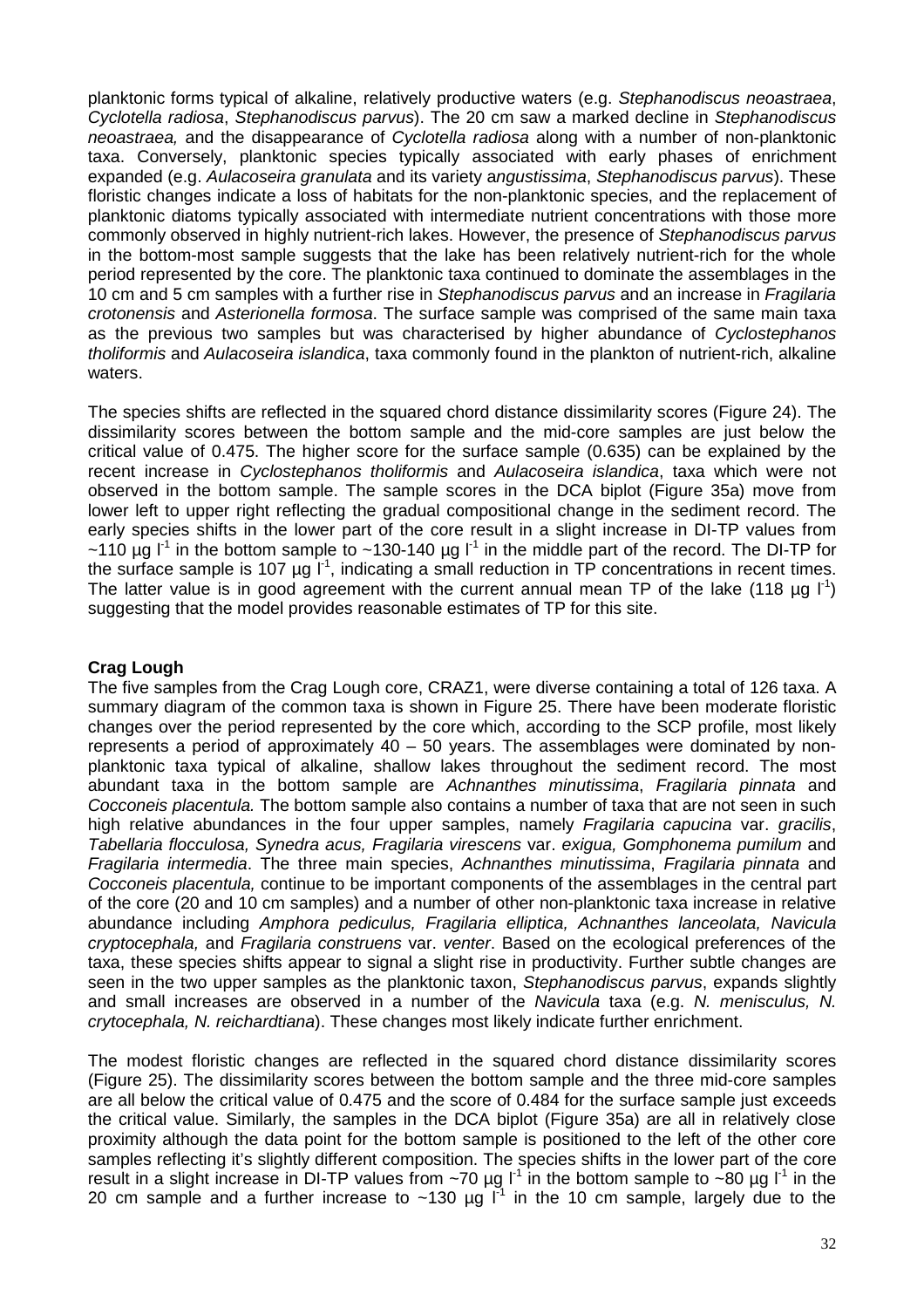planktonic forms typical of alkaline, relatively productive waters (e.g. Stephanodiscus neoastraea, Cyclotella radiosa, Stephanodiscus parvus). The 20 cm saw a marked decline in Stephanodiscus neoastraea, and the disappearance of Cyclotella radiosa along with a number of non-planktonic taxa. Conversely, planktonic species typically associated with early phases of enrichment expanded (e.g. Aulacoseira granulata and its variety angustissima, Stephanodiscus parvus). These floristic changes indicate a loss of habitats for the non-planktonic species, and the replacement of planktonic diatoms typically associated with intermediate nutrient concentrations with those more commonly observed in highly nutrient-rich lakes. However, the presence of Stephanodiscus parvus in the bottom-most sample suggests that the lake has been relatively nutrient-rich for the whole period represented by the core. The planktonic taxa continued to dominate the assemblages in the 10 cm and 5 cm samples with a further rise in Stephanodiscus parvus and an increase in Fragilaria crotonensis and Asterionella formosa. The surface sample was comprised of the same main taxa as the previous two samples but was characterised by higher abundance of Cyclostephanos tholiformis and Aulacoseira islandica, taxa commonly found in the plankton of nutrient-rich, alkaline waters.

The species shifts are reflected in the squared chord distance dissimilarity scores (Figure 24). The dissimilarity scores between the bottom sample and the mid-core samples are just below the critical value of 0.475. The higher score for the surface sample (0.635) can be explained by the recent increase in Cyclostephanos tholiformis and Aulacoseira islandica, taxa which were not observed in the bottom sample. The sample scores in the DCA biplot (Figure 35a) move from lower left to upper right reflecting the gradual compositional change in the sediment record. The early species shifts in the lower part of the core result in a slight increase in DI-TP values from ~110 µg  $I^1$  in the bottom sample to ~130-140 µg  $I^1$  in the middle part of the record. The DI-TP for the surface sample is 107  $\mu$ g l<sup>-1</sup>, indicating a small reduction in TP concentrations in recent times. The latter value is in good agreement with the current annual mean TP of the lake (118 µg  $I<sup>-1</sup>$ ) suggesting that the model provides reasonable estimates of TP for this site.

#### **Crag Lough**

The five samples from the Crag Lough core, CRAZ1, were diverse containing a total of 126 taxa. A summary diagram of the common taxa is shown in Figure 25. There have been moderate floristic changes over the period represented by the core which, according to the SCP profile, most likely represents a period of approximately 40 – 50 years. The assemblages were dominated by nonplanktonic taxa typical of alkaline, shallow lakes throughout the sediment record. The most abundant taxa in the bottom sample are Achnanthes minutissima, Fragilaria pinnata and Cocconeis placentula. The bottom sample also contains a number of taxa that are not seen in such high relative abundances in the four upper samples, namely *Fragilaria capucina var. gracilis*, Tabellaria flocculosa, Synedra acus, Fragilaria virescens var. exigua, Gomphonema pumilum and Fragilaria intermedia. The three main species, Achnanthes minutissima, Fragilaria pinnata and Cocconeis placentula, continue to be important components of the assemblages in the central part of the core (20 and 10 cm samples) and a number of other non-planktonic taxa increase in relative abundance including Amphora pediculus, Fragilaria elliptica, Achnanthes lanceolata, Navicula cryptocephala, and Fragilaria construens var. venter. Based on the ecological preferences of the taxa, these species shifts appear to signal a slight rise in productivity. Further subtle changes are seen in the two upper samples as the planktonic taxon, Stephanodiscus parvus, expands slightly and small increases are observed in a number of the Navicula taxa (e.g. N. menisculus, N. crytocephala, N. reichardtiana). These changes most likely indicate further enrichment.

The modest floristic changes are reflected in the squared chord distance dissimilarity scores (Figure 25). The dissimilarity scores between the bottom sample and the three mid-core samples are all below the critical value of 0.475 and the score of 0.484 for the surface sample just exceeds the critical value. Similarly, the samples in the DCA biplot (Figure 35a) are all in relatively close proximity although the data point for the bottom sample is positioned to the left of the other core samples reflecting it's slightly different composition. The species shifts in the lower part of the core result in a slight increase in DI-TP values from ~70 µg l<sup>-1</sup> in the bottom sample to ~80 µg l<sup>-1</sup> in the 20 cm sample and a further increase to ~130  $\mu q$   $I^1$  in the 10 cm sample, largely due to the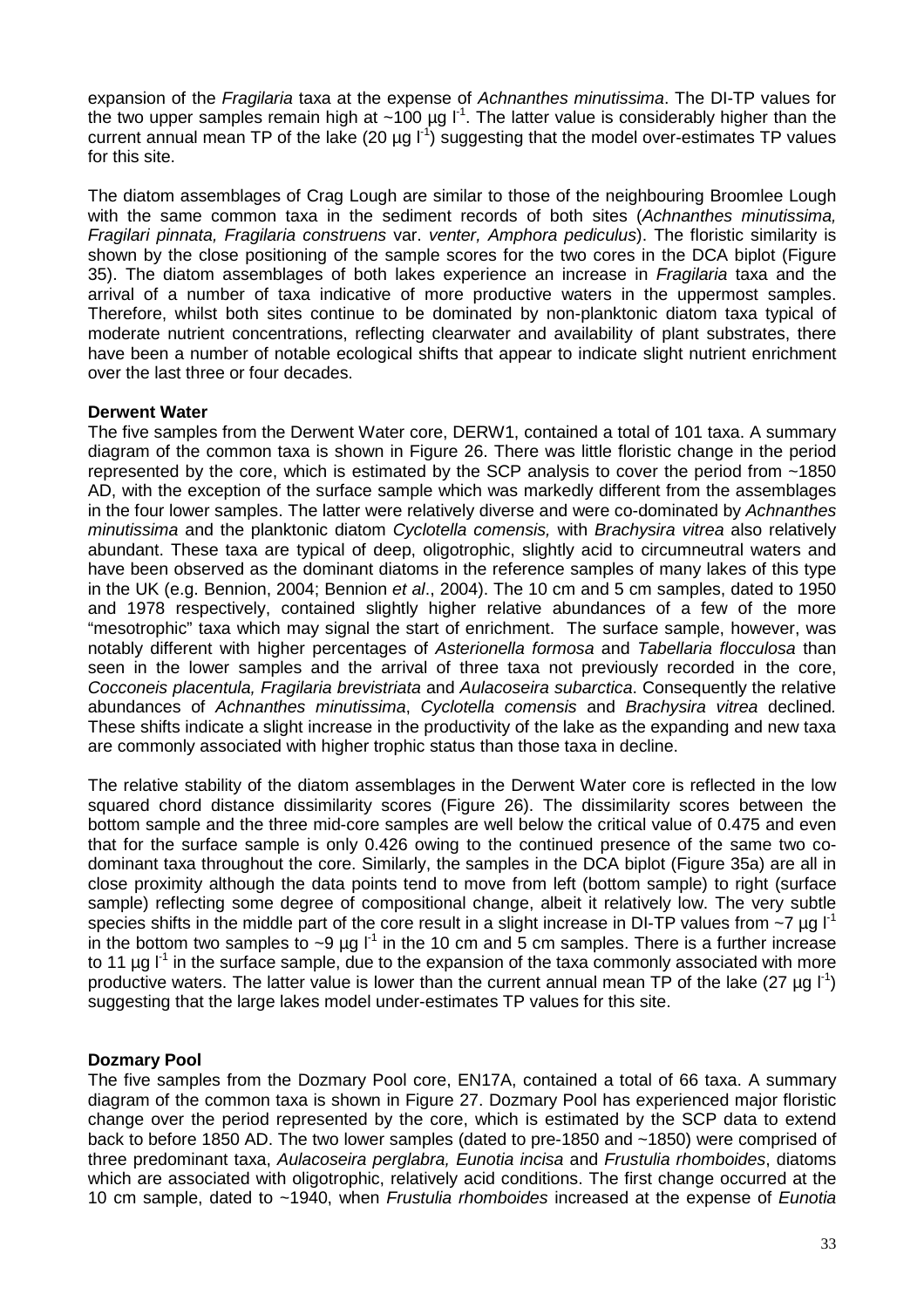expansion of the Fragilaria taxa at the expense of Achnanthes minutissima. The DI-TP values for the two upper samples remain high at  $~100$  µg  $l^1$ . The latter value is considerably higher than the current annual mean TP of the lake (20  $\mu$ g l<sup>-1</sup>) suggesting that the model over-estimates TP values for this site.

The diatom assemblages of Crag Lough are similar to those of the neighbouring Broomlee Lough with the same common taxa in the sediment records of both sites (Achnanthes minutissima, Fragilari pinnata, Fragilaria construens var. venter, Amphora pediculus). The floristic similarity is shown by the close positioning of the sample scores for the two cores in the DCA biplot (Figure 35). The diatom assemblages of both lakes experience an increase in Fragilaria taxa and the arrival of a number of taxa indicative of more productive waters in the uppermost samples. Therefore, whilst both sites continue to be dominated by non-planktonic diatom taxa typical of moderate nutrient concentrations, reflecting clearwater and availability of plant substrates, there have been a number of notable ecological shifts that appear to indicate slight nutrient enrichment over the last three or four decades.

#### **Derwent Water**

The five samples from the Derwent Water core, DERW1, contained a total of 101 taxa. A summary diagram of the common taxa is shown in Figure 26. There was little floristic change in the period represented by the core, which is estimated by the SCP analysis to cover the period from ~1850 AD, with the exception of the surface sample which was markedly different from the assemblages in the four lower samples. The latter were relatively diverse and were co-dominated by Achnanthes minutissima and the planktonic diatom Cyclotella comensis, with Brachysira vitrea also relatively abundant. These taxa are typical of deep, oligotrophic, slightly acid to circumneutral waters and have been observed as the dominant diatoms in the reference samples of many lakes of this type in the UK (e.g. Bennion, 2004; Bennion et al., 2004). The 10 cm and 5 cm samples, dated to 1950 and 1978 respectively, contained slightly higher relative abundances of a few of the more "mesotrophic" taxa which may signal the start of enrichment. The surface sample, however, was notably different with higher percentages of Asterionella formosa and Tabellaria flocculosa than seen in the lower samples and the arrival of three taxa not previously recorded in the core, Cocconeis placentula, Fragilaria brevistriata and Aulacoseira subarctica. Consequently the relative abundances of Achnanthes minutissima, Cyclotella comensis and Brachysira vitrea declined. These shifts indicate a slight increase in the productivity of the lake as the expanding and new taxa are commonly associated with higher trophic status than those taxa in decline.

The relative stability of the diatom assemblages in the Derwent Water core is reflected in the low squared chord distance dissimilarity scores (Figure 26). The dissimilarity scores between the bottom sample and the three mid-core samples are well below the critical value of 0.475 and even that for the surface sample is only 0.426 owing to the continued presence of the same two codominant taxa throughout the core. Similarly, the samples in the DCA biplot (Figure 35a) are all in close proximity although the data points tend to move from left (bottom sample) to right (surface sample) reflecting some degree of compositional change, albeit it relatively low. The very subtle species shifts in the middle part of the core result in a slight increase in DI-TP values from  $\sim$ 7 ug l<sup>-1</sup> in the bottom two samples to  $\sim$ 9 µg  $I^{-1}$  in the 10 cm and 5 cm samples. There is a further increase to 11  $\mu$ g l<sup>-1</sup> in the surface sample, due to the expansion of the taxa commonly associated with more productive waters. The latter value is lower than the current annual mean TP of the lake (27 µg  $\vert$ <sup>1</sup>) suggesting that the large lakes model under-estimates TP values for this site.

#### **Dozmary Pool**

The five samples from the Dozmary Pool core, EN17A, contained a total of 66 taxa. A summary diagram of the common taxa is shown in Figure 27. Dozmary Pool has experienced major floristic change over the period represented by the core, which is estimated by the SCP data to extend back to before 1850 AD. The two lower samples (dated to pre-1850 and ~1850) were comprised of three predominant taxa, Aulacoseira perglabra, Eunotia incisa and Frustulia rhomboides, diatoms which are associated with oligotrophic, relatively acid conditions. The first change occurred at the 10 cm sample, dated to ~1940, when Frustulia rhomboides increased at the expense of Eunotia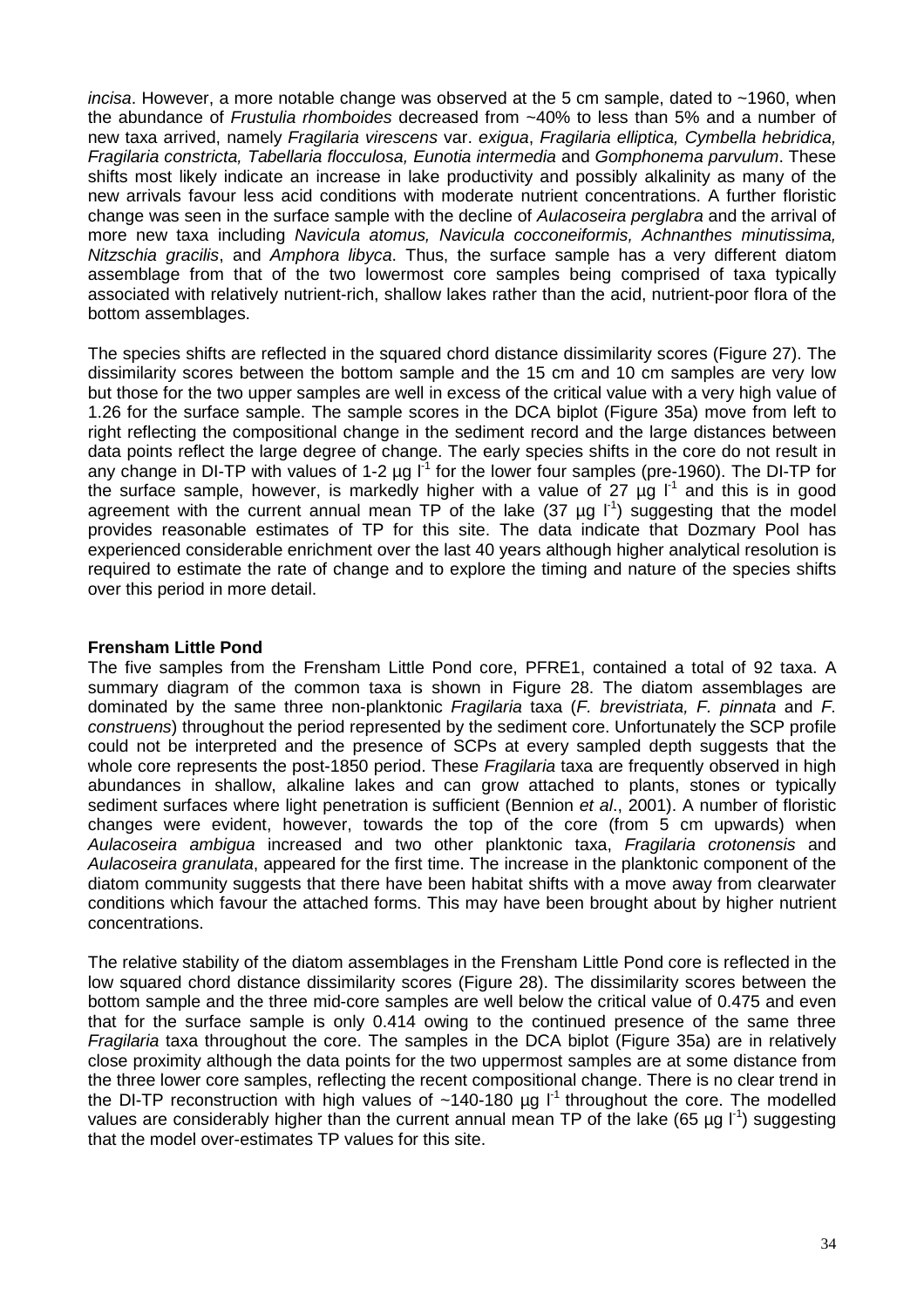incisa. However, a more notable change was observed at the 5 cm sample, dated to ~1960, when the abundance of Frustulia rhomboides decreased from ~40% to less than 5% and a number of new taxa arrived, namely Fragilaria virescens var. exigua, Fragilaria elliptica, Cymbella hebridica, Fragilaria constricta, Tabellaria flocculosa, Eunotia intermedia and Gomphonema parvulum. These shifts most likely indicate an increase in lake productivity and possibly alkalinity as many of the new arrivals favour less acid conditions with moderate nutrient concentrations. A further floristic change was seen in the surface sample with the decline of Aulacoseira perglabra and the arrival of more new taxa including Navicula atomus, Navicula cocconeiformis, Achnanthes minutissima, Nitzschia gracilis, and Amphora libyca. Thus, the surface sample has a very different diatom assemblage from that of the two lowermost core samples being comprised of taxa typically associated with relatively nutrient-rich, shallow lakes rather than the acid, nutrient-poor flora of the bottom assemblages.

The species shifts are reflected in the squared chord distance dissimilarity scores (Figure 27). The dissimilarity scores between the bottom sample and the 15 cm and 10 cm samples are very low but those for the two upper samples are well in excess of the critical value with a very high value of 1.26 for the surface sample. The sample scores in the DCA biplot (Figure 35a) move from left to right reflecting the compositional change in the sediment record and the large distances between data points reflect the large degree of change. The early species shifts in the core do not result in any change in DI-TP with values of 1-2  $\mu$ g l<sup>-1</sup> for the lower four samples (pre-1960). The DI-TP for the surface sample, however, is markedly higher with a value of 27  $\mu$ g l<sup>-1</sup> and this is in good agreement with the current annual mean TP of the lake (37  $\mu$ g l<sup>-1</sup>) suggesting that the model provides reasonable estimates of TP for this site. The data indicate that Dozmary Pool has experienced considerable enrichment over the last 40 years although higher analytical resolution is required to estimate the rate of change and to explore the timing and nature of the species shifts over this period in more detail.

#### **Frensham Little Pond**

The five samples from the Frensham Little Pond core, PFRE1, contained a total of 92 taxa. A summary diagram of the common taxa is shown in Figure 28. The diatom assemblages are dominated by the same three non-planktonic Fragilaria taxa  $(F.$  brevistriata, F. pinnata and F. construens) throughout the period represented by the sediment core. Unfortunately the SCP profile could not be interpreted and the presence of SCPs at every sampled depth suggests that the whole core represents the post-1850 period. These Fragilaria taxa are frequently observed in high abundances in shallow, alkaline lakes and can grow attached to plants, stones or typically sediment surfaces where light penetration is sufficient (Bennion et al., 2001). A number of floristic changes were evident, however, towards the top of the core (from 5 cm upwards) when Aulacoseira ambigua increased and two other planktonic taxa, Fragilaria crotonensis and Aulacoseira granulata, appeared for the first time. The increase in the planktonic component of the diatom community suggests that there have been habitat shifts with a move away from clearwater conditions which favour the attached forms. This may have been brought about by higher nutrient concentrations.

The relative stability of the diatom assemblages in the Frensham Little Pond core is reflected in the low squared chord distance dissimilarity scores (Figure 28). The dissimilarity scores between the bottom sample and the three mid-core samples are well below the critical value of 0.475 and even that for the surface sample is only 0.414 owing to the continued presence of the same three Fragilaria taxa throughout the core. The samples in the DCA biplot (Figure 35a) are in relatively close proximity although the data points for the two uppermost samples are at some distance from the three lower core samples, reflecting the recent compositional change. There is no clear trend in the DI-TP reconstruction with high values of  $~140-180$  µg  $l^1$  throughout the core. The modelled values are considerably higher than the current annual mean TP of the lake (65 µg  $\vert$ <sup>-1</sup>) suggesting that the model over-estimates TP values for this site.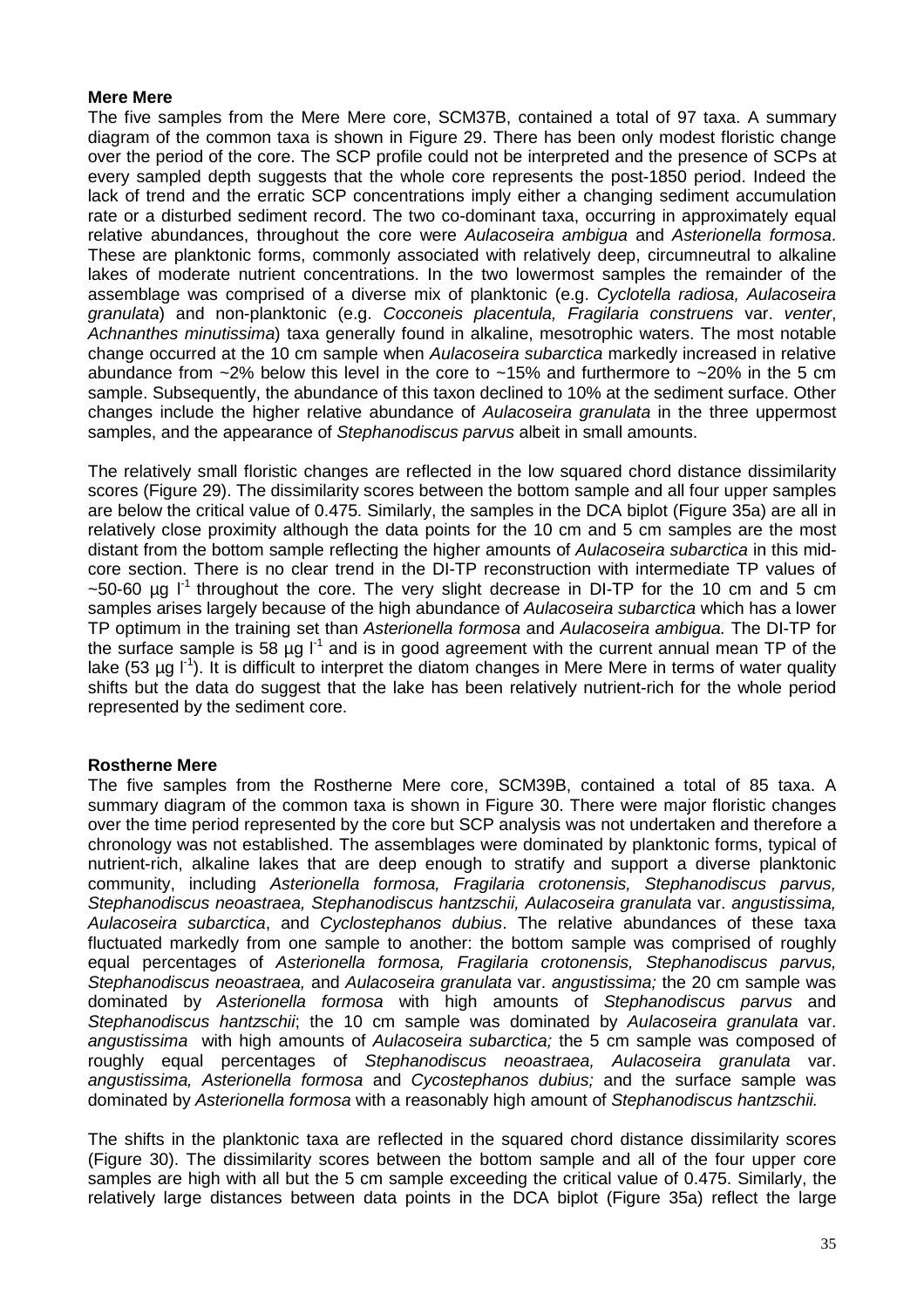#### **Mere Mere**

The five samples from the Mere Mere core, SCM37B, contained a total of 97 taxa. A summary diagram of the common taxa is shown in Figure 29. There has been only modest floristic change over the period of the core. The SCP profile could not be interpreted and the presence of SCPs at every sampled depth suggests that the whole core represents the post-1850 period. Indeed the lack of trend and the erratic SCP concentrations imply either a changing sediment accumulation rate or a disturbed sediment record. The two co-dominant taxa, occurring in approximately equal relative abundances, throughout the core were Aulacoseira ambigua and Asterionella formosa. These are planktonic forms, commonly associated with relatively deep, circumneutral to alkaline lakes of moderate nutrient concentrations. In the two lowermost samples the remainder of the assemblage was comprised of a diverse mix of planktonic (e.g. Cyclotella radiosa, Aulacoseira granulata) and non-planktonic (e.g. Cocconeis placentula, Fragilaria construens var. venter, Achnanthes minutissima) taxa generally found in alkaline, mesotrophic waters. The most notable change occurred at the 10 cm sample when Aulacoseira subarctica markedly increased in relative abundance from  $\sim$ 2% below this level in the core to  $\sim$ 15% and furthermore to  $\sim$ 20% in the 5 cm sample. Subsequently, the abundance of this taxon declined to 10% at the sediment surface. Other changes include the higher relative abundance of Aulacoseira granulata in the three uppermost samples, and the appearance of Stephanodiscus parvus albeit in small amounts.

The relatively small floristic changes are reflected in the low squared chord distance dissimilarity scores (Figure 29). The dissimilarity scores between the bottom sample and all four upper samples are below the critical value of 0.475. Similarly, the samples in the DCA biplot (Figure 35a) are all in relatively close proximity although the data points for the 10 cm and 5 cm samples are the most distant from the bottom sample reflecting the higher amounts of *Aulacoseira subarctica* in this midcore section. There is no clear trend in the DI-TP reconstruction with intermediate TP values of  $\sim$ 50-60 µg l<sup>-1</sup> throughout the core. The very slight decrease in DI-TP for the 10 cm and 5 cm samples arises largely because of the high abundance of Aulacoseira subarctica which has a lower TP optimum in the training set than Asterionella formosa and Aulacoseira ambigua. The DI-TP for the surface sample is 58  $\mu$ g l<sup>-1</sup> and is in good agreement with the current annual mean TP of the lake (53  $\mu$ g l<sup>-1</sup>). It is difficult to interpret the diatom changes in Mere Mere in terms of water quality shifts but the data do suggest that the lake has been relatively nutrient-rich for the whole period represented by the sediment core.

#### **Rostherne Mere**

The five samples from the Rostherne Mere core, SCM39B, contained a total of 85 taxa. A summary diagram of the common taxa is shown in Figure 30. There were major floristic changes over the time period represented by the core but SCP analysis was not undertaken and therefore a chronology was not established. The assemblages were dominated by planktonic forms, typical of nutrient-rich, alkaline lakes that are deep enough to stratify and support a diverse planktonic community, including Asterionella formosa, Fragilaria crotonensis, Stephanodiscus parvus, Stephanodiscus neoastraea, Stephanodiscus hantzschii, Aulacoseira granulata var. angustissima, Aulacoseira subarctica, and Cyclostephanos dubius. The relative abundances of these taxa fluctuated markedly from one sample to another: the bottom sample was comprised of roughly equal percentages of Asterionella formosa, Fragilaria crotonensis, Stephanodiscus parvus, Stephanodiscus neoastraea, and Aulacoseira granulata var. angustissima; the 20 cm sample was dominated by Asterionella formosa with high amounts of Stephanodiscus parvus and Stephanodiscus hantzschii; the 10 cm sample was dominated by Aulacoseira granulata var. angustissima with high amounts of Aulacoseira subarctica; the 5 cm sample was composed of roughly equal percentages of Stephanodiscus neoastraea, Aulacoseira granulata var. angustissima, Asterionella formosa and Cycostephanos dubius; and the surface sample was dominated by Asterionella formosa with a reasonably high amount of Stephanodiscus hantzschii.

The shifts in the planktonic taxa are reflected in the squared chord distance dissimilarity scores (Figure 30). The dissimilarity scores between the bottom sample and all of the four upper core samples are high with all but the 5 cm sample exceeding the critical value of 0.475. Similarly, the relatively large distances between data points in the DCA biplot (Figure 35a) reflect the large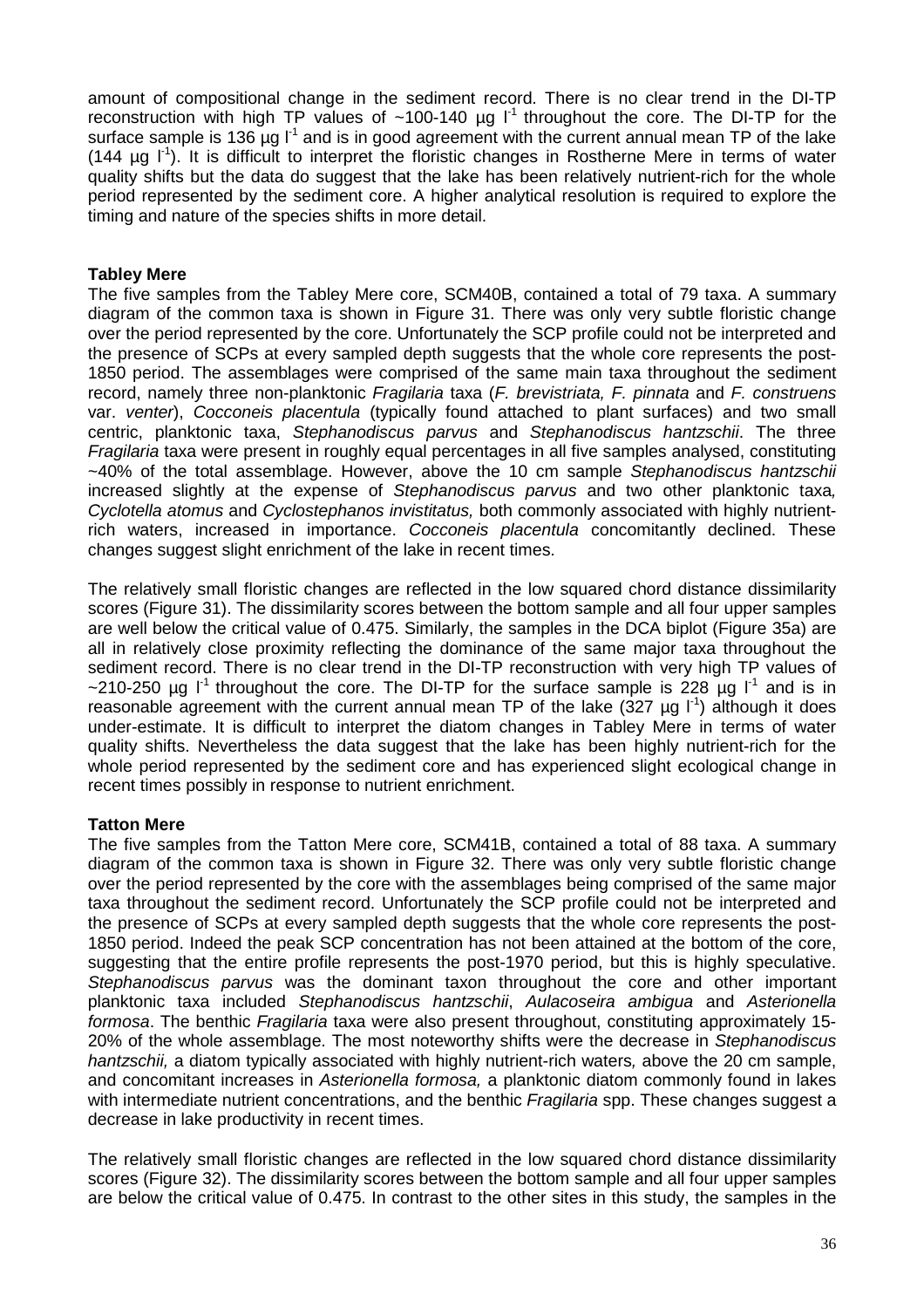amount of compositional change in the sediment record. There is no clear trend in the DI-TP reconstruction with high TP values of  $~100-140$  µg  $l^1$  throughout the core. The DI-TP for the surface sample is 136  $\mu$ g l<sup>-1</sup> and is in good agreement with the current annual mean TP of the lake  $(144 \mu g I<sup>1</sup>)$ . It is difficult to interpret the floristic changes in Rostherne Mere in terms of water quality shifts but the data do suggest that the lake has been relatively nutrient-rich for the whole period represented by the sediment core. A higher analytical resolution is required to explore the timing and nature of the species shifts in more detail.

#### **Tabley Mere**

The five samples from the Tabley Mere core, SCM40B, contained a total of 79 taxa. A summary diagram of the common taxa is shown in Figure 31. There was only very subtle floristic change over the period represented by the core. Unfortunately the SCP profile could not be interpreted and the presence of SCPs at every sampled depth suggests that the whole core represents the post-1850 period. The assemblages were comprised of the same main taxa throughout the sediment record, namely three non-planktonic Fragilaria taxa (F. brevistriata, F. pinnata and F. construens var. venter), Cocconeis placentula (typically found attached to plant surfaces) and two small centric, planktonic taxa, Stephanodiscus parvus and Stephanodiscus hantzschii. The three Fragilaria taxa were present in roughly equal percentages in all five samples analysed, constituting ~40% of the total assemblage. However, above the 10 cm sample Stephanodiscus hantzschii increased slightly at the expense of Stephanodiscus parvus and two other planktonic taxa, Cyclotella atomus and Cyclostephanos invistitatus, both commonly associated with highly nutrientrich waters, increased in importance. Cocconeis placentula concomitantly declined. These changes suggest slight enrichment of the lake in recent times.

The relatively small floristic changes are reflected in the low squared chord distance dissimilarity scores (Figure 31). The dissimilarity scores between the bottom sample and all four upper samples are well below the critical value of 0.475. Similarly, the samples in the DCA biplot (Figure 35a) are all in relatively close proximity reflecting the dominance of the same major taxa throughout the sediment record. There is no clear trend in the DI-TP reconstruction with very high TP values of ~210-250 µg  $I^1$  throughout the core. The DI-TP for the surface sample is 228 µg  $I^1$  and is in reasonable agreement with the current annual mean TP of the lake (327  $\mu$ g l<sup>-1</sup>) although it does under-estimate. It is difficult to interpret the diatom changes in Tabley Mere in terms of water quality shifts. Nevertheless the data suggest that the lake has been highly nutrient-rich for the whole period represented by the sediment core and has experienced slight ecological change in recent times possibly in response to nutrient enrichment.

#### **Tatton Mere**

The five samples from the Tatton Mere core, SCM41B, contained a total of 88 taxa. A summary diagram of the common taxa is shown in Figure 32. There was only very subtle floristic change over the period represented by the core with the assemblages being comprised of the same major taxa throughout the sediment record. Unfortunately the SCP profile could not be interpreted and the presence of SCPs at every sampled depth suggests that the whole core represents the post-1850 period. Indeed the peak SCP concentration has not been attained at the bottom of the core, suggesting that the entire profile represents the post-1970 period, but this is highly speculative. Stephanodiscus parvus was the dominant taxon throughout the core and other important planktonic taxa included Stephanodiscus hantzschii, Aulacoseira ambigua and Asterionella formosa. The benthic Fragilaria taxa were also present throughout, constituting approximately 15-20% of the whole assemblage. The most noteworthy shifts were the decrease in Stephanodiscus hantzschii, a diatom typically associated with highly nutrient-rich waters, above the 20 cm sample, and concomitant increases in Asterionella formosa, a planktonic diatom commonly found in lakes with intermediate nutrient concentrations, and the benthic Fragilaria spp. These changes suggest a decrease in lake productivity in recent times.

The relatively small floristic changes are reflected in the low squared chord distance dissimilarity scores (Figure 32). The dissimilarity scores between the bottom sample and all four upper samples are below the critical value of 0.475. In contrast to the other sites in this study, the samples in the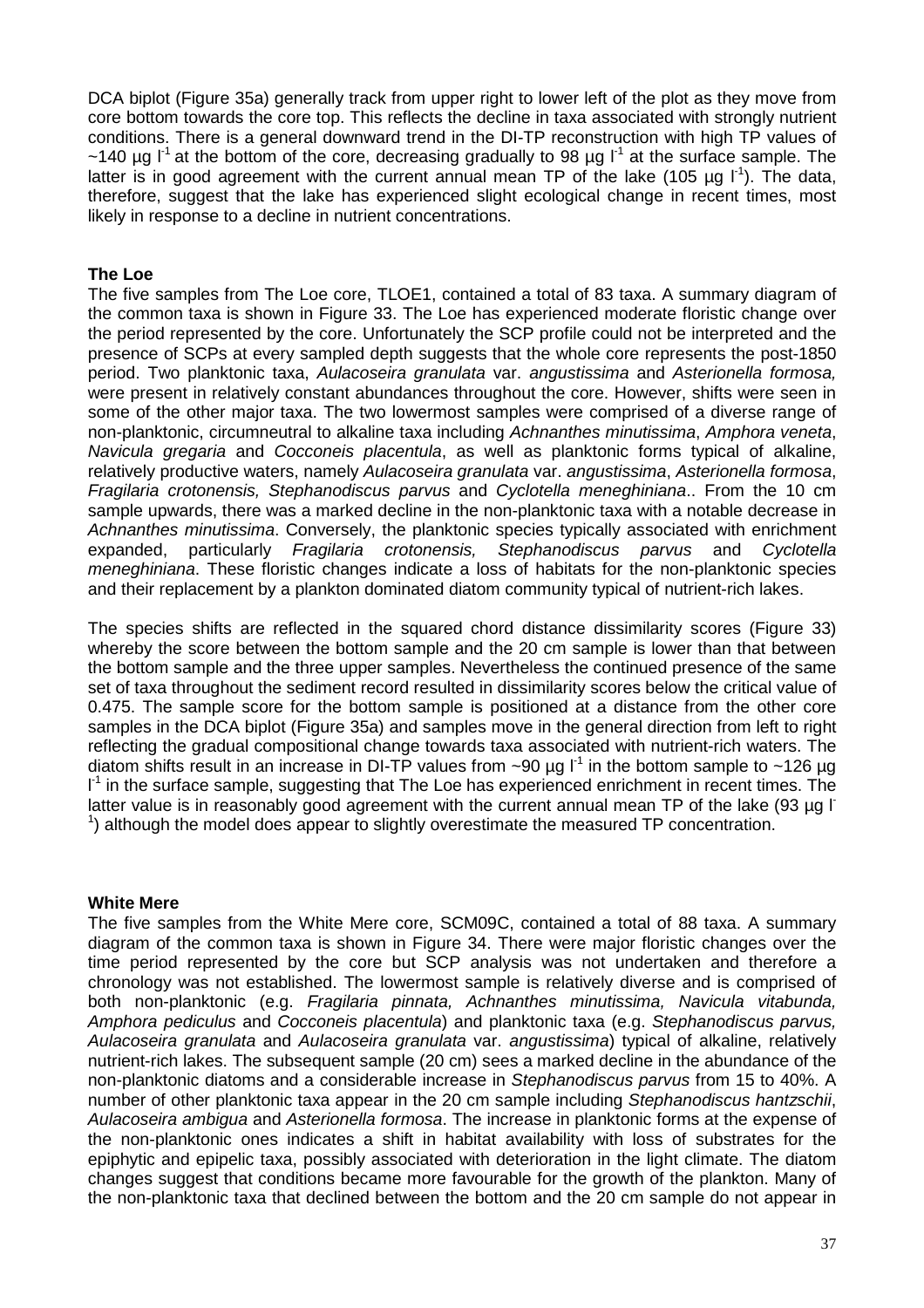DCA biplot (Figure 35a) generally track from upper right to lower left of the plot as they move from core bottom towards the core top. This reflects the decline in taxa associated with strongly nutrient conditions. There is a general downward trend in the DI-TP reconstruction with high TP values of ~140 µg  $I^1$  at the bottom of the core, decreasing gradually to 98 µg  $I^1$  at the surface sample. The latter is in good agreement with the current annual mean TP of the lake (105 µg  $I<sup>1</sup>$ ). The data, therefore, suggest that the lake has experienced slight ecological change in recent times, most likely in response to a decline in nutrient concentrations.

#### **The Loe**

The five samples from The Loe core, TLOE1, contained a total of 83 taxa. A summary diagram of the common taxa is shown in Figure 33. The Loe has experienced moderate floristic change over the period represented by the core. Unfortunately the SCP profile could not be interpreted and the presence of SCPs at every sampled depth suggests that the whole core represents the post-1850 period. Two planktonic taxa, Aulacoseira granulata var. angustissima and Asterionella formosa, were present in relatively constant abundances throughout the core. However, shifts were seen in some of the other major taxa. The two lowermost samples were comprised of a diverse range of non-planktonic, circumneutral to alkaline taxa including Achnanthes minutissima, Amphora veneta, Navicula gregaria and Cocconeis placentula, as well as planktonic forms typical of alkaline, relatively productive waters, namely Aulacoseira granulata var. angustissima, Asterionella formosa, Fragilaria crotonensis, Stephanodiscus parvus and Cyclotella meneghiniana.. From the 10 cm sample upwards, there was a marked decline in the non-planktonic taxa with a notable decrease in Achnanthes minutissima. Conversely, the planktonic species typically associated with enrichment expanded, particularly Fragilaria crotonensis, Stephanodiscus parvus and Cyclotella meneghiniana. These floristic changes indicate a loss of habitats for the non-planktonic species and their replacement by a plankton dominated diatom community typical of nutrient-rich lakes.

The species shifts are reflected in the squared chord distance dissimilarity scores (Figure 33) whereby the score between the bottom sample and the 20 cm sample is lower than that between the bottom sample and the three upper samples. Nevertheless the continued presence of the same set of taxa throughout the sediment record resulted in dissimilarity scores below the critical value of 0.475. The sample score for the bottom sample is positioned at a distance from the other core samples in the DCA biplot (Figure 35a) and samples move in the general direction from left to right reflecting the gradual compositional change towards taxa associated with nutrient-rich waters. The diatom shifts result in an increase in DI-TP values from ~90  $\mu$ g l<sup>-1</sup> in the bottom sample to ~126  $\mu$ g I<sup>-1</sup> in the surface sample, suggesting that The Loe has experienced enrichment in recent times. The latter value is in reasonably good agreement with the current annual mean TP of the lake (93 µg l-<sup>1</sup>) although the model does appear to slightly overestimate the measured TP concentration.

#### **White Mere**

The five samples from the White Mere core, SCM09C, contained a total of 88 taxa. A summary diagram of the common taxa is shown in Figure 34. There were major floristic changes over the time period represented by the core but SCP analysis was not undertaken and therefore a chronology was not established. The lowermost sample is relatively diverse and is comprised of both non-planktonic (e.g. Fragilaria pinnata, Achnanthes minutissima, Navicula vitabunda, Amphora pediculus and Cocconeis placentula) and planktonic taxa (e.g. Stephanodiscus parvus, Aulacoseira granulata and Aulacoseira granulata var. angustissima) typical of alkaline, relatively nutrient-rich lakes. The subsequent sample (20 cm) sees a marked decline in the abundance of the non-planktonic diatoms and a considerable increase in Stephanodiscus parvus from 15 to 40%. A number of other planktonic taxa appear in the 20 cm sample including Stephanodiscus hantzschii, Aulacoseira ambigua and Asterionella formosa. The increase in planktonic forms at the expense of the non-planktonic ones indicates a shift in habitat availability with loss of substrates for the epiphytic and epipelic taxa, possibly associated with deterioration in the light climate. The diatom changes suggest that conditions became more favourable for the growth of the plankton. Many of the non-planktonic taxa that declined between the bottom and the 20 cm sample do not appear in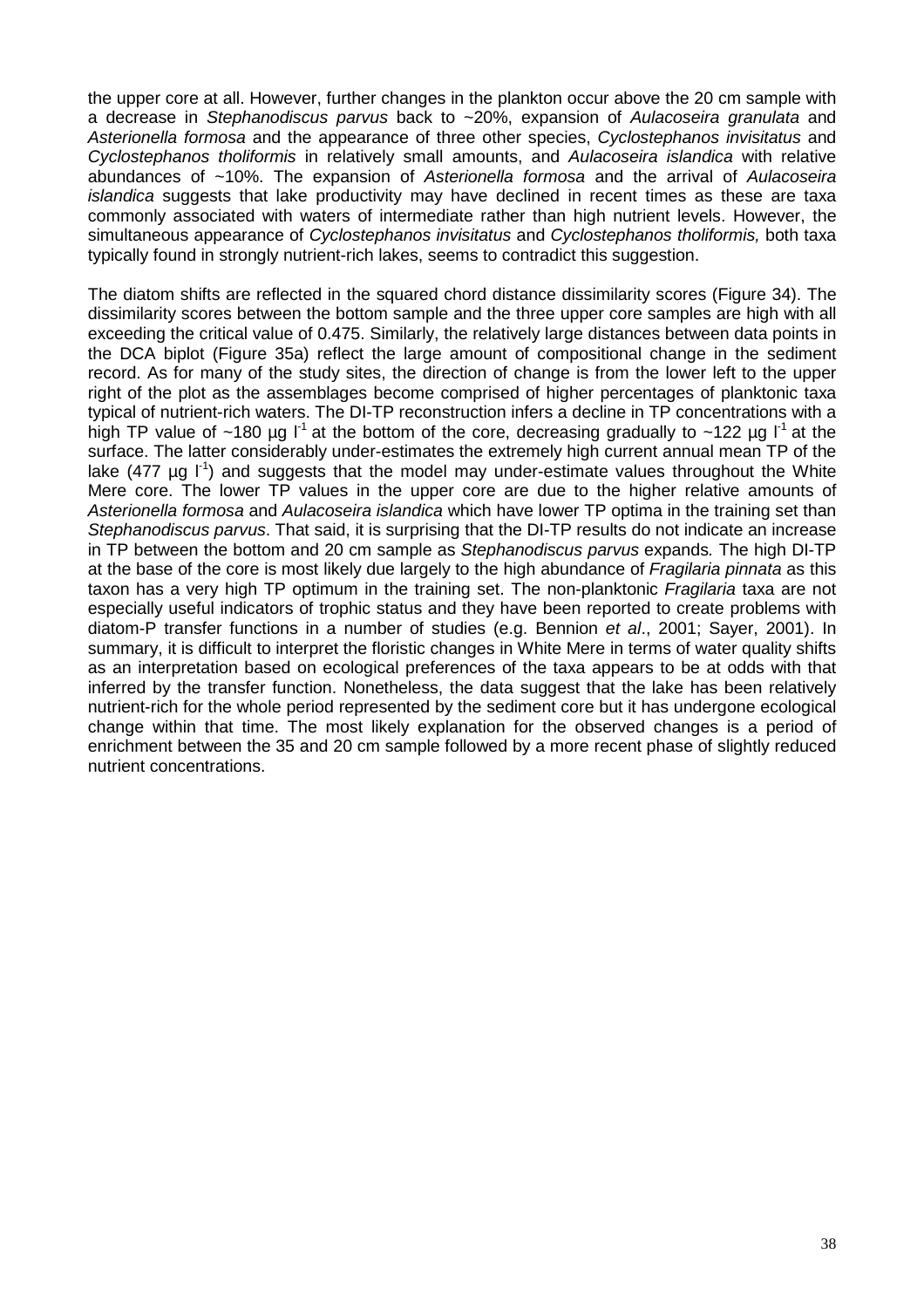the upper core at all. However, further changes in the plankton occur above the 20 cm sample with a decrease in Stephanodiscus parvus back to ~20%, expansion of Aulacoseira granulata and Asterionella formosa and the appearance of three other species, Cyclostephanos invisitatus and Cyclostephanos tholiformis in relatively small amounts, and Aulacoseira islandica with relative abundances of ~10%. The expansion of Asterionella formosa and the arrival of Aulacoseira islandica suggests that lake productivity may have declined in recent times as these are taxa commonly associated with waters of intermediate rather than high nutrient levels. However, the simultaneous appearance of *Cyclostephanos invisitatus* and *Cyclostephanos tholiformis*, both taxa typically found in strongly nutrient-rich lakes, seems to contradict this suggestion.

The diatom shifts are reflected in the squared chord distance dissimilarity scores (Figure 34). The dissimilarity scores between the bottom sample and the three upper core samples are high with all exceeding the critical value of 0.475. Similarly, the relatively large distances between data points in the DCA biplot (Figure 35a) reflect the large amount of compositional change in the sediment record. As for many of the study sites, the direction of change is from the lower left to the upper right of the plot as the assemblages become comprised of higher percentages of planktonic taxa typical of nutrient-rich waters. The DI-TP reconstruction infers a decline in TP concentrations with a high TP value of ~180 µg  $I^1$  at the bottom of the core, decreasing gradually to ~122 µg  $I^1$  at the surface. The latter considerably under-estimates the extremely high current annual mean TP of the lake (477  $\mu$ g l<sup>-1</sup>) and suggests that the model may under-estimate values throughout the White Mere core. The lower TP values in the upper core are due to the higher relative amounts of Asterionella formosa and Aulacoseira islandica which have lower TP optima in the training set than Stephanodiscus parvus. That said, it is surprising that the DI-TP results do not indicate an increase in TP between the bottom and 20 cm sample as Stephanodiscus parvus expands. The high DI-TP at the base of the core is most likely due largely to the high abundance of Fragilaria pinnata as this taxon has a very high TP optimum in the training set. The non-planktonic Fragilaria taxa are not especially useful indicators of trophic status and they have been reported to create problems with diatom-P transfer functions in a number of studies (e.g. Bennion et al., 2001; Sayer, 2001). In summary, it is difficult to interpret the floristic changes in White Mere in terms of water quality shifts as an interpretation based on ecological preferences of the taxa appears to be at odds with that inferred by the transfer function. Nonetheless, the data suggest that the lake has been relatively nutrient-rich for the whole period represented by the sediment core but it has undergone ecological change within that time. The most likely explanation for the observed changes is a period of enrichment between the 35 and 20 cm sample followed by a more recent phase of slightly reduced nutrient concentrations.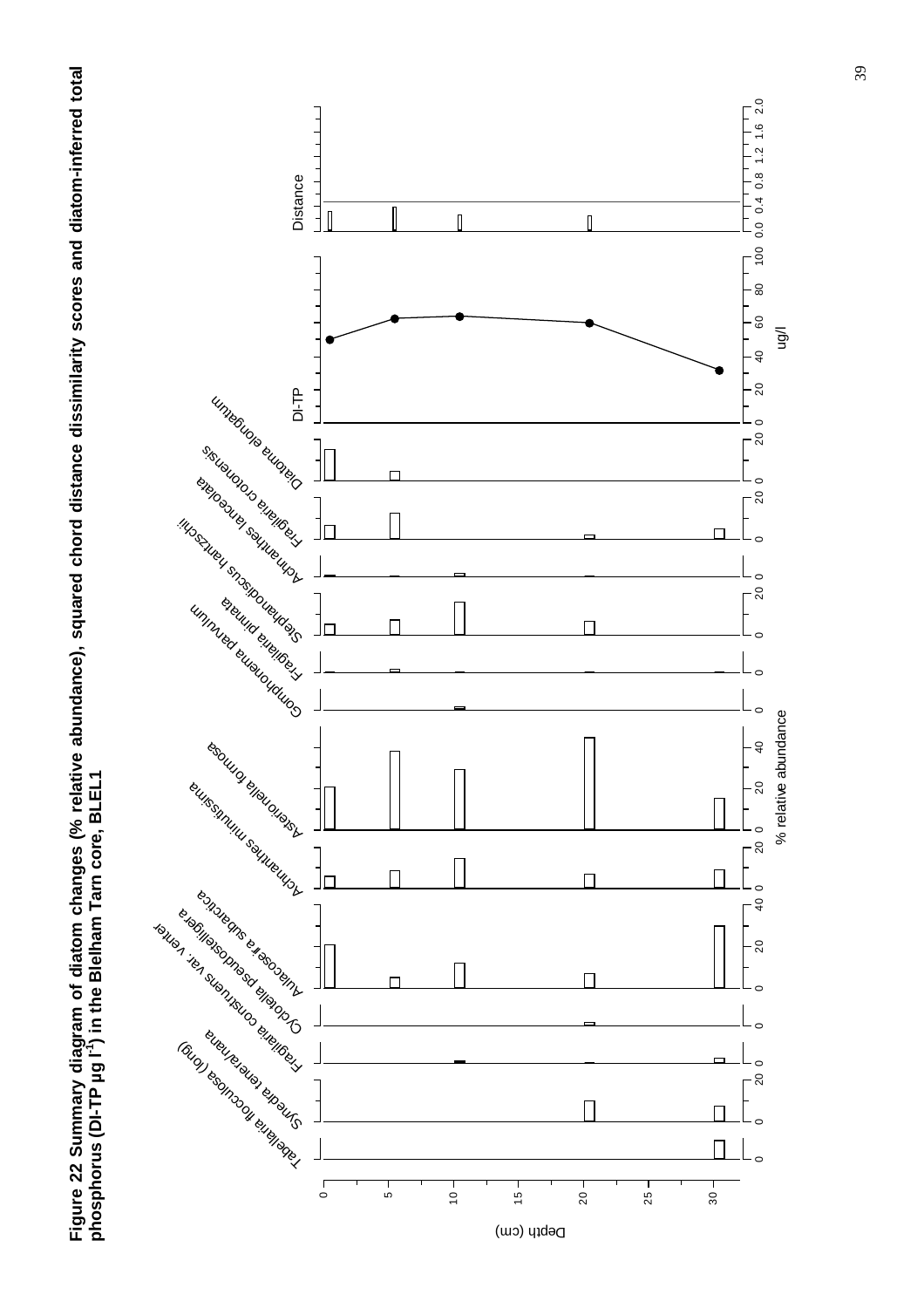**Figure 22 Summary diagram of diatom changes (% relative abundance), squared chord distance dissimilarity scores and diatom-inferred total**  Figure 22 Summary diagram of diatom changes (% relative abundance), squared chord distance dissimilarity scores and diatom-inferred total<br>phosphorus (DI-TP µg l¨) in the Blelham Tarn core, BLEL1 **phosphorus (DI-TP µg l-1) in the Blelham Tarn core, BLEL1** 

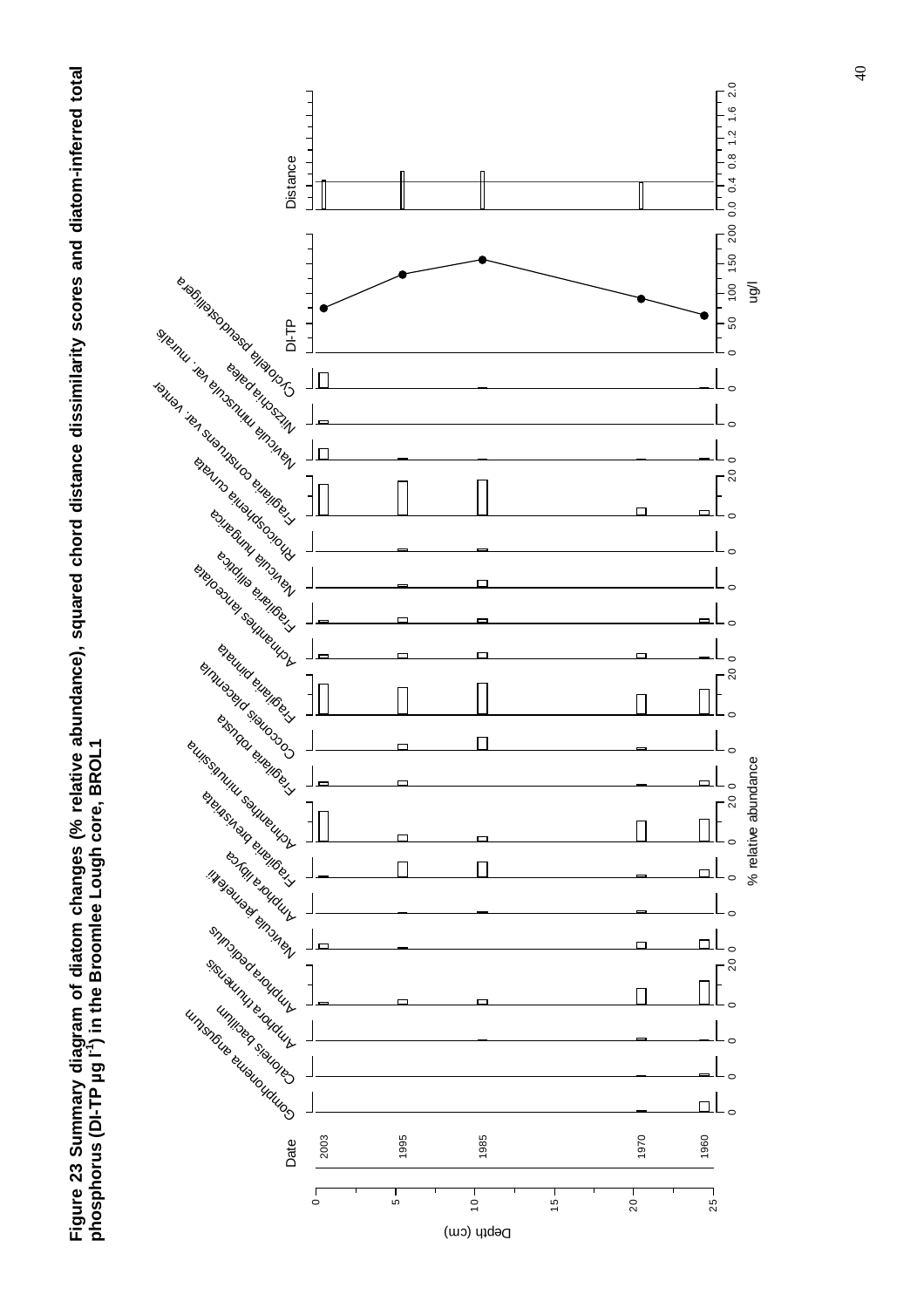

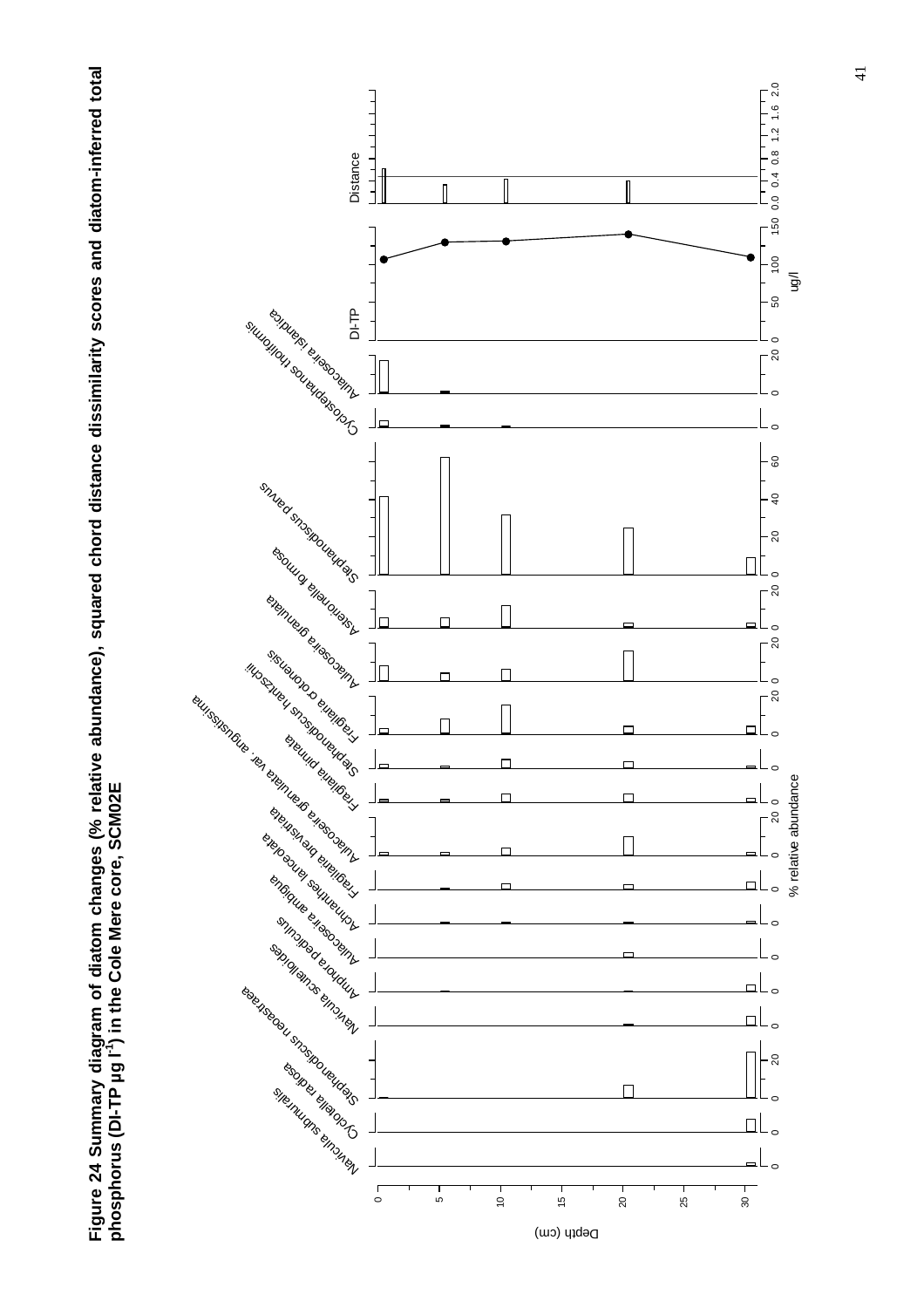

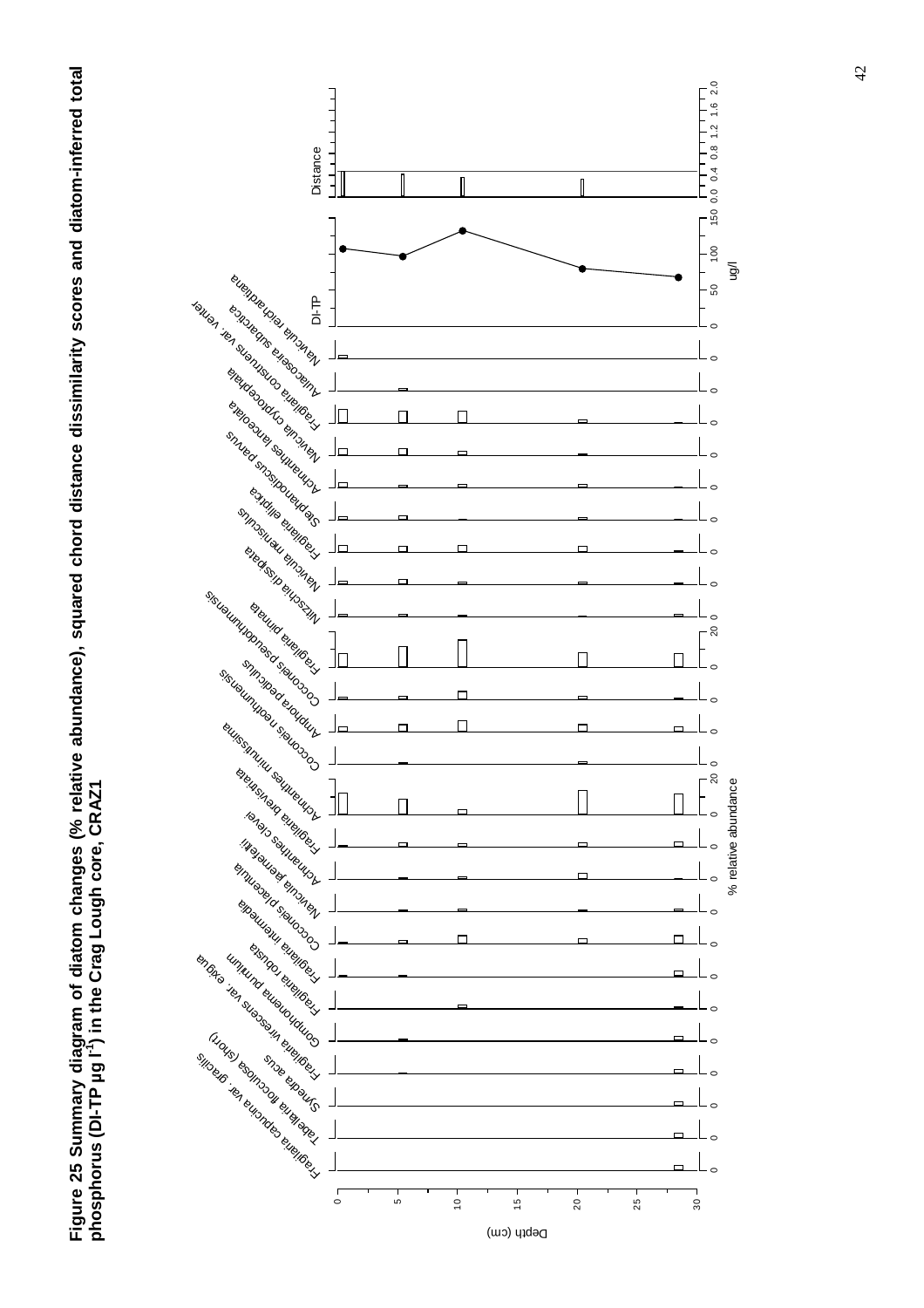

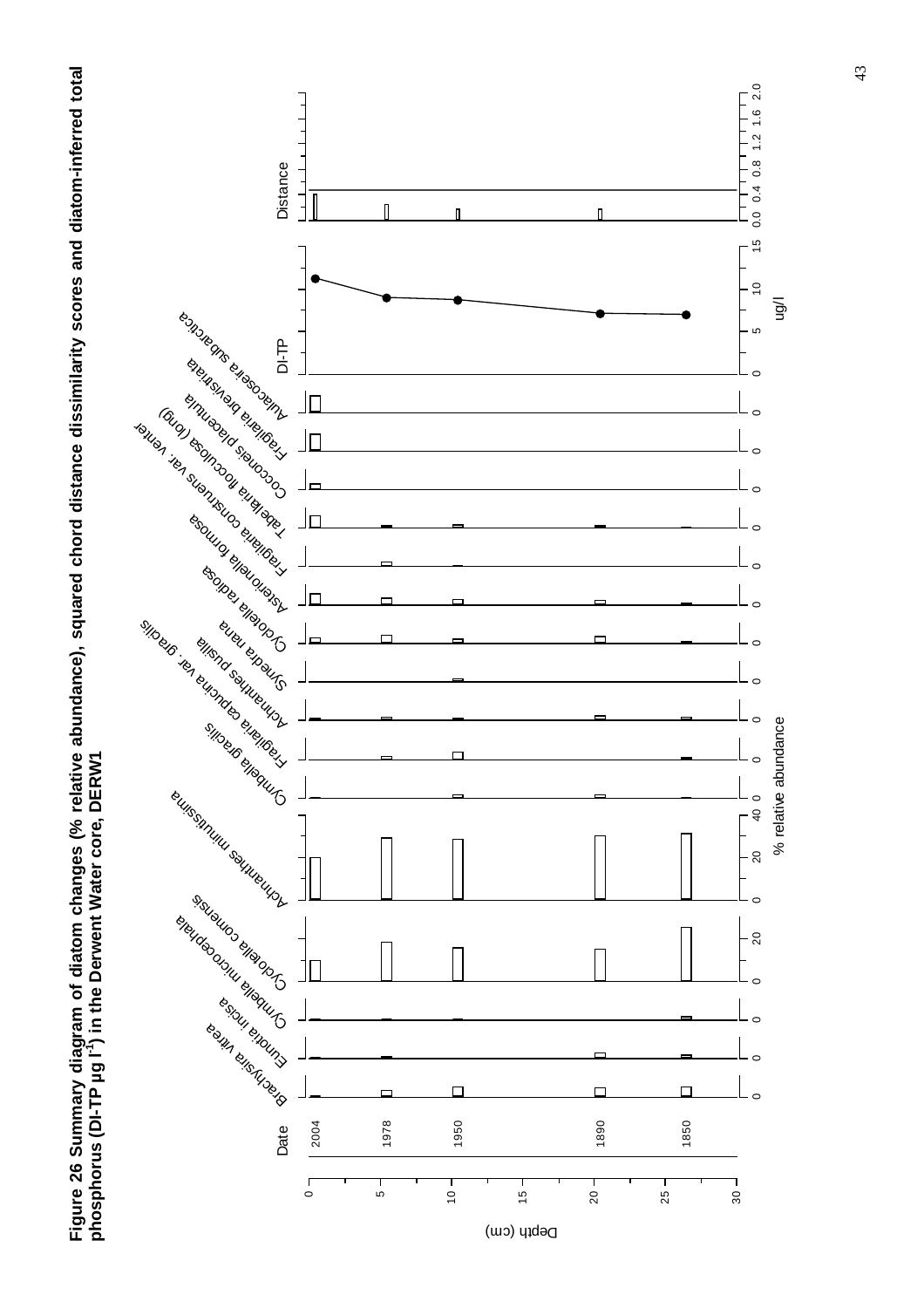



43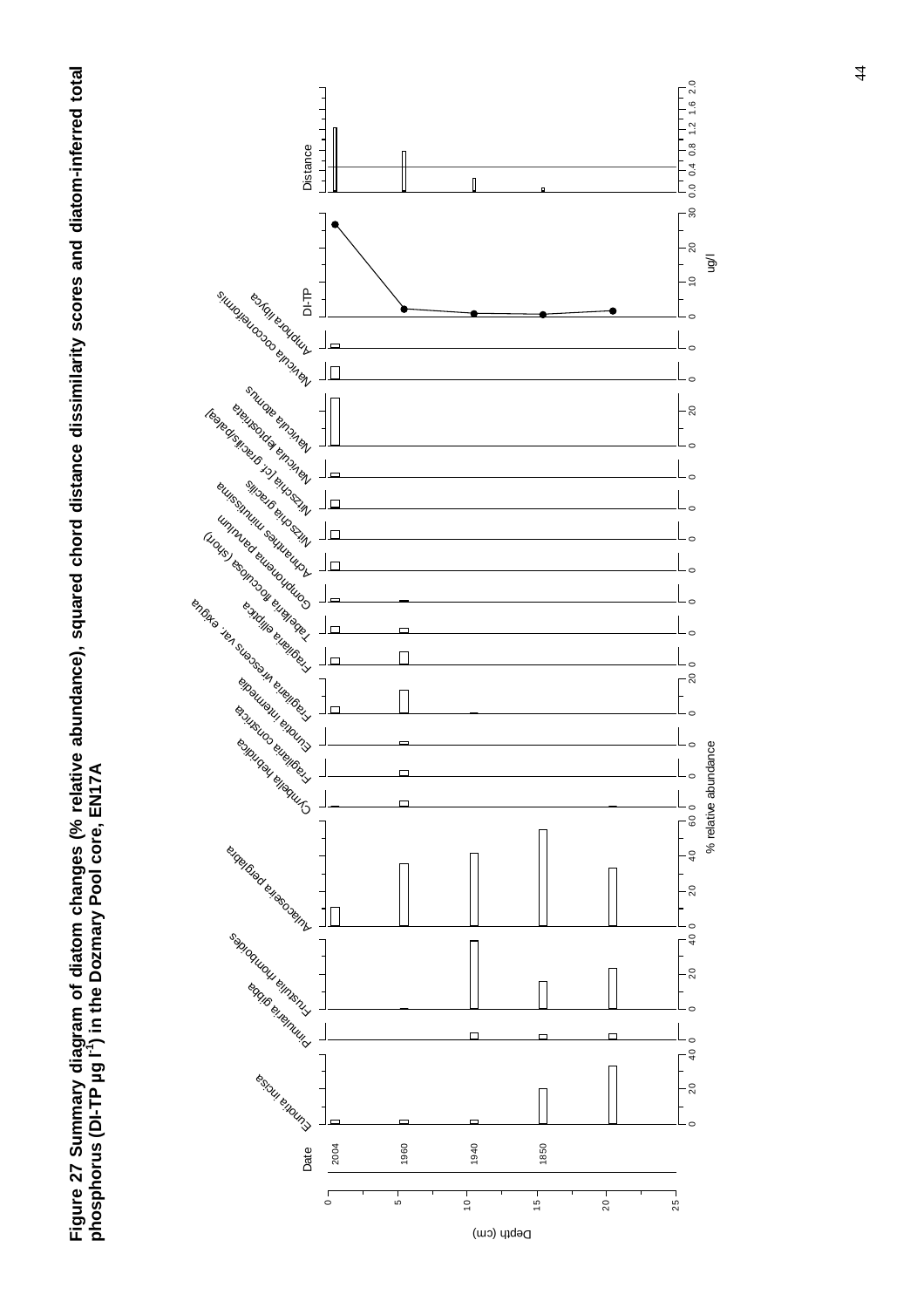**Figure 27 Summary diagram of diatom changes (% relative abundance), squared chord distance dissimilarity scores and diatom-inferred total**  Figure 27 Summary diagram of diatom changes (% relative abundance), squared chord distance dissimilarity scores and diatom-inferred total<br>phosphorus (DI-TP µg l¨) in the Dozmary Pool core, EN17A **phosphorus (DI-TP µg l-1) in the Dozmary Pool core, EN17A** 

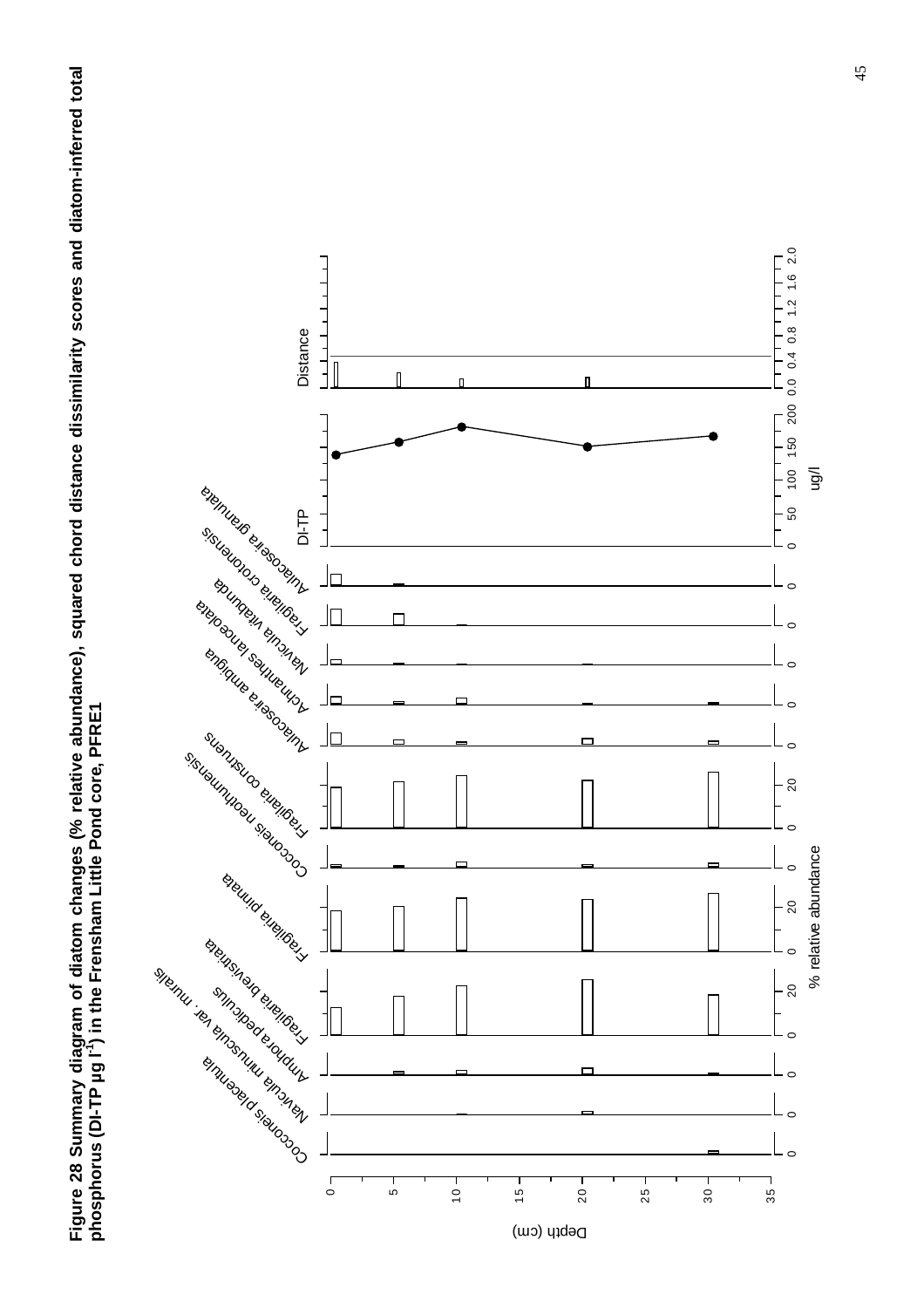**Figure 28 Summary diagram of diatom changes (% relative abundance), squared chord distance dissimilarity scores and diatom-inferred total**  Figure 28 Summary diagram of diatom changes (% relative abundance), squared chord distance dissimilarity scores and diatom-inferred total<br>phosphorus (DI-TP µg l¨) in the Frensham Little Pond core, PFRE1 **phosphorus (DI-TP µg l-1) in the Frensham Little Pond core, PFRE1** 

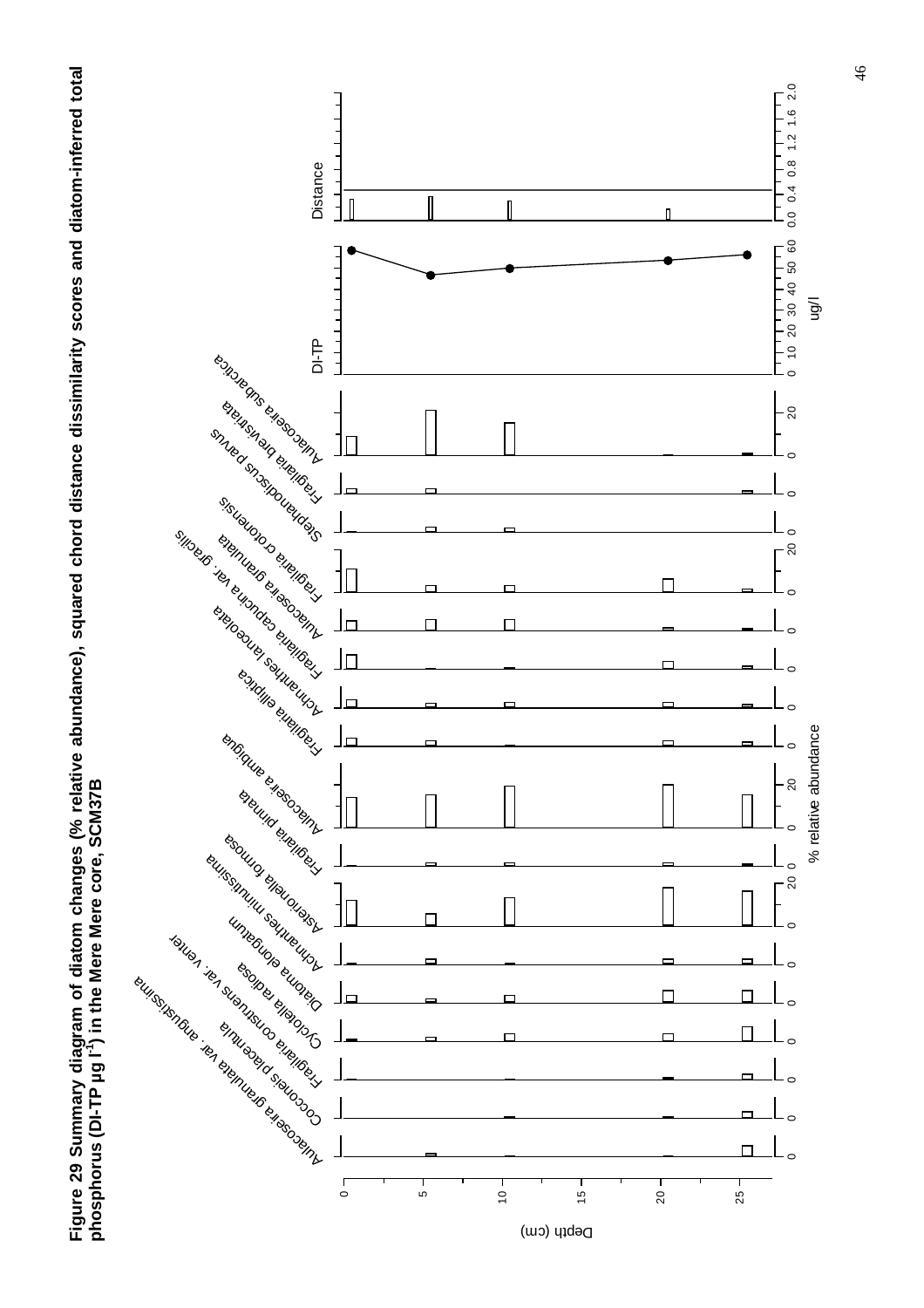**Figure 29 Summary diagram of diatom changes (% relative abundance), squared chord distance dissimilarity scores and diatom-inferred total**  Figure 29 Summary diagram of diatom changes (% relative abundance), squared chord distance dissimilarity scores and diatom-inferred total<br>phosphorus (DI-TP µg l¨) in the Mere Mere core, SCM37B **phosphorus (DI-TP µg l-1) in the Mere Mere core, SCM37B** 

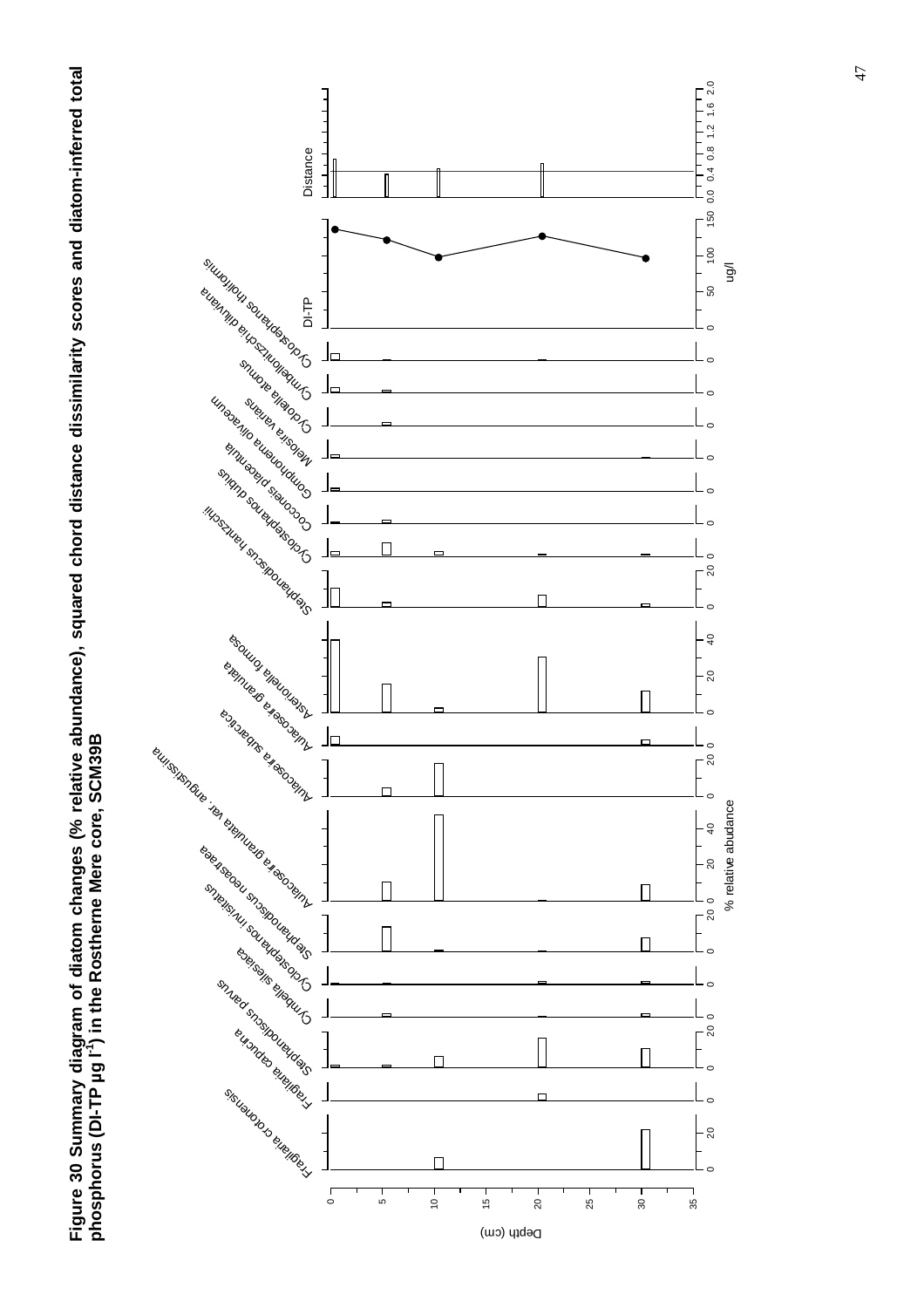

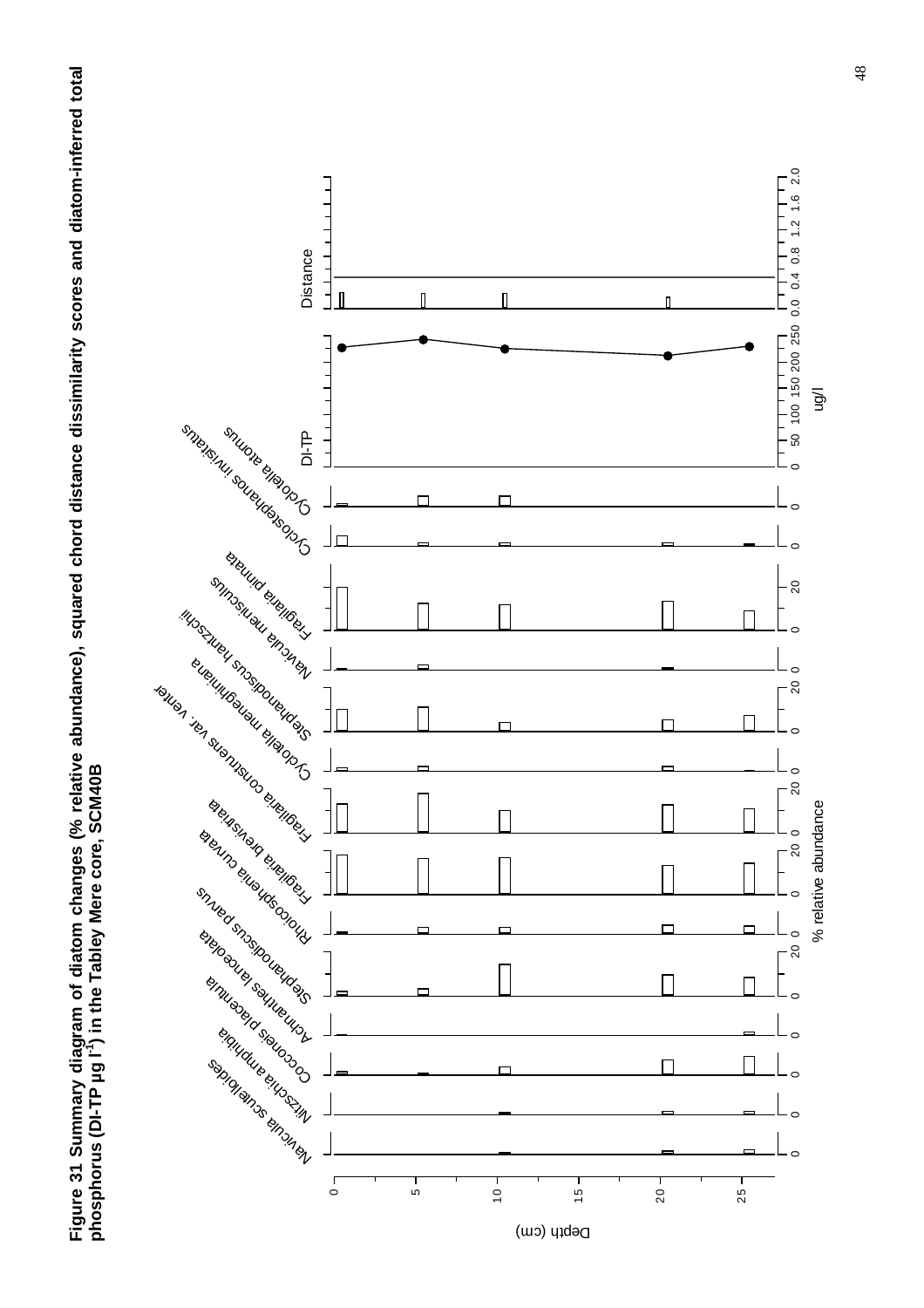**Figure 31 Summary diagram of diatom changes (% relative abundance), squared chord distance dissimilarity scores and diatom-inferred total**  Figure 31 Summary diagram of diatom changes (% relative abundance), squared chord distance dissimilarity scores and diatom-inferred total<br>phosphorus (DI-TP µg l¨<sup>1</sup>) in the Tabley Mere core, SCM40B **phosphorus (DI-TP µg l-1) in the Tabley Mere core, SCM40B** 

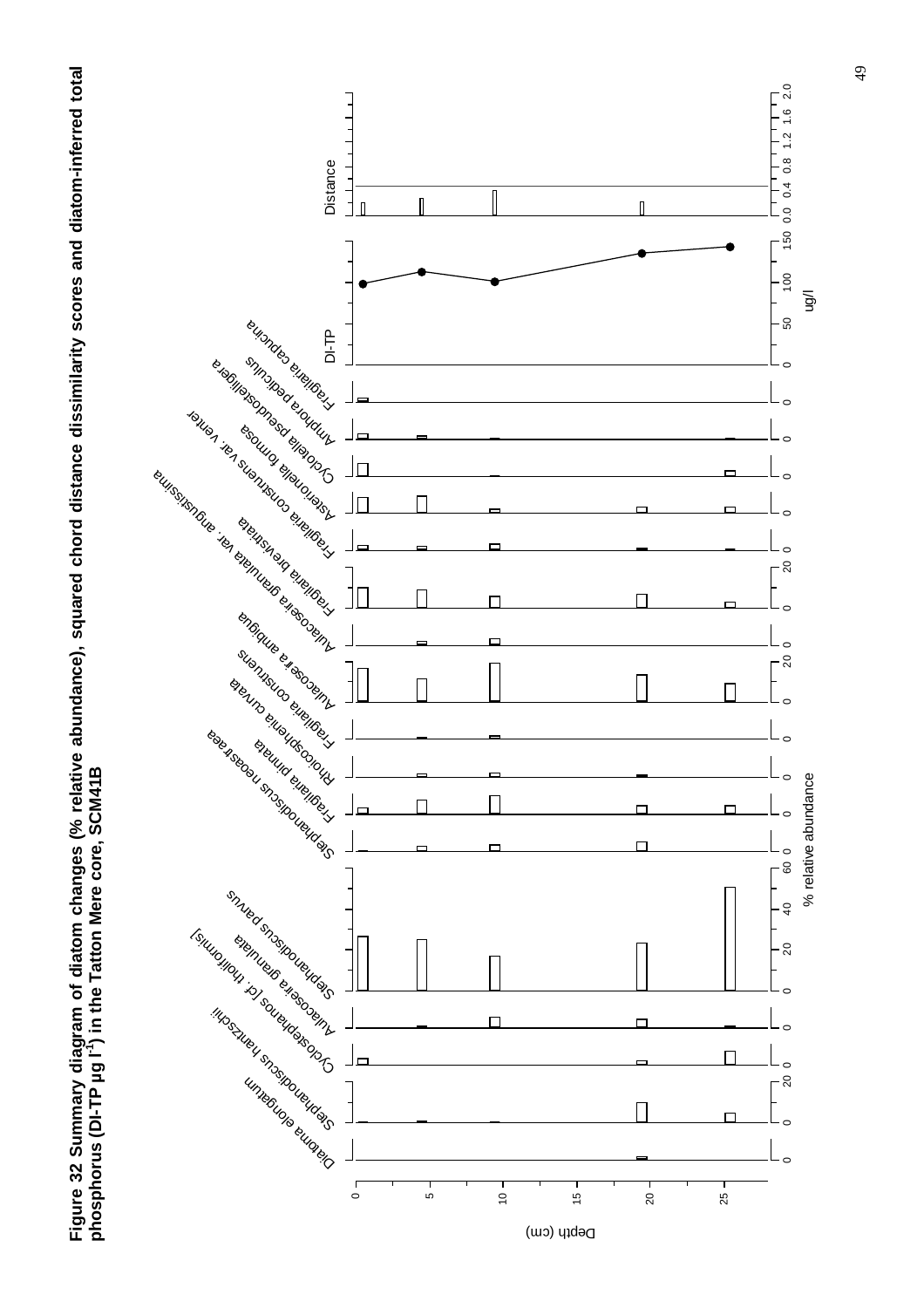

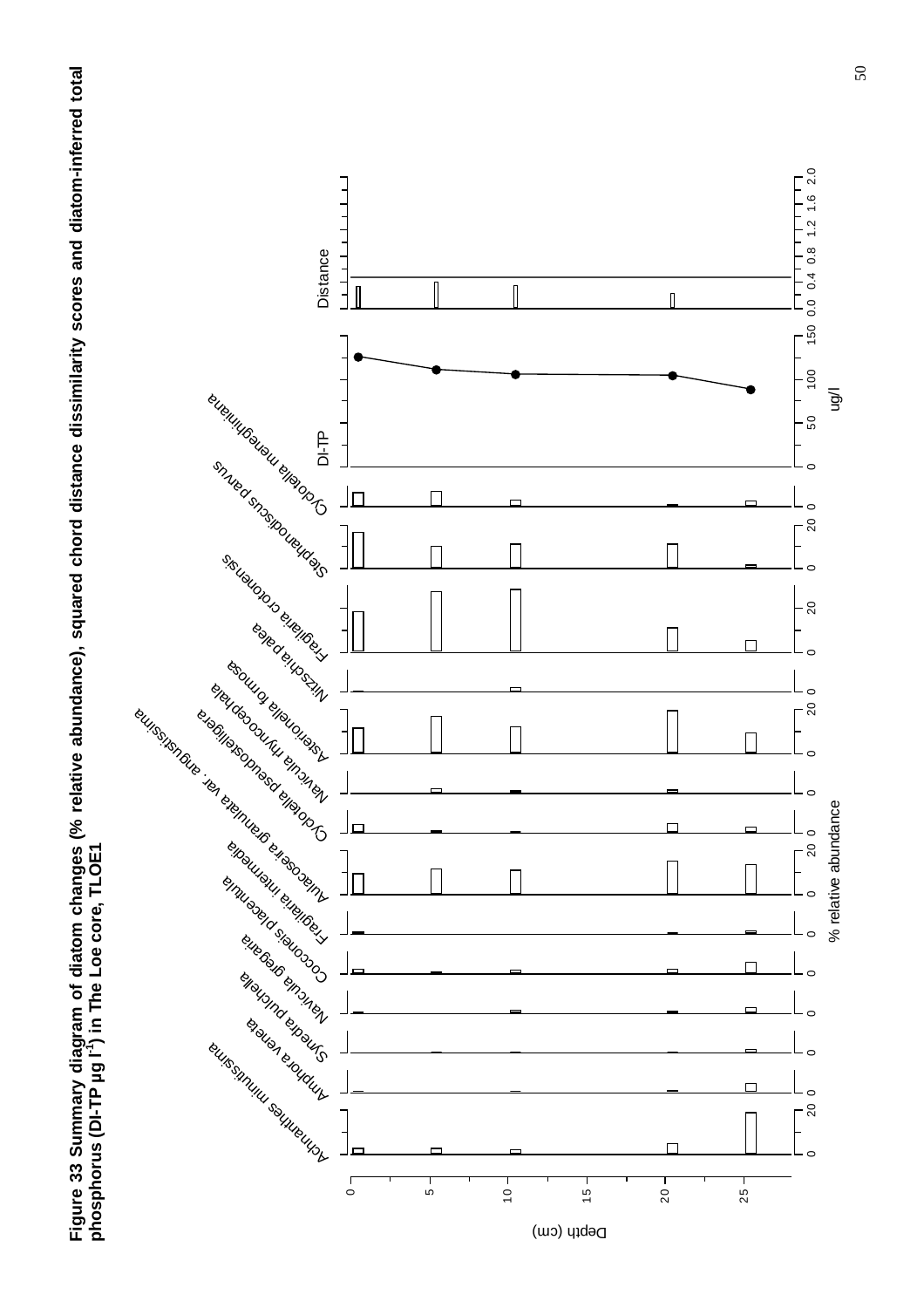**Figure 33 Summary diagram of diatom changes (% relative abundance), squared chord distance dissimilarity scores and diatom-inferred total**  Figure 33 Summary diagram of diatom changes (% relative abundance), squared chord distance dissimilarity scores and diatom-inferred total<br>phosphorus (DI-TP µg l¨) in The Loe core, TLOE1 **phosphorus (DI-TP µg l-1) in The Loe core, TLOE1** 

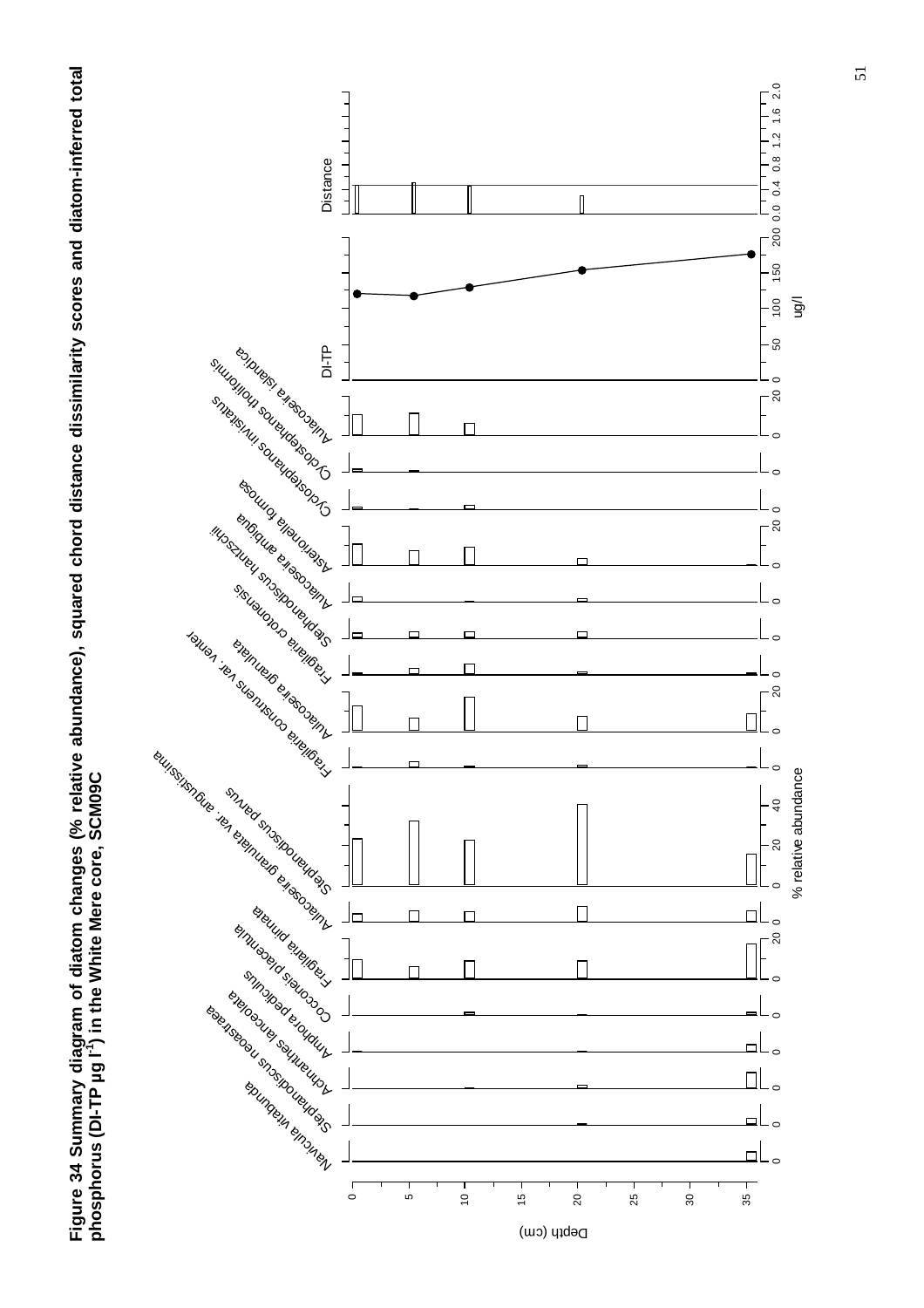



51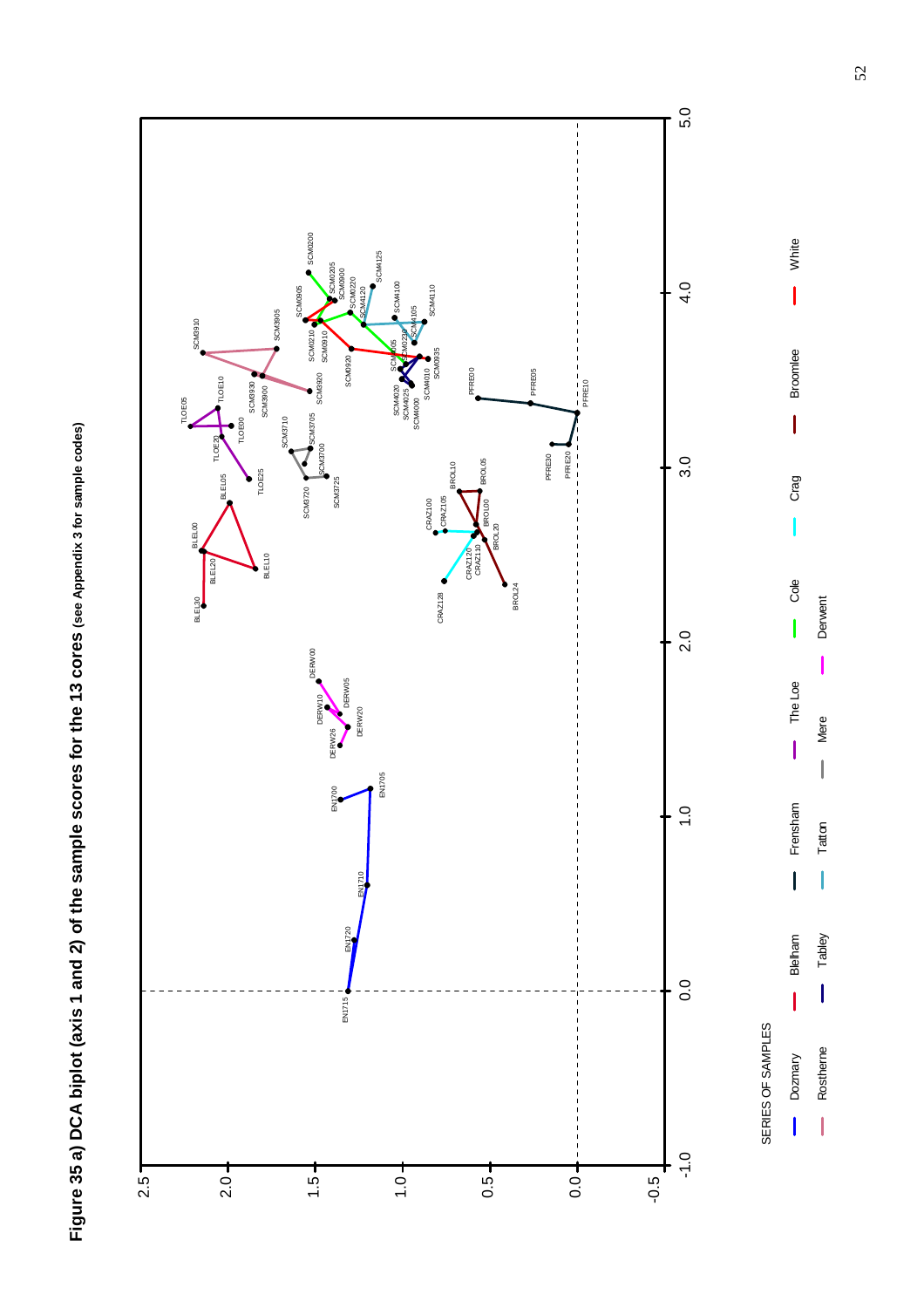

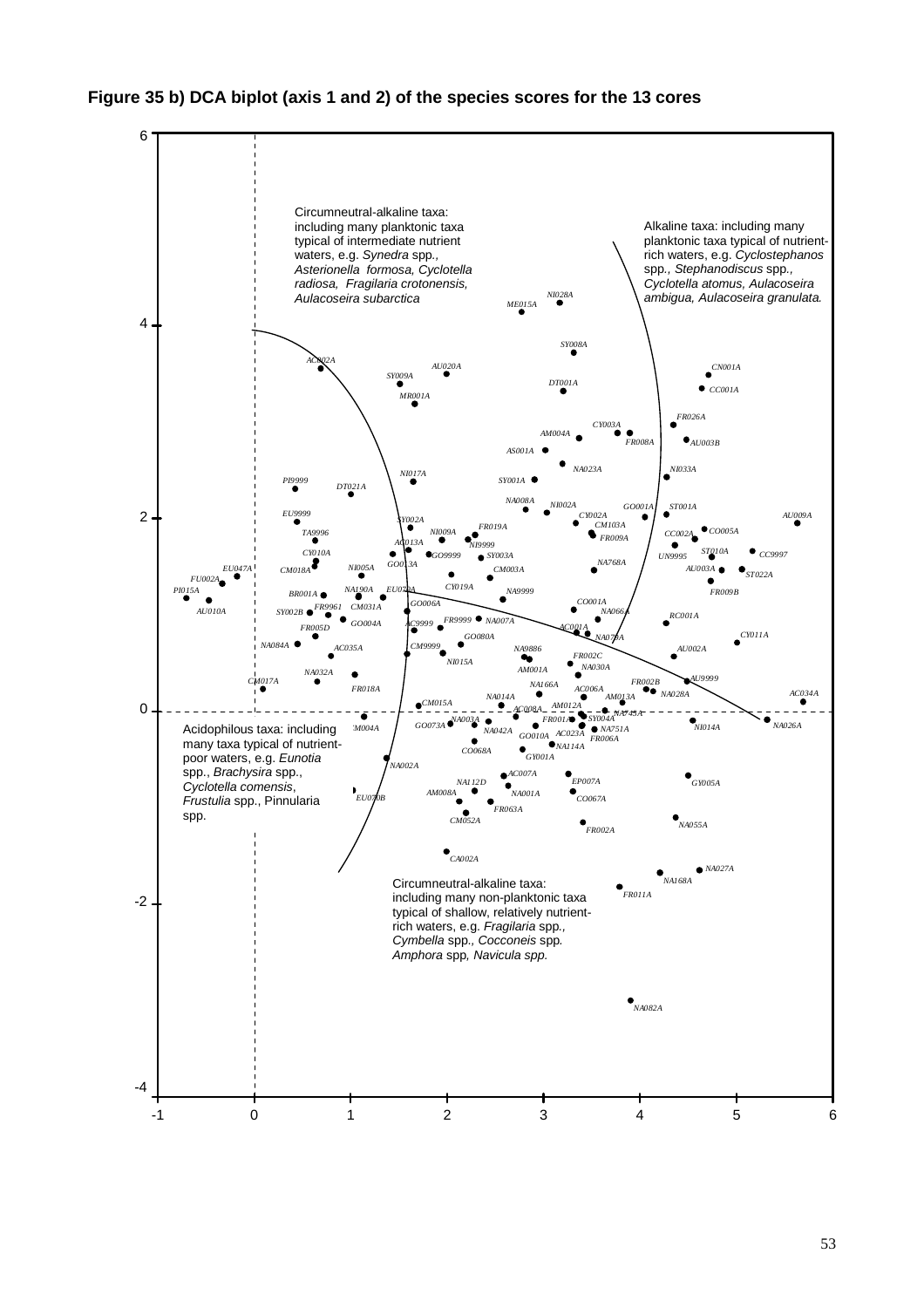#### **Figure 35 b) DCA biplot (axis 1 and 2) of the species scores for the 13 cores**

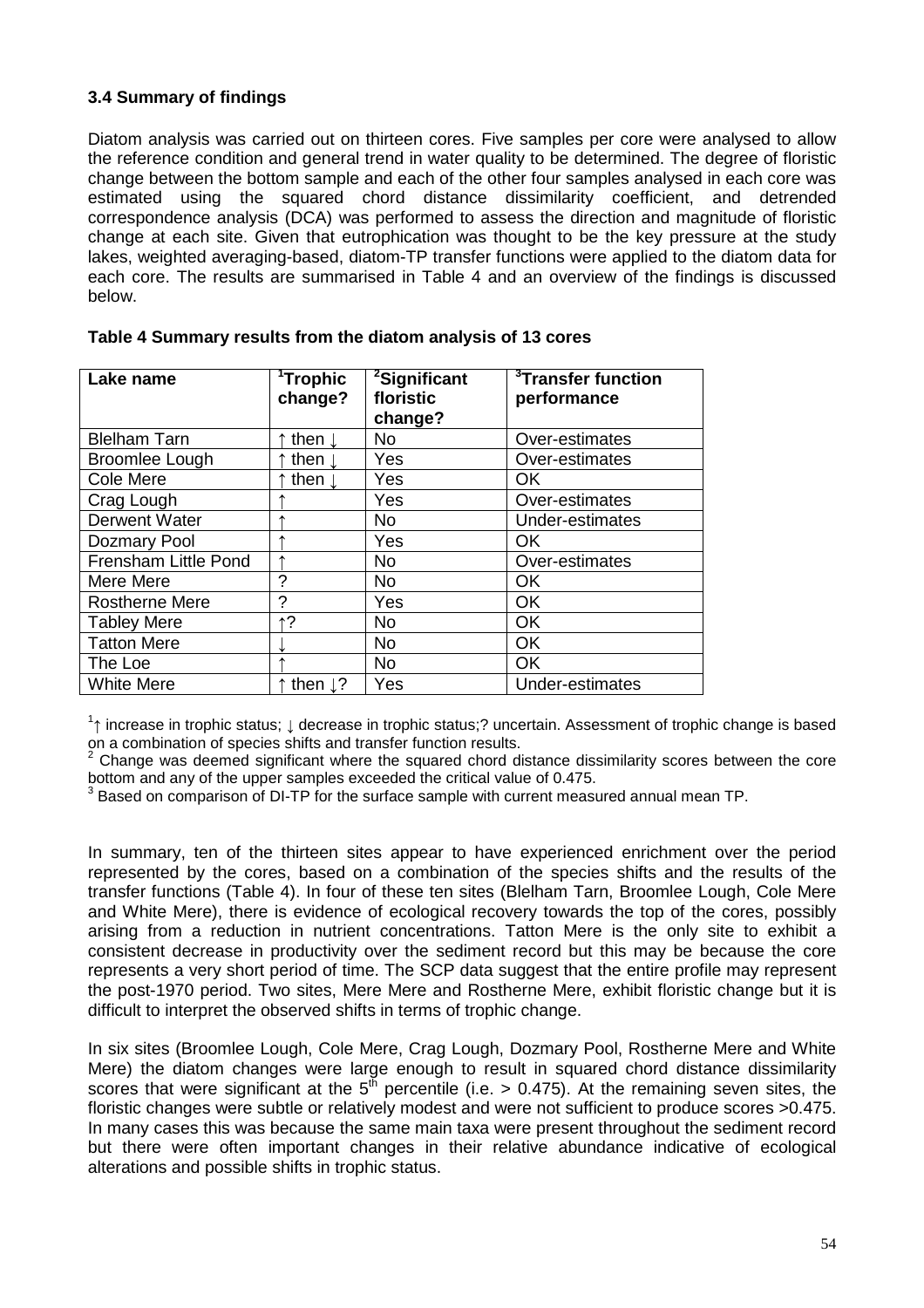#### **3.4 Summary of findings**

Diatom analysis was carried out on thirteen cores. Five samples per core were analysed to allow the reference condition and general trend in water quality to be determined. The degree of floristic change between the bottom sample and each of the other four samples analysed in each core was estimated using the squared chord distance dissimilarity coefficient, and detrended correspondence analysis (DCA) was performed to assess the direction and magnitude of floristic change at each site. Given that eutrophication was thought to be the key pressure at the study lakes, weighted averaging-based, diatom-TP transfer functions were applied to the diatom data for each core. The results are summarised in Table 4 and an overview of the findings is discussed below.

| Lake name             | <sup>1</sup> Trophic<br>change? | <sup>2</sup> Significant<br>floristic<br>change? | <sup>3</sup> Transfer function<br>performance |
|-----------------------|---------------------------------|--------------------------------------------------|-----------------------------------------------|
| <b>Blelham Tarn</b>   | then $\downarrow$               | <b>No</b>                                        | Over-estimates                                |
| <b>Broomlee Lough</b> | then $\mathbf{l}$               | Yes                                              | Over-estimates                                |
| Cole Mere             | then $\downarrow$               | Yes                                              | OK                                            |
| Crag Lough            |                                 | Yes                                              | Over-estimates                                |
| Derwent Water         |                                 | <b>No</b>                                        | Under-estimates                               |
| Dozmary Pool          |                                 | Yes                                              | OK.                                           |
| Frensham Little Pond  |                                 | <b>No</b>                                        | Over-estimates                                |
| Mere Mere             | ?                               | <b>No</b>                                        | <b>OK</b>                                     |
| <b>Rostherne Mere</b> | ?                               | Yes                                              | <b>OK</b>                                     |
| <b>Tabley Mere</b>    | ↑?                              | <b>No</b>                                        | <b>OK</b>                                     |
| <b>Tatton Mere</b>    |                                 | <b>No</b>                                        | <b>OK</b>                                     |
| The Loe               |                                 | <b>No</b>                                        | <b>OK</b>                                     |
| <b>White Mere</b>     | then $\downarrow$ ?             | Yes                                              | Under-estimates                               |

| Table 4 Summary results from the diatom analysis of 13 cores |  |  |  |  |
|--------------------------------------------------------------|--|--|--|--|
|--------------------------------------------------------------|--|--|--|--|

 $1$ ↑ increase in trophic status;  $\downarrow$  decrease in trophic status;? uncertain. Assessment of trophic change is based on a combination of species shifts and transfer function results.<br><sup>2</sup> Change was deemed cignificant where the squared shard div

 Change was deemed significant where the squared chord distance dissimilarity scores between the core bottom and any of the upper samples exceeded the critical value of 0.475.

 $3$  Based on comparison of DI-TP for the surface sample with current measured annual mean TP.

In summary, ten of the thirteen sites appear to have experienced enrichment over the period represented by the cores, based on a combination of the species shifts and the results of the transfer functions (Table 4). In four of these ten sites (Blelham Tarn, Broomlee Lough, Cole Mere and White Mere), there is evidence of ecological recovery towards the top of the cores, possibly arising from a reduction in nutrient concentrations. Tatton Mere is the only site to exhibit a consistent decrease in productivity over the sediment record but this may be because the core represents a very short period of time. The SCP data suggest that the entire profile may represent the post-1970 period. Two sites, Mere Mere and Rostherne Mere, exhibit floristic change but it is difficult to interpret the observed shifts in terms of trophic change.

In six sites (Broomlee Lough, Cole Mere, Crag Lough, Dozmary Pool, Rostherne Mere and White Mere) the diatom changes were large enough to result in squared chord distance dissimilarity scores that were significant at the  $5^{th}$  percentile (i.e. > 0.475). At the remaining seven sites, the floristic changes were subtle or relatively modest and were not sufficient to produce scores >0.475. In many cases this was because the same main taxa were present throughout the sediment record but there were often important changes in their relative abundance indicative of ecological alterations and possible shifts in trophic status.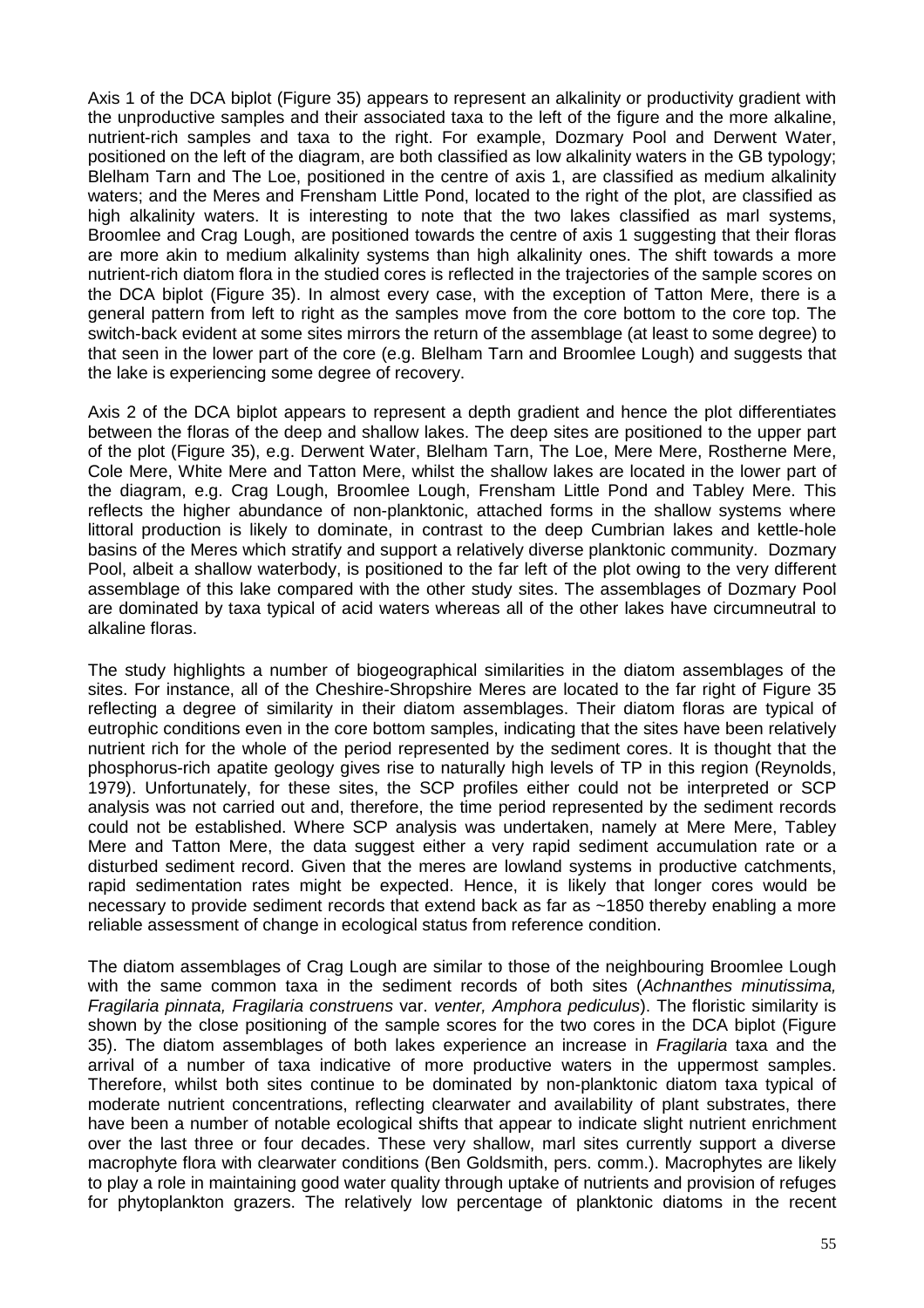Axis 1 of the DCA biplot (Figure 35) appears to represent an alkalinity or productivity gradient with the unproductive samples and their associated taxa to the left of the figure and the more alkaline, nutrient-rich samples and taxa to the right. For example, Dozmary Pool and Derwent Water, positioned on the left of the diagram, are both classified as low alkalinity waters in the GB typology; Blelham Tarn and The Loe, positioned in the centre of axis 1, are classified as medium alkalinity waters; and the Meres and Frensham Little Pond, located to the right of the plot, are classified as high alkalinity waters. It is interesting to note that the two lakes classified as marl systems, Broomlee and Crag Lough, are positioned towards the centre of axis 1 suggesting that their floras are more akin to medium alkalinity systems than high alkalinity ones. The shift towards a more nutrient-rich diatom flora in the studied cores is reflected in the trajectories of the sample scores on the DCA biplot (Figure 35). In almost every case, with the exception of Tatton Mere, there is a general pattern from left to right as the samples move from the core bottom to the core top. The switch-back evident at some sites mirrors the return of the assemblage (at least to some degree) to that seen in the lower part of the core (e.g. Blelham Tarn and Broomlee Lough) and suggests that the lake is experiencing some degree of recovery.

Axis 2 of the DCA biplot appears to represent a depth gradient and hence the plot differentiates between the floras of the deep and shallow lakes. The deep sites are positioned to the upper part of the plot (Figure 35), e.g. Derwent Water, Blelham Tarn, The Loe, Mere Mere, Rostherne Mere, Cole Mere, White Mere and Tatton Mere, whilst the shallow lakes are located in the lower part of the diagram, e.g. Crag Lough, Broomlee Lough, Frensham Little Pond and Tabley Mere. This reflects the higher abundance of non-planktonic, attached forms in the shallow systems where littoral production is likely to dominate, in contrast to the deep Cumbrian lakes and kettle-hole basins of the Meres which stratify and support a relatively diverse planktonic community. Dozmary Pool, albeit a shallow waterbody, is positioned to the far left of the plot owing to the very different assemblage of this lake compared with the other study sites. The assemblages of Dozmary Pool are dominated by taxa typical of acid waters whereas all of the other lakes have circumneutral to alkaline floras.

The study highlights a number of biogeographical similarities in the diatom assemblages of the sites. For instance, all of the Cheshire-Shropshire Meres are located to the far right of Figure 35 reflecting a degree of similarity in their diatom assemblages. Their diatom floras are typical of eutrophic conditions even in the core bottom samples, indicating that the sites have been relatively nutrient rich for the whole of the period represented by the sediment cores. It is thought that the phosphorus-rich apatite geology gives rise to naturally high levels of TP in this region (Reynolds, 1979). Unfortunately, for these sites, the SCP profiles either could not be interpreted or SCP analysis was not carried out and, therefore, the time period represented by the sediment records could not be established. Where SCP analysis was undertaken, namely at Mere Mere, Tabley Mere and Tatton Mere, the data suggest either a very rapid sediment accumulation rate or a disturbed sediment record. Given that the meres are lowland systems in productive catchments, rapid sedimentation rates might be expected. Hence, it is likely that longer cores would be necessary to provide sediment records that extend back as far as ~1850 thereby enabling a more reliable assessment of change in ecological status from reference condition.

The diatom assemblages of Crag Lough are similar to those of the neighbouring Broomlee Lough with the same common taxa in the sediment records of both sites (Achnanthes minutissima, Fragilaria pinnata, Fragilaria construens var. venter, Amphora pediculus). The floristic similarity is shown by the close positioning of the sample scores for the two cores in the DCA biplot (Figure 35). The diatom assemblages of both lakes experience an increase in Fragilaria taxa and the arrival of a number of taxa indicative of more productive waters in the uppermost samples. Therefore, whilst both sites continue to be dominated by non-planktonic diatom taxa typical of moderate nutrient concentrations, reflecting clearwater and availability of plant substrates, there have been a number of notable ecological shifts that appear to indicate slight nutrient enrichment over the last three or four decades. These very shallow, marl sites currently support a diverse macrophyte flora with clearwater conditions (Ben Goldsmith, pers. comm.). Macrophytes are likely to play a role in maintaining good water quality through uptake of nutrients and provision of refuges for phytoplankton grazers. The relatively low percentage of planktonic diatoms in the recent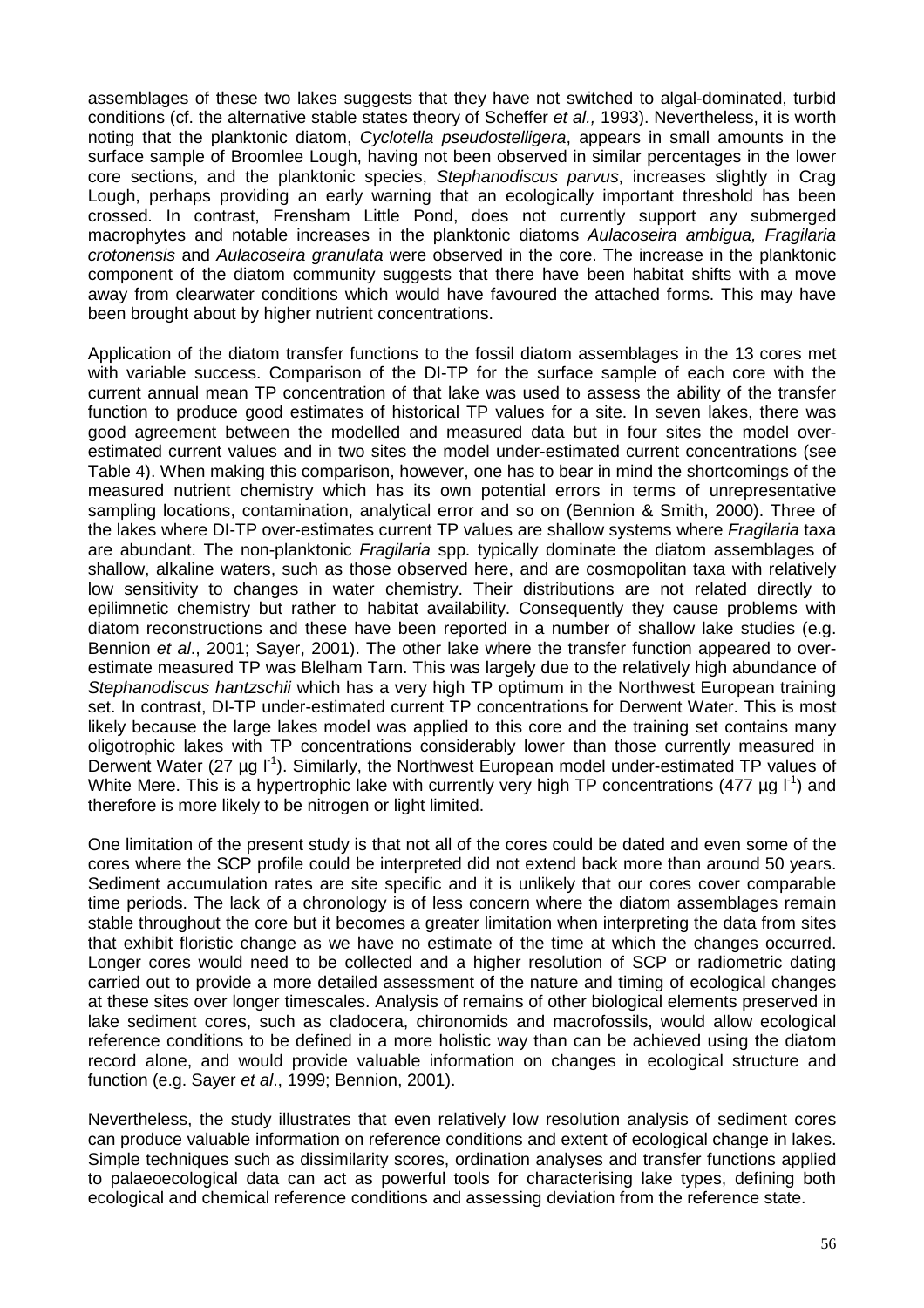assemblages of these two lakes suggests that they have not switched to algal-dominated, turbid conditions (cf. the alternative stable states theory of Scheffer et al., 1993). Nevertheless, it is worth noting that the planktonic diatom, *Cyclotella pseudostelligera*, appears in small amounts in the surface sample of Broomlee Lough, having not been observed in similar percentages in the lower core sections, and the planktonic species, Stephanodiscus parvus, increases slightly in Crag Lough, perhaps providing an early warning that an ecologically important threshold has been crossed. In contrast, Frensham Little Pond, does not currently support any submerged macrophytes and notable increases in the planktonic diatoms Aulacoseira ambigua. Fragilaria crotonensis and Aulacoseira granulata were observed in the core. The increase in the planktonic component of the diatom community suggests that there have been habitat shifts with a move away from clearwater conditions which would have favoured the attached forms. This may have been brought about by higher nutrient concentrations.

Application of the diatom transfer functions to the fossil diatom assemblages in the 13 cores met with variable success. Comparison of the DI-TP for the surface sample of each core with the current annual mean TP concentration of that lake was used to assess the ability of the transfer function to produce good estimates of historical TP values for a site. In seven lakes, there was good agreement between the modelled and measured data but in four sites the model overestimated current values and in two sites the model under-estimated current concentrations (see Table 4). When making this comparison, however, one has to bear in mind the shortcomings of the measured nutrient chemistry which has its own potential errors in terms of unrepresentative sampling locations, contamination, analytical error and so on (Bennion & Smith, 2000). Three of the lakes where DI-TP over-estimates current TP values are shallow systems where Fragilaria taxa are abundant. The non-planktonic *Fragilaria* spp. typically dominate the diatom assemblages of shallow, alkaline waters, such as those observed here, and are cosmopolitan taxa with relatively low sensitivity to changes in water chemistry. Their distributions are not related directly to epilimnetic chemistry but rather to habitat availability. Consequently they cause problems with diatom reconstructions and these have been reported in a number of shallow lake studies (e.g. Bennion *et al.*, 2001; Sayer, 2001). The other lake where the transfer function appeared to overestimate measured TP was Blelham Tarn. This was largely due to the relatively high abundance of Stephanodiscus hantzschii which has a very high TP optimum in the Northwest European training set. In contrast, DI-TP under-estimated current TP concentrations for Derwent Water. This is most likely because the large lakes model was applied to this core and the training set contains many oligotrophic lakes with TP concentrations considerably lower than those currently measured in Derwent Water (27  $\mu$ g l<sup>-1</sup>). Similarly, the Northwest European model under-estimated TP values of White Mere. This is a hypertrophic lake with currently very high TP concentrations (477  $\mu$ g l<sup>-1</sup>) and therefore is more likely to be nitrogen or light limited.

One limitation of the present study is that not all of the cores could be dated and even some of the cores where the SCP profile could be interpreted did not extend back more than around 50 years. Sediment accumulation rates are site specific and it is unlikely that our cores cover comparable time periods. The lack of a chronology is of less concern where the diatom assemblages remain stable throughout the core but it becomes a greater limitation when interpreting the data from sites that exhibit floristic change as we have no estimate of the time at which the changes occurred. Longer cores would need to be collected and a higher resolution of SCP or radiometric dating carried out to provide a more detailed assessment of the nature and timing of ecological changes at these sites over longer timescales. Analysis of remains of other biological elements preserved in lake sediment cores, such as cladocera, chironomids and macrofossils, would allow ecological reference conditions to be defined in a more holistic way than can be achieved using the diatom record alone, and would provide valuable information on changes in ecological structure and function (e.g. Sayer et al., 1999; Bennion, 2001).

Nevertheless, the study illustrates that even relatively low resolution analysis of sediment cores can produce valuable information on reference conditions and extent of ecological change in lakes. Simple techniques such as dissimilarity scores, ordination analyses and transfer functions applied to palaeoecological data can act as powerful tools for characterising lake types, defining both ecological and chemical reference conditions and assessing deviation from the reference state.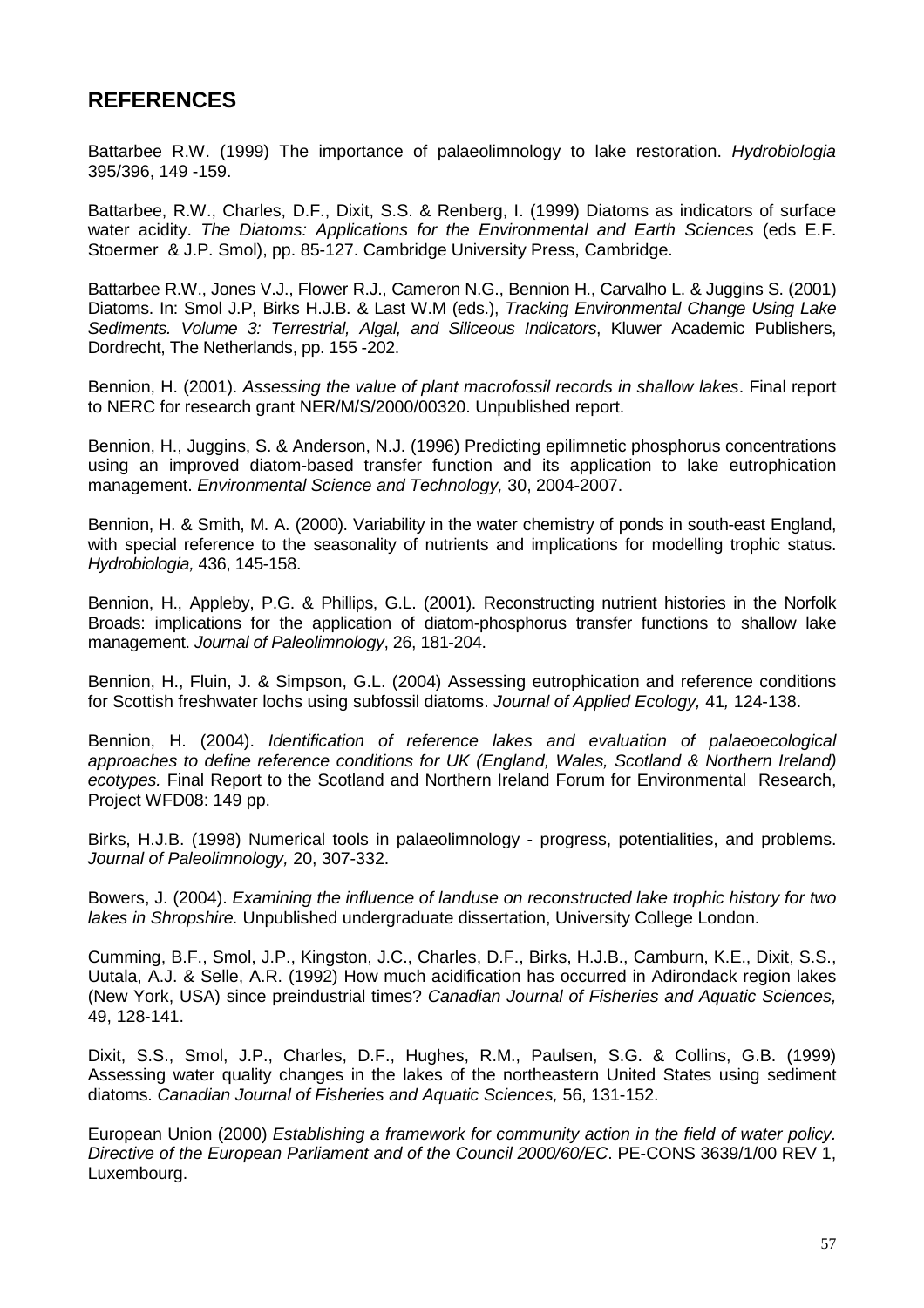## **REFERENCES**

Battarbee R.W. (1999) The importance of palaeolimnology to lake restoration. Hydrobiologia 395/396, 149 -159.

Battarbee, R.W., Charles, D.F., Dixit, S.S. & Renberg, I. (1999) Diatoms as indicators of surface water acidity. The Diatoms: Applications for the Environmental and Earth Sciences (eds E.F. Stoermer & J.P. Smol), pp. 85-127. Cambridge University Press, Cambridge.

Battarbee R.W., Jones V.J., Flower R.J., Cameron N.G., Bennion H., Carvalho L. & Juggins S. (2001) Diatoms. In: Smol J.P, Birks H.J.B. & Last W.M (eds.), Tracking Environmental Change Using Lake Sediments. Volume 3: Terrestrial, Algal, and Siliceous Indicators, Kluwer Academic Publishers, Dordrecht, The Netherlands, pp. 155 -202.

Bennion, H. (2001). Assessing the value of plant macrofossil records in shallow lakes. Final report to NERC for research grant NER/M/S/2000/00320. Unpublished report.

Bennion, H., Juggins, S. & Anderson, N.J. (1996) Predicting epilimnetic phosphorus concentrations using an improved diatom-based transfer function and its application to lake eutrophication management. Environmental Science and Technology, 30, 2004-2007.

Bennion, H. & Smith, M. A. (2000). Variability in the water chemistry of ponds in south-east England, with special reference to the seasonality of nutrients and implications for modelling trophic status. Hydrobiologia, 436, 145-158.

Bennion, H., Appleby, P.G. & Phillips, G.L. (2001). Reconstructing nutrient histories in the Norfolk Broads: implications for the application of diatom-phosphorus transfer functions to shallow lake management. Journal of Paleolimnology, 26, 181-204.

Bennion, H., Fluin, J. & Simpson, G.L. (2004) Assessing eutrophication and reference conditions for Scottish freshwater lochs using subfossil diatoms. Journal of Applied Ecology, 41, 124-138.

Bennion, H. (2004). Identification of reference lakes and evaluation of palaeoecological approaches to define reference conditions for UK (England, Wales, Scotland & Northern Ireland) ecotypes. Final Report to the Scotland and Northern Ireland Forum for Environmental Research, Project WFD08: 149 pp.

Birks, H.J.B. (1998) Numerical tools in palaeolimnology - progress, potentialities, and problems. Journal of Paleolimnology, 20, 307-332.

Bowers, J. (2004). Examining the influence of landuse on reconstructed lake trophic history for two lakes in Shropshire. Unpublished undergraduate dissertation, University College London.

Cumming, B.F., Smol, J.P., Kingston, J.C., Charles, D.F., Birks, H.J.B., Camburn, K.E., Dixit, S.S., Uutala, A.J. & Selle, A.R. (1992) How much acidification has occurred in Adirondack region lakes (New York, USA) since preindustrial times? Canadian Journal of Fisheries and Aquatic Sciences, 49, 128-141.

Dixit, S.S., Smol, J.P., Charles, D.F., Hughes, R.M., Paulsen, S.G. & Collins, G.B. (1999) Assessing water quality changes in the lakes of the northeastern United States using sediment diatoms. Canadian Journal of Fisheries and Aquatic Sciences, 56, 131-152.

European Union (2000) Establishing a framework for community action in the field of water policy. Directive of the European Parliament and of the Council 2000/60/EC. PE-CONS 3639/1/00 REV 1, Luxembourg.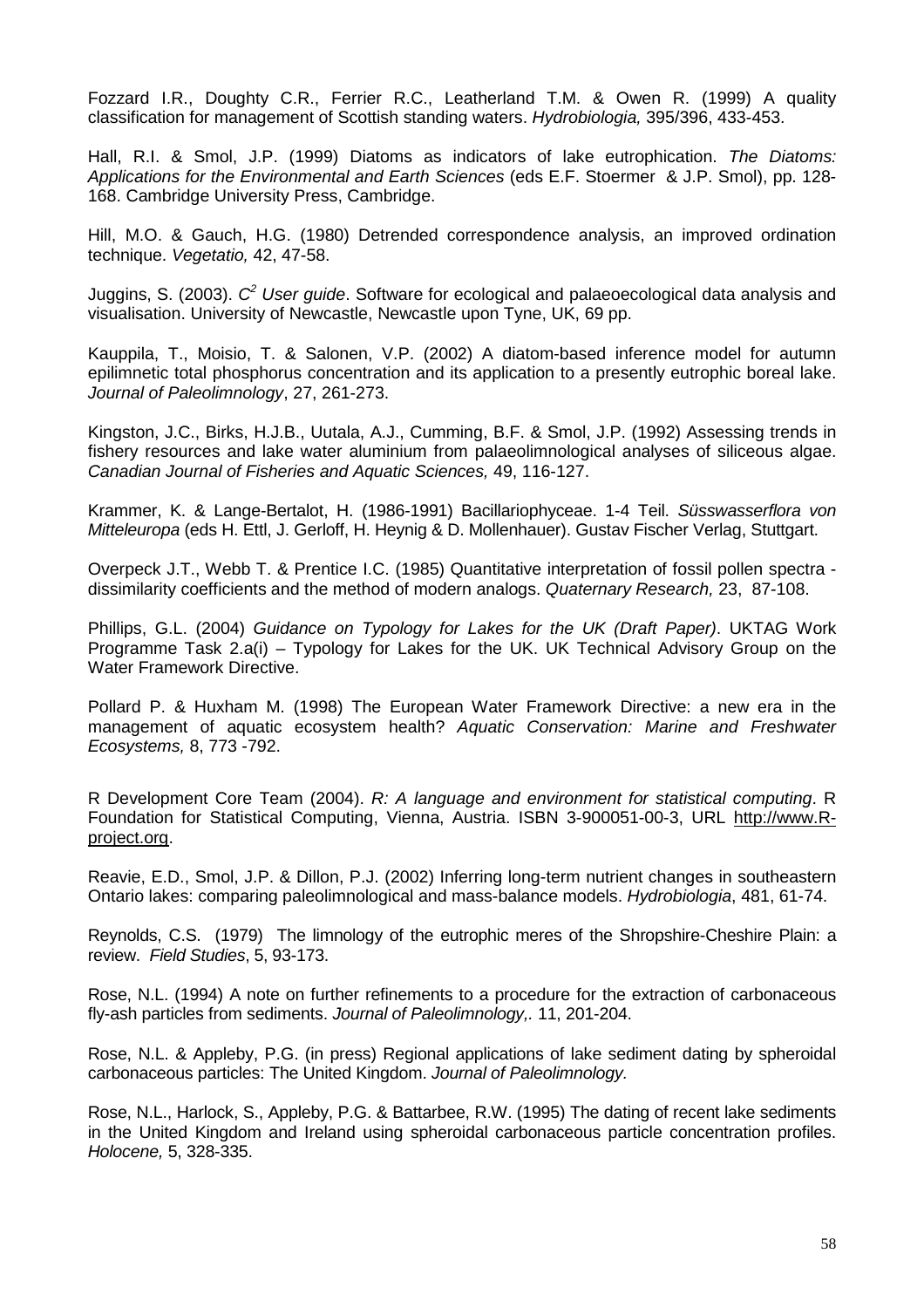Fozzard I.R., Doughty C.R., Ferrier R.C., Leatherland T.M. & Owen R. (1999) A quality classification for management of Scottish standing waters. Hydrobiologia, 395/396, 433-453.

Hall, R.I. & Smol, J.P. (1999) Diatoms as indicators of lake eutrophication. The Diatoms: Applications for the Environmental and Earth Sciences (eds E.F. Stoermer & J.P. Smol), pp. 128- 168. Cambridge University Press, Cambridge.

Hill, M.O. & Gauch, H.G. (1980) Detrended correspondence analysis, an improved ordination technique. Vegetatio, 42, 47-58.

Juggins, S. (2003).  $C^2$  User guide. Software for ecological and palaeoecological data analysis and visualisation. University of Newcastle, Newcastle upon Tyne, UK, 69 pp.

Kauppila, T., Moisio, T. & Salonen, V.P. (2002) A diatom-based inference model for autumn epilimnetic total phosphorus concentration and its application to a presently eutrophic boreal lake. Journal of Paleolimnology, 27, 261-273.

Kingston, J.C., Birks, H.J.B., Uutala, A.J., Cumming, B.F. & Smol, J.P. (1992) Assessing trends in fishery resources and lake water aluminium from palaeolimnological analyses of siliceous algae. Canadian Journal of Fisheries and Aquatic Sciences, 49, 116-127.

Krammer, K. & Lange-Bertalot, H. (1986-1991) Bacillariophyceae. 1-4 Teil. Süsswasserflora von Mitteleuropa (eds H. Ettl, J. Gerloff, H. Heynig & D. Mollenhauer). Gustav Fischer Verlag, Stuttgart.

Overpeck J.T., Webb T. & Prentice I.C. (1985) Quantitative interpretation of fossil pollen spectra dissimilarity coefficients and the method of modern analogs. Quaternary Research, 23, 87-108.

Phillips, G.L. (2004) Guidance on Typology for Lakes for the UK (Draft Paper). UKTAG Work Programme Task 2.a(i) – Typology for Lakes for the UK. UK Technical Advisory Group on the Water Framework Directive.

Pollard P. & Huxham M. (1998) The European Water Framework Directive: a new era in the management of aquatic ecosystem health? Aquatic Conservation: Marine and Freshwater Ecosystems, 8, 773 -792.

R Development Core Team (2004). R: A language and environment for statistical computing. R Foundation for Statistical Computing, Vienna, Austria. ISBN 3-900051-00-3, URL http://www.Rproject.org.

Reavie, E.D., Smol, J.P. & Dillon, P.J. (2002) Inferring long-term nutrient changes in southeastern Ontario lakes: comparing paleolimnological and mass-balance models. Hydrobiologia, 481, 61-74.

Reynolds, C.S. (1979) The limnology of the eutrophic meres of the Shropshire-Cheshire Plain: a review. Field Studies, 5, 93-173.

Rose, N.L. (1994) A note on further refinements to a procedure for the extraction of carbonaceous fly-ash particles from sediments. Journal of Paleolimnology,. 11, 201-204.

Rose, N.L. & Appleby, P.G. (in press) Regional applications of lake sediment dating by spheroidal carbonaceous particles: The United Kingdom. Journal of Paleolimnology.

Rose, N.L., Harlock, S., Appleby, P.G. & Battarbee, R.W. (1995) The dating of recent lake sediments in the United Kingdom and Ireland using spheroidal carbonaceous particle concentration profiles. Holocene, 5, 328-335.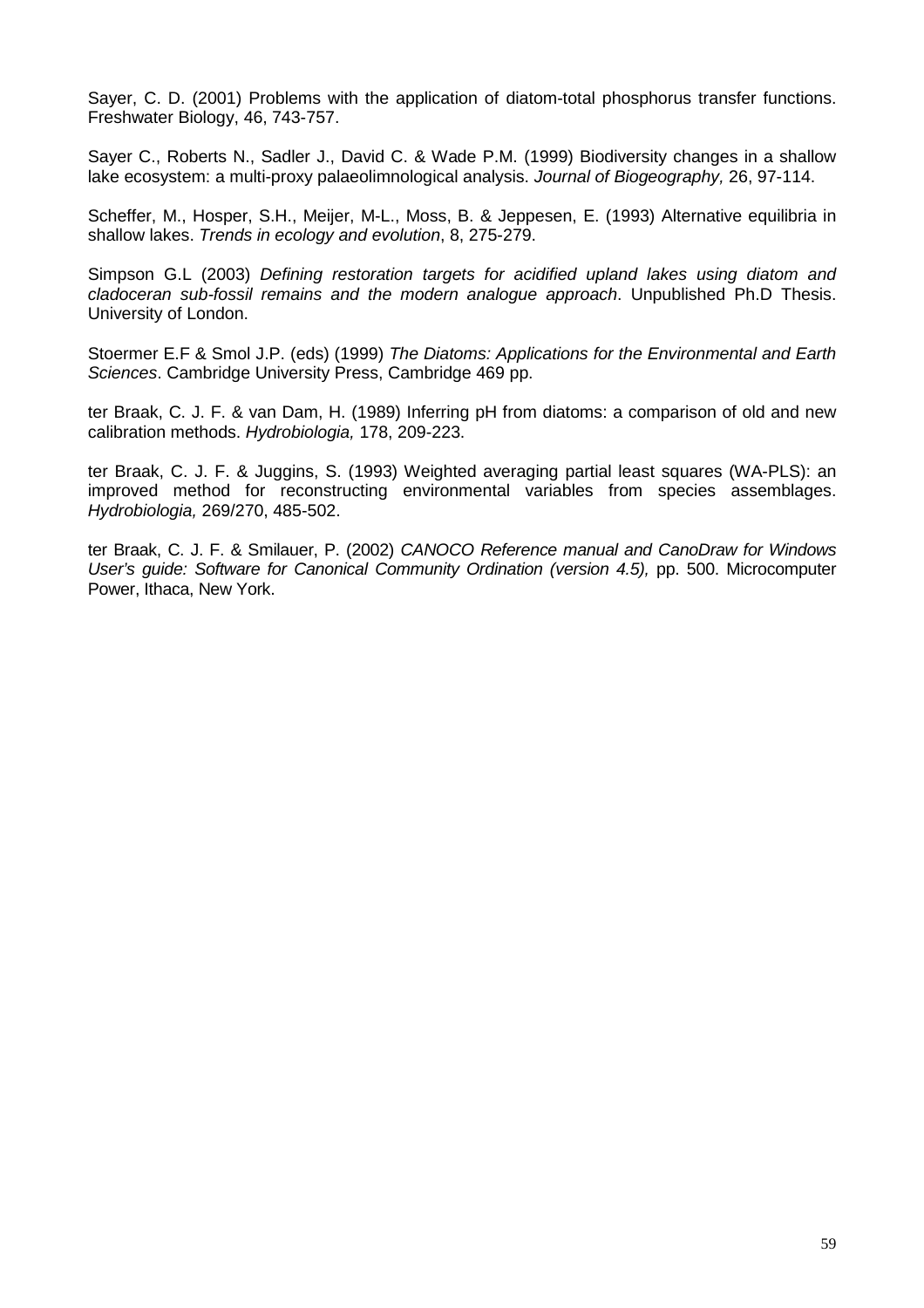Sayer, C. D. (2001) Problems with the application of diatom-total phosphorus transfer functions. Freshwater Biology, 46, 743-757.

Sayer C., Roberts N., Sadler J., David C. & Wade P.M. (1999) Biodiversity changes in a shallow lake ecosystem: a multi-proxy palaeolimnological analysis. Journal of Biogeography, 26, 97-114.

Scheffer, M., Hosper, S.H., Meijer, M-L., Moss, B. & Jeppesen, E. (1993) Alternative equilibria in shallow lakes. Trends in ecology and evolution, 8, 275-279.

Simpson G.L (2003) Defining restoration targets for acidified upland lakes using diatom and cladoceran sub-fossil remains and the modern analogue approach. Unpublished Ph.D Thesis. University of London.

Stoermer E.F & Smol J.P. (eds) (1999) The Diatoms: Applications for the Environmental and Earth Sciences. Cambridge University Press, Cambridge 469 pp.

ter Braak, C. J. F. & van Dam, H. (1989) Inferring pH from diatoms: a comparison of old and new calibration methods. Hydrobiologia, 178, 209-223.

ter Braak, C. J. F. & Juggins, S. (1993) Weighted averaging partial least squares (WA-PLS): an improved method for reconstructing environmental variables from species assemblages. Hydrobiologia, 269/270, 485-502.

ter Braak, C. J. F. & Smilauer, P. (2002) CANOCO Reference manual and CanoDraw for Windows User's guide: Software for Canonical Community Ordination (version 4.5), pp. 500. Microcomputer Power, Ithaca, New York.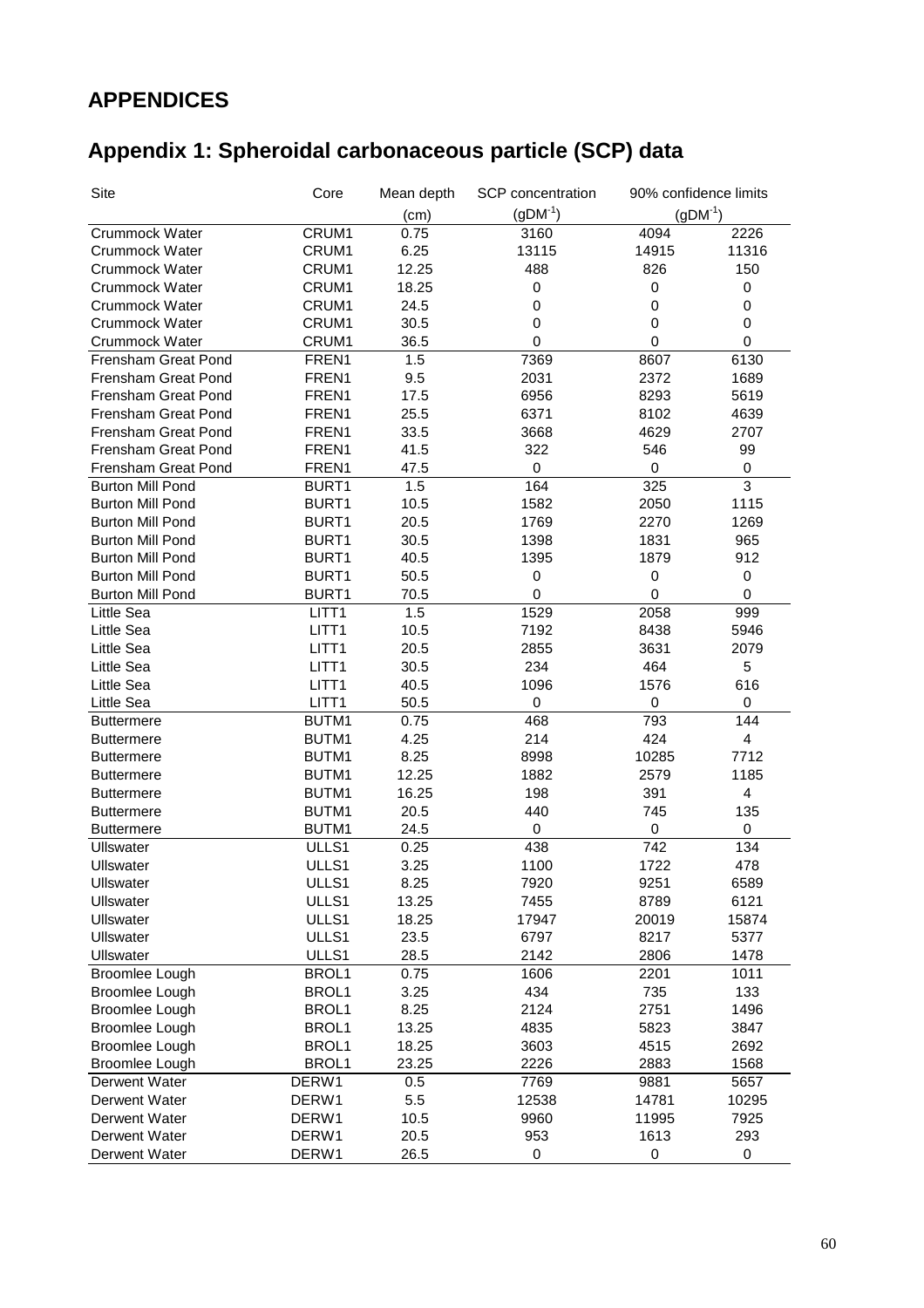## **APPENDICES**

## **Appendix 1: Spheroidal carbonaceous particle (SCP) data**

| Site                    | Core              | Mean depth | SCP concentration | 90% confidence limits |                         |
|-------------------------|-------------------|------------|-------------------|-----------------------|-------------------------|
|                         |                   | (cm)       | $(gDM^{-1})$      | $(gDM^{-1})$          |                         |
| Crummock Water          | CRUM1             | 0.75       | 3160              | 4094                  | 2226                    |
| Crummock Water          | CRUM1             | 6.25       | 13115             | 14915                 | 11316                   |
| Crummock Water          | CRUM1             | 12.25      | 488               | 826                   | 150                     |
| Crummock Water          | CRUM1             | 18.25      | 0                 | 0                     | 0                       |
| Crummock Water          | CRUM1             | 24.5       | 0                 | 0                     | $\boldsymbol{0}$        |
| Crummock Water          | CRUM1             | 30.5       | 0                 | 0                     | 0                       |
| Crummock Water          | CRUM1             | 36.5       | 0                 | 0                     | $\mathbf 0$             |
| Frensham Great Pond     | FREN1             | 1.5        | 7369              | 8607                  | 6130                    |
| Frensham Great Pond     | FREN1             | 9.5        | 2031              | 2372                  | 1689                    |
| Frensham Great Pond     | FREN1             | 17.5       | 6956              | 8293                  | 5619                    |
| Frensham Great Pond     | FREN1             | 25.5       | 6371              | 8102                  | 4639                    |
| Frensham Great Pond     | FREN1             | 33.5       | 3668              | 4629                  | 2707                    |
| Frensham Great Pond     | FREN1             | 41.5       | 322               | 546                   | 99                      |
| Frensham Great Pond     | FREN1             | 47.5       | $\pmb{0}$         | 0                     | $\pmb{0}$               |
| <b>Burton Mill Pond</b> | BURT1             | 1.5        | 164               | 325                   | $\overline{3}$          |
| <b>Burton Mill Pond</b> | BURT1             | 10.5       | 1582              | 2050                  | 1115                    |
| <b>Burton Mill Pond</b> | BURT1             | 20.5       | 1769              | 2270                  | 1269                    |
| <b>Burton Mill Pond</b> | BURT1             | 30.5       | 1398              | 1831                  | 965                     |
| <b>Burton Mill Pond</b> | BURT1             | 40.5       | 1395              | 1879                  | 912                     |
| <b>Burton Mill Pond</b> | BURT1             | 50.5       | 0                 | $\mathbf 0$           | 0                       |
| <b>Burton Mill Pond</b> | BURT1             | 70.5       | 0                 | 0                     | $\mathbf 0$             |
| Little Sea              | LITT <sub>1</sub> | 1.5        | 1529              | 2058                  | 999                     |
| Little Sea              | LITT <sub>1</sub> | 10.5       | 7192              | 8438                  | 5946                    |
| Little Sea              | LITT <sub>1</sub> | 20.5       | 2855              | 3631                  | 2079                    |
| Little Sea              | LITT1             | 30.5       | 234               | 464                   | 5                       |
| Little Sea              | LITT <sub>1</sub> | 40.5       | 1096              | 1576                  | 616                     |
| Little Sea              | LITT <sub>1</sub> | 50.5       | $\pmb{0}$         | 0                     | 0                       |
| <b>Buttermere</b>       | BUTM1             | 0.75       | 468               | 793                   | 144                     |
| <b>Buttermere</b>       | BUTM1             | 4.25       | 214               | 424                   | $\overline{\mathbf{4}}$ |
| <b>Buttermere</b>       | BUTM1             | 8.25       | 8998              | 10285                 | 7712                    |
| <b>Buttermere</b>       | BUTM1             | 12.25      | 1882              | 2579                  | 1185                    |
| <b>Buttermere</b>       | BUTM1             | 16.25      | 198               | 391                   | $\overline{\mathbf{4}}$ |
| <b>Buttermere</b>       | BUTM1             | 20.5       | 440               | 745                   | 135                     |
| <b>Buttermere</b>       | BUTM1             | 24.5       | 0                 | 0                     | 0                       |
| Ullswater               | ULLS1             | 0.25       | 438               | 742                   | 134                     |
| <b>Ullswater</b>        | ULLS1             | 3.25       | 1100              | 1722                  | 478                     |
| Ullswater               | ULLS1             | 8.25       | 7920              | 9251                  | 6589                    |
| Ullswater               | ULLS1             | 13.25      | 7455              | 8789                  | 6121                    |
| Ullswater               | ULLS1             | 18.25      | 17947             | 20019                 | 15874                   |
| Ullswater               | ULLS1             | 23.5       | 6797              | 8217                  | 5377                    |
| <b>Ullswater</b>        | ULLS1             | 28.5       | 2142              | 2806                  | 1478                    |
| Broomlee Lough          | BROL1             | 0.75       | 1606              | 2201                  | 1011                    |
| Broomlee Lough          | BROL1             | 3.25       | 434               | 735                   | 133                     |
| Broomlee Lough          | BROL1             | 8.25       | 2124              | 2751                  | 1496                    |
| Broomlee Lough          | BROL1             | 13.25      | 4835              | 5823                  | 3847                    |
| Broomlee Lough          | BROL1             | 18.25      | 3603              | 4515                  | 2692                    |
| Broomlee Lough          | BROL1             | 23.25      | 2226              | 2883                  | 1568                    |
| Derwent Water           | DERW1             | 0.5        | 7769              | 9881                  | 5657                    |
| Derwent Water           | DERW1             | 5.5        | 12538             | 14781                 | 10295                   |
| Derwent Water           | DERW1             | 10.5       | 9960              | 11995                 | 7925                    |
| Derwent Water           | DERW1             | 20.5       | 953               | 1613                  | 293                     |
| Derwent Water           | DERW1             | 26.5       | 0                 | 0                     | $\pmb{0}$               |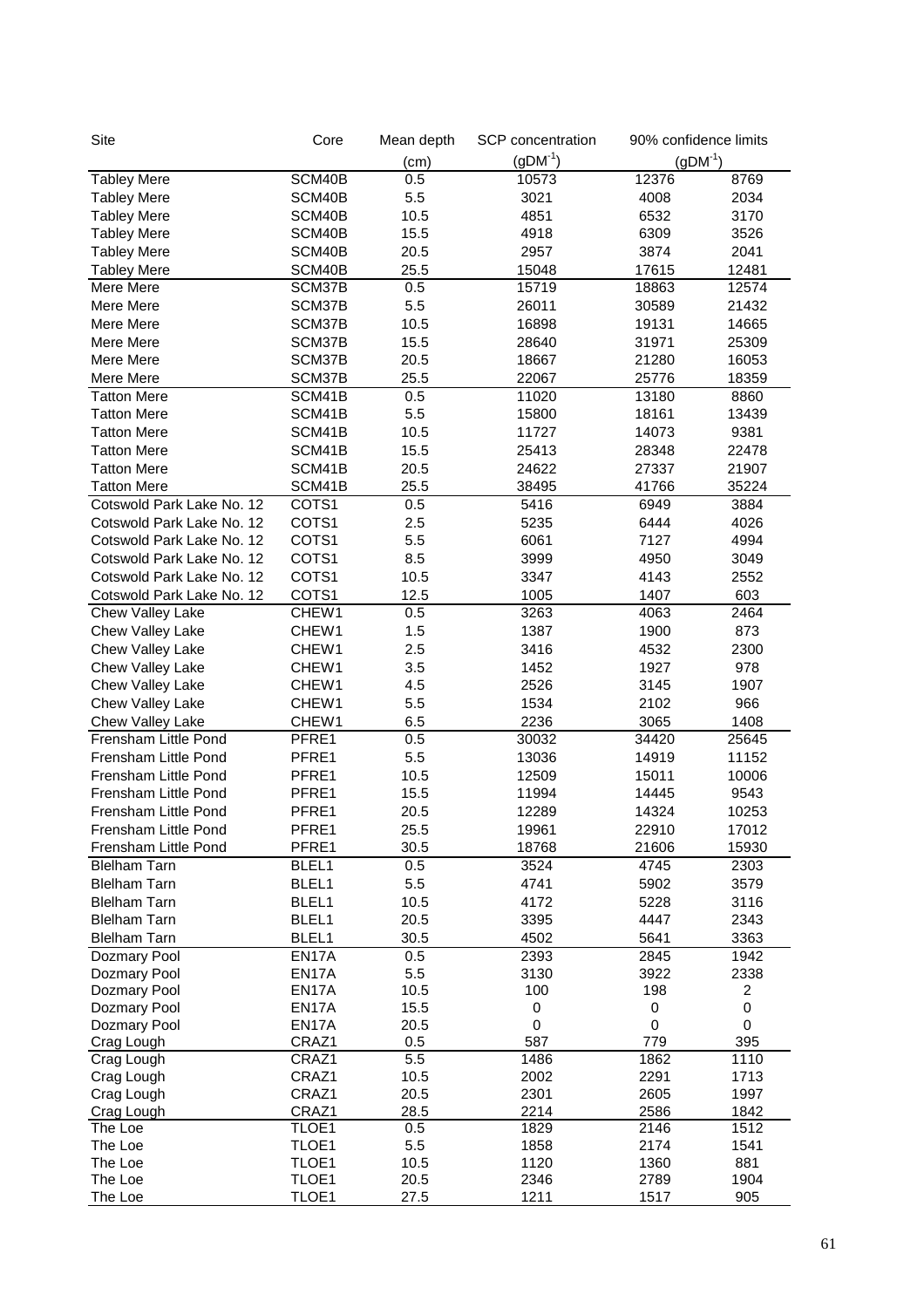| Site                                | Core           | Mean depth  | SCP concentration | 90% confidence limits |              |
|-------------------------------------|----------------|-------------|-------------------|-----------------------|--------------|
|                                     |                | (cm)        | $(gDM^{-1})$      | $(gDM^{-1})$          |              |
| <b>Tabley Mere</b>                  | SCM40B         | 0.5         | 10573             | 12376                 | 8769         |
| <b>Tabley Mere</b>                  | SCM40B         | 5.5         | 3021              | 4008                  | 2034         |
| <b>Tabley Mere</b>                  | SCM40B         | 10.5        | 4851              | 6532                  | 3170         |
| <b>Tabley Mere</b>                  | SCM40B         | 15.5        | 4918              | 6309                  | 3526         |
| <b>Tabley Mere</b>                  | SCM40B         | 20.5        | 2957              | 3874                  | 2041         |
| <b>Tabley Mere</b>                  | SCM40B         | 25.5        | 15048             | 17615                 | 12481        |
| Mere Mere                           | SCM37B         | 0.5         | 15719             | 18863                 | 12574        |
| Mere Mere                           | SCM37B         | 5.5         | 26011             | 30589                 | 21432        |
| Mere Mere                           | SCM37B         | 10.5        | 16898             | 19131                 | 14665        |
| Mere Mere                           | SCM37B         | 15.5        | 28640             | 31971                 | 25309        |
| Mere Mere                           | SCM37B         | 20.5        | 18667             | 21280                 | 16053        |
| Mere Mere                           | SCM37B         | 25.5        | 22067             | 25776                 | 18359        |
| <b>Tatton Mere</b>                  | SCM41B         | 0.5         | 11020             | 13180                 | 8860         |
| <b>Tatton Mere</b>                  | SCM41B         | 5.5         | 15800             | 18161                 | 13439        |
| <b>Tatton Mere</b>                  | SCM41B         | 10.5        | 11727             | 14073                 | 9381         |
| <b>Tatton Mere</b>                  | SCM41B         | 15.5        | 25413             | 28348                 | 22478        |
| <b>Tatton Mere</b>                  | SCM41B         | 20.5        | 24622             | 27337                 | 21907        |
| <b>Tatton Mere</b>                  | SCM41B         | 25.5        | 38495             | 41766                 | 35224        |
| Cotswold Park Lake No. 12           | COTS1          | 0.5         | 5416              | 6949                  | 3884         |
| Cotswold Park Lake No. 12           | COTS1          | 2.5         | 5235              | 6444                  | 4026         |
| Cotswold Park Lake No. 12           | COTS1          | 5.5         | 6061              | 7127                  | 4994         |
| Cotswold Park Lake No. 12           | COTS1          | 8.5         | 3999              | 4950                  | 3049         |
| Cotswold Park Lake No. 12           | COTS1          | 10.5        | 3347              | 4143                  | 2552         |
| Cotswold Park Lake No. 12           | COTS1          | 12.5        | 1005              | 1407                  | 603          |
| Chew Valley Lake                    | CHEW1          | 0.5         | 3263              | 4063                  | 2464         |
| Chew Valley Lake                    | CHEW1          | 1.5         | 1387              | 1900                  | 873          |
| Chew Valley Lake                    | CHEW1          | 2.5         | 3416              | 4532                  | 2300         |
| Chew Valley Lake                    | CHEW1          | 3.5         | 1452              | 1927                  | 978          |
| Chew Valley Lake                    | CHEW1          | 4.5         | 2526              | 3145                  | 1907         |
| Chew Valley Lake                    | CHEW1          | 5.5         | 1534              | 2102                  | 966          |
| Chew Valley Lake                    | CHEW1          | 6.5         | 2236              | 3065                  | 1408         |
| Frensham Little Pond                | PFRE1          | 0.5         | 30032             | 34420                 | 25645        |
| Frensham Little Pond                | PFRE1          | 5.5         | 13036             | 14919                 | 11152        |
| Frensham Little Pond                | PFRE1          | 10.5        | 12509             | 15011                 | 10006        |
| Frensham Little Pond                | PFRE1          | 15.5        | 11994             | 14445                 | 9543         |
| Frensham Little Pond                | PFRE1          | 20.5        | 12289             | 14324                 | 10253        |
| Frensham Little Pond                | PFRE1          | 25.5        | 19961             | 22910                 | 17012        |
| Frensham Little Pond                | PFRE1          | 30.5        | 18768             | 21606                 | 15930        |
| <b>Blelham Tarn</b>                 | BLEL1          | 0.5         | 3524              | 4745                  | 2303         |
| <b>Blelham Tarn</b>                 | BLEL1          | 5.5         | 4741              | 5902                  | 3579         |
| <b>Blelham Tarn</b>                 | BLEL1          | 10.5        | 4172              | 5228                  | 3116         |
| <b>Blelham Tarn</b>                 | BLEL1          | 20.5        | 3395              | 4447<br>5641          | 2343         |
| <b>Blelham Tarn</b><br>Dozmary Pool | BLEL1<br>EN17A | 30.5<br>0.5 | 4502<br>2393      | 2845                  | 3363<br>1942 |
| Dozmary Pool                        | EN17A          | 5.5         | 3130              | 3922                  | 2338         |
| Dozmary Pool                        | EN17A          | 10.5        | 100               | 198                   | 2            |
| Dozmary Pool                        | EN17A          | 15.5        | 0                 | 0                     | 0            |
| Dozmary Pool                        | EN17A          | 20.5        | 0                 | 0                     | 0            |
| Crag Lough                          | CRAZ1          | 0.5         | 587               | 779                   | 395          |
| Crag Lough                          | CRAZ1          | 5.5         | 1486              | 1862                  | 1110         |
| Crag Lough                          | CRAZ1          | 10.5        | 2002              | 2291                  | 1713         |
| Crag Lough                          | CRAZ1          | 20.5        | 2301              | 2605                  | 1997         |
| Crag Lough                          | CRAZ1          | 28.5        | 2214              | 2586                  | 1842         |
| The Loe                             | TLOE1          | 0.5         | 1829              | 2146                  | 1512         |
| The Loe                             | TLOE1          | 5.5         | 1858              | 2174                  | 1541         |
| The Loe                             | TLOE1          | 10.5        | 1120              | 1360                  | 881          |
| The Loe                             | TLOE1          | 20.5        | 2346              | 2789                  | 1904         |
| The Loe                             | TLOE1          | 27.5        | 1211              | 1517                  | 905          |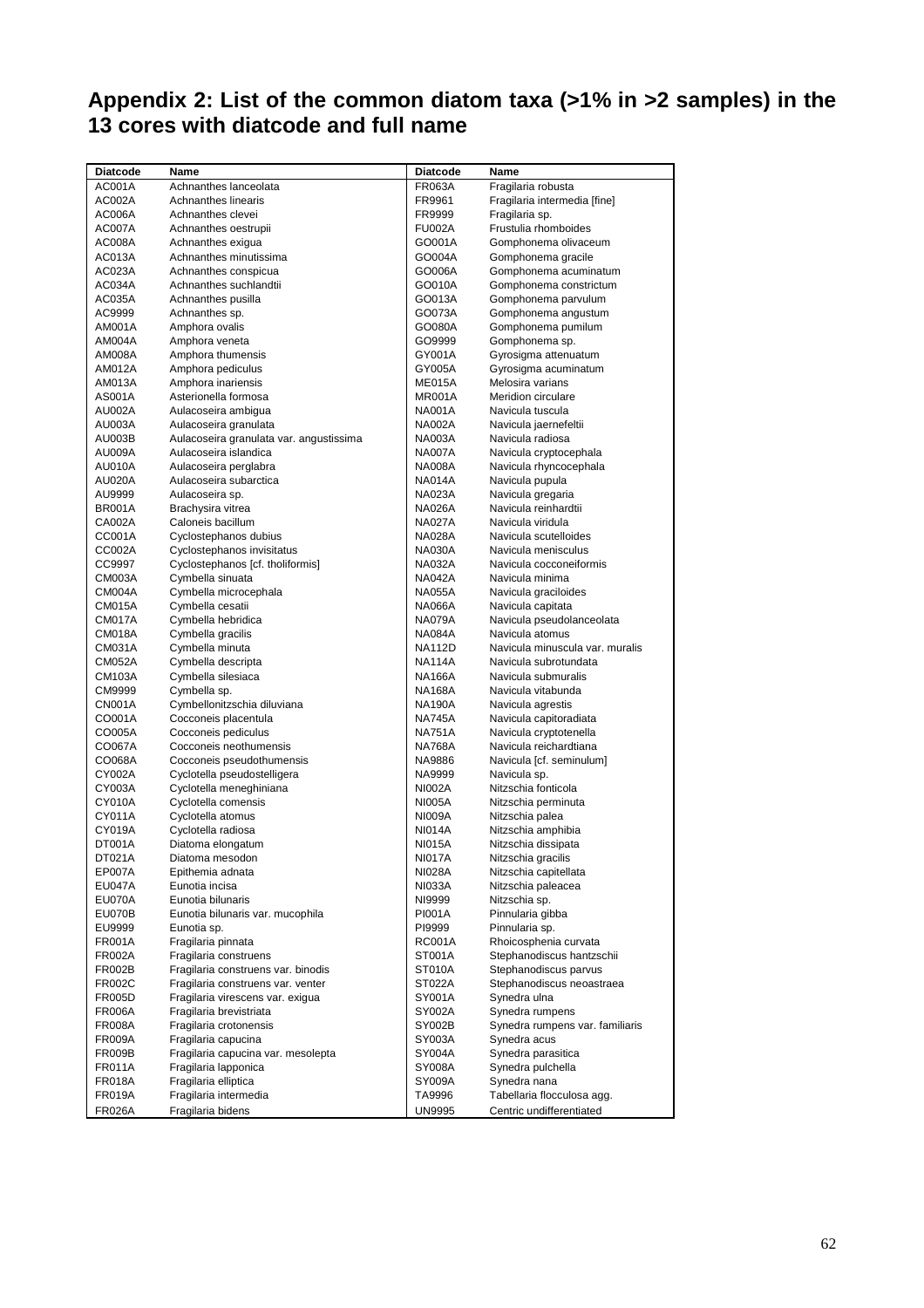#### **Appendix 2: List of the common diatom taxa (>1% in >2 samples) in the 13 cores with diatcode and full name**

| AC001A<br>Achnanthes lanceolata<br><b>FR063A</b><br>Fragilaria robusta<br>AC002A<br>Achnanthes linearis<br>FR9961<br>Fragilaria intermedia [fine]<br><b>AC006A</b><br>Achnanthes clevei<br>FR9999<br>Fragilaria sp.<br>Frustulia rhomboides<br>Achnanthes oestrupii<br><b>AC007A</b><br><b>FU002A</b><br>Achnanthes exigua<br>Gomphonema olivaceum<br>AC008A<br>GO001A<br>Achnanthes minutissima<br>Gomphonema gracile<br>AC013A<br>GO004A<br>Achnanthes conspicua<br>Gomphonema acuminatum<br>AC023A<br>GO006A<br>AC034A<br>Achnanthes suchlandtii<br>Gomphonema constrictum<br>GO010A<br>Achnanthes pusilla<br>Gomphonema parvulum<br>AC035A<br>GO013A<br>Achnanthes sp.<br>Gomphonema angustum<br>AC9999<br>GO073A<br>Amphora ovalis<br>Gomphonema pumilum<br>AM001A<br>GO080A<br>Amphora veneta<br>Gomphonema sp.<br>AM004A<br>GO9999<br>Amphora thumensis<br>Gyrosigma attenuatum<br>AM008A<br>GY001A<br>Amphora pediculus<br>Gyrosigma acuminatum<br>AM012A<br>GY005A<br>Amphora inariensis<br>Melosira varians<br>AM013A<br>ME015A |  |
|-------------------------------------------------------------------------------------------------------------------------------------------------------------------------------------------------------------------------------------------------------------------------------------------------------------------------------------------------------------------------------------------------------------------------------------------------------------------------------------------------------------------------------------------------------------------------------------------------------------------------------------------------------------------------------------------------------------------------------------------------------------------------------------------------------------------------------------------------------------------------------------------------------------------------------------------------------------------------------------------------------------------------------------------|--|
|                                                                                                                                                                                                                                                                                                                                                                                                                                                                                                                                                                                                                                                                                                                                                                                                                                                                                                                                                                                                                                           |  |
|                                                                                                                                                                                                                                                                                                                                                                                                                                                                                                                                                                                                                                                                                                                                                                                                                                                                                                                                                                                                                                           |  |
|                                                                                                                                                                                                                                                                                                                                                                                                                                                                                                                                                                                                                                                                                                                                                                                                                                                                                                                                                                                                                                           |  |
|                                                                                                                                                                                                                                                                                                                                                                                                                                                                                                                                                                                                                                                                                                                                                                                                                                                                                                                                                                                                                                           |  |
|                                                                                                                                                                                                                                                                                                                                                                                                                                                                                                                                                                                                                                                                                                                                                                                                                                                                                                                                                                                                                                           |  |
|                                                                                                                                                                                                                                                                                                                                                                                                                                                                                                                                                                                                                                                                                                                                                                                                                                                                                                                                                                                                                                           |  |
|                                                                                                                                                                                                                                                                                                                                                                                                                                                                                                                                                                                                                                                                                                                                                                                                                                                                                                                                                                                                                                           |  |
|                                                                                                                                                                                                                                                                                                                                                                                                                                                                                                                                                                                                                                                                                                                                                                                                                                                                                                                                                                                                                                           |  |
|                                                                                                                                                                                                                                                                                                                                                                                                                                                                                                                                                                                                                                                                                                                                                                                                                                                                                                                                                                                                                                           |  |
|                                                                                                                                                                                                                                                                                                                                                                                                                                                                                                                                                                                                                                                                                                                                                                                                                                                                                                                                                                                                                                           |  |
|                                                                                                                                                                                                                                                                                                                                                                                                                                                                                                                                                                                                                                                                                                                                                                                                                                                                                                                                                                                                                                           |  |
|                                                                                                                                                                                                                                                                                                                                                                                                                                                                                                                                                                                                                                                                                                                                                                                                                                                                                                                                                                                                                                           |  |
|                                                                                                                                                                                                                                                                                                                                                                                                                                                                                                                                                                                                                                                                                                                                                                                                                                                                                                                                                                                                                                           |  |
|                                                                                                                                                                                                                                                                                                                                                                                                                                                                                                                                                                                                                                                                                                                                                                                                                                                                                                                                                                                                                                           |  |
|                                                                                                                                                                                                                                                                                                                                                                                                                                                                                                                                                                                                                                                                                                                                                                                                                                                                                                                                                                                                                                           |  |
|                                                                                                                                                                                                                                                                                                                                                                                                                                                                                                                                                                                                                                                                                                                                                                                                                                                                                                                                                                                                                                           |  |
| Asterionella formosa<br><b>MR001A</b><br>Meridion circulare<br>AS001A                                                                                                                                                                                                                                                                                                                                                                                                                                                                                                                                                                                                                                                                                                                                                                                                                                                                                                                                                                     |  |
| Aulacoseira ambigua<br>Navicula tuscula<br>AU002A<br><b>NA001A</b>                                                                                                                                                                                                                                                                                                                                                                                                                                                                                                                                                                                                                                                                                                                                                                                                                                                                                                                                                                        |  |
| Aulacoseira granulata<br>Navicula jaernefeltii<br>AU003A<br>NA002A                                                                                                                                                                                                                                                                                                                                                                                                                                                                                                                                                                                                                                                                                                                                                                                                                                                                                                                                                                        |  |
| Aulacoseira granulata var. angustissima<br>Navicula radiosa<br>AU003B<br><b>NA003A</b>                                                                                                                                                                                                                                                                                                                                                                                                                                                                                                                                                                                                                                                                                                                                                                                                                                                                                                                                                    |  |
| Aulacoseira islandica<br>Navicula cryptocephala<br>AU009A<br><b>NA007A</b>                                                                                                                                                                                                                                                                                                                                                                                                                                                                                                                                                                                                                                                                                                                                                                                                                                                                                                                                                                |  |
| Aulacoseira perglabra<br>Navicula rhyncocephala<br>AU010A<br><b>NA008A</b>                                                                                                                                                                                                                                                                                                                                                                                                                                                                                                                                                                                                                                                                                                                                                                                                                                                                                                                                                                |  |
| Aulacoseira subarctica<br>Navicula pupula<br>AU020A<br>NA014A                                                                                                                                                                                                                                                                                                                                                                                                                                                                                                                                                                                                                                                                                                                                                                                                                                                                                                                                                                             |  |
| Aulacoseira sp.<br>Navicula gregaria<br>AU9999<br>NA023A                                                                                                                                                                                                                                                                                                                                                                                                                                                                                                                                                                                                                                                                                                                                                                                                                                                                                                                                                                                  |  |
| Brachysira vitrea<br>Navicula reinhardtii<br><b>BR001A</b><br><b>NA026A</b>                                                                                                                                                                                                                                                                                                                                                                                                                                                                                                                                                                                                                                                                                                                                                                                                                                                                                                                                                               |  |
| Caloneis bacillum<br><b>NA027A</b><br>Navicula viridula<br>CA002A                                                                                                                                                                                                                                                                                                                                                                                                                                                                                                                                                                                                                                                                                                                                                                                                                                                                                                                                                                         |  |
| CC001A<br>Navicula scutelloides<br><b>NA028A</b>                                                                                                                                                                                                                                                                                                                                                                                                                                                                                                                                                                                                                                                                                                                                                                                                                                                                                                                                                                                          |  |
| Cyclostephanos dubius<br>Navicula menisculus                                                                                                                                                                                                                                                                                                                                                                                                                                                                                                                                                                                                                                                                                                                                                                                                                                                                                                                                                                                              |  |
| Cyclostephanos invisitatus<br>CC002A<br><b>NA030A</b>                                                                                                                                                                                                                                                                                                                                                                                                                                                                                                                                                                                                                                                                                                                                                                                                                                                                                                                                                                                     |  |
| Cyclostephanos [cf. tholiformis]<br>Navicula cocconeiformis<br>CC9997<br>NA032A                                                                                                                                                                                                                                                                                                                                                                                                                                                                                                                                                                                                                                                                                                                                                                                                                                                                                                                                                           |  |
| Cymbella sinuata<br>Navicula minima<br>CM003A<br>NA042A                                                                                                                                                                                                                                                                                                                                                                                                                                                                                                                                                                                                                                                                                                                                                                                                                                                                                                                                                                                   |  |
| Cymbella microcephala<br>CM004A<br><b>NA055A</b><br>Navicula graciloides                                                                                                                                                                                                                                                                                                                                                                                                                                                                                                                                                                                                                                                                                                                                                                                                                                                                                                                                                                  |  |
| Cymbella cesatii<br>Navicula capitata<br>CM015A<br>NA066A                                                                                                                                                                                                                                                                                                                                                                                                                                                                                                                                                                                                                                                                                                                                                                                                                                                                                                                                                                                 |  |
| Cymbella hebridica<br>Navicula pseudolanceolata<br>CM017A<br>NA079A                                                                                                                                                                                                                                                                                                                                                                                                                                                                                                                                                                                                                                                                                                                                                                                                                                                                                                                                                                       |  |
| Cymbella gracilis<br><b>NA084A</b><br>Navicula atomus<br>CM018A                                                                                                                                                                                                                                                                                                                                                                                                                                                                                                                                                                                                                                                                                                                                                                                                                                                                                                                                                                           |  |
| Cymbella minuta<br><b>NA112D</b><br>Navicula minuscula var. muralis<br>CM031A                                                                                                                                                                                                                                                                                                                                                                                                                                                                                                                                                                                                                                                                                                                                                                                                                                                                                                                                                             |  |
| Cymbella descripta<br><b>NA114A</b><br>Navicula subrotundata<br><b>CM052A</b>                                                                                                                                                                                                                                                                                                                                                                                                                                                                                                                                                                                                                                                                                                                                                                                                                                                                                                                                                             |  |
| Cymbella silesiaca<br><b>NA166A</b><br>Navicula submuralis<br>CM103A                                                                                                                                                                                                                                                                                                                                                                                                                                                                                                                                                                                                                                                                                                                                                                                                                                                                                                                                                                      |  |
| Cymbella sp.<br><b>NA168A</b><br>Navicula vitabunda<br>CM9999                                                                                                                                                                                                                                                                                                                                                                                                                                                                                                                                                                                                                                                                                                                                                                                                                                                                                                                                                                             |  |
| Cymbellonitzschia diluviana<br>CN001A<br><b>NA190A</b><br>Navicula agrestis                                                                                                                                                                                                                                                                                                                                                                                                                                                                                                                                                                                                                                                                                                                                                                                                                                                                                                                                                               |  |
| Cocconeis placentula<br>Navicula capitoradiata<br>CO001A<br><b>NA745A</b>                                                                                                                                                                                                                                                                                                                                                                                                                                                                                                                                                                                                                                                                                                                                                                                                                                                                                                                                                                 |  |
| Cocconeis pediculus<br><b>NA751A</b><br>Navicula cryptotenella<br>CO005A                                                                                                                                                                                                                                                                                                                                                                                                                                                                                                                                                                                                                                                                                                                                                                                                                                                                                                                                                                  |  |
| Cocconeis neothumensis<br>Navicula reichardtiana<br>CO067A<br>NA768A                                                                                                                                                                                                                                                                                                                                                                                                                                                                                                                                                                                                                                                                                                                                                                                                                                                                                                                                                                      |  |
| Cocconeis pseudothumensis<br>Navicula [cf. seminulum]<br>CO068A<br>NA9886                                                                                                                                                                                                                                                                                                                                                                                                                                                                                                                                                                                                                                                                                                                                                                                                                                                                                                                                                                 |  |
|                                                                                                                                                                                                                                                                                                                                                                                                                                                                                                                                                                                                                                                                                                                                                                                                                                                                                                                                                                                                                                           |  |
| Cyclotella pseudostelligera<br>CY002A<br>NA9999<br>Navicula sp.                                                                                                                                                                                                                                                                                                                                                                                                                                                                                                                                                                                                                                                                                                                                                                                                                                                                                                                                                                           |  |
| Cyclotella meneghiniana<br>Nitzschia fonticola<br>CY003A<br>NI002A                                                                                                                                                                                                                                                                                                                                                                                                                                                                                                                                                                                                                                                                                                                                                                                                                                                                                                                                                                        |  |
| Cyclotella comensis<br>Nitzschia perminuta<br>CY010A<br><b>NI005A</b>                                                                                                                                                                                                                                                                                                                                                                                                                                                                                                                                                                                                                                                                                                                                                                                                                                                                                                                                                                     |  |
| Cyclotella atomus<br>Nitzschia palea<br>CY011A<br>NI009A                                                                                                                                                                                                                                                                                                                                                                                                                                                                                                                                                                                                                                                                                                                                                                                                                                                                                                                                                                                  |  |
| Nitzschia amphibia<br>Cyclotella radiosa<br>CY019A<br>NI014A                                                                                                                                                                                                                                                                                                                                                                                                                                                                                                                                                                                                                                                                                                                                                                                                                                                                                                                                                                              |  |
| Diatoma elongatum<br><b>NI015A</b><br>Nitzschia dissipata<br>DT001A                                                                                                                                                                                                                                                                                                                                                                                                                                                                                                                                                                                                                                                                                                                                                                                                                                                                                                                                                                       |  |
| DT021A<br><b>NI017A</b><br>Nitzschia gracilis<br>Diatoma mesodon                                                                                                                                                                                                                                                                                                                                                                                                                                                                                                                                                                                                                                                                                                                                                                                                                                                                                                                                                                          |  |
| Nitzschia capitellata<br>EP007A<br>Epithemia adnata<br>NI028A                                                                                                                                                                                                                                                                                                                                                                                                                                                                                                                                                                                                                                                                                                                                                                                                                                                                                                                                                                             |  |
| <b>EU047A</b><br>Eunotia incisa<br><b>NI033A</b><br>Nitzschia paleacea                                                                                                                                                                                                                                                                                                                                                                                                                                                                                                                                                                                                                                                                                                                                                                                                                                                                                                                                                                    |  |
| Eunotia bilunaris<br>Nitzschia sp.<br>EU070A<br>NI9999                                                                                                                                                                                                                                                                                                                                                                                                                                                                                                                                                                                                                                                                                                                                                                                                                                                                                                                                                                                    |  |
| Pinnularia gibba<br>Eunotia bilunaris var. mucophila<br>EU070B<br><b>PI001A</b>                                                                                                                                                                                                                                                                                                                                                                                                                                                                                                                                                                                                                                                                                                                                                                                                                                                                                                                                                           |  |
| Pinnularia sp.<br>EU9999<br>Eunotia sp.<br>PI9999                                                                                                                                                                                                                                                                                                                                                                                                                                                                                                                                                                                                                                                                                                                                                                                                                                                                                                                                                                                         |  |
| <b>FR001A</b><br>Fragilaria pinnata<br>Rhoicosphenia curvata<br>RC001A                                                                                                                                                                                                                                                                                                                                                                                                                                                                                                                                                                                                                                                                                                                                                                                                                                                                                                                                                                    |  |
| <b>FR002A</b><br>Fragilaria construens<br>ST001A<br>Stephanodiscus hantzschii                                                                                                                                                                                                                                                                                                                                                                                                                                                                                                                                                                                                                                                                                                                                                                                                                                                                                                                                                             |  |
| <b>FR002B</b><br>Fragilaria construens var. binodis<br><b>ST010A</b><br>Stephanodiscus parvus                                                                                                                                                                                                                                                                                                                                                                                                                                                                                                                                                                                                                                                                                                                                                                                                                                                                                                                                             |  |
| <b>FR002C</b><br>Fragilaria construens var. venter<br>ST022A<br>Stephanodiscus neoastraea                                                                                                                                                                                                                                                                                                                                                                                                                                                                                                                                                                                                                                                                                                                                                                                                                                                                                                                                                 |  |
|                                                                                                                                                                                                                                                                                                                                                                                                                                                                                                                                                                                                                                                                                                                                                                                                                                                                                                                                                                                                                                           |  |
| <b>FR005D</b><br>Fragilaria virescens var. exigua<br>SY001A<br>Synedra ulna                                                                                                                                                                                                                                                                                                                                                                                                                                                                                                                                                                                                                                                                                                                                                                                                                                                                                                                                                               |  |
| <b>FR006A</b><br>Fragilaria brevistriata<br>SY002A<br>Synedra rumpens                                                                                                                                                                                                                                                                                                                                                                                                                                                                                                                                                                                                                                                                                                                                                                                                                                                                                                                                                                     |  |
| Synedra rumpens var. familiaris<br><b>FR008A</b><br>Fragilaria crotonensis<br>SY002B                                                                                                                                                                                                                                                                                                                                                                                                                                                                                                                                                                                                                                                                                                                                                                                                                                                                                                                                                      |  |
| Fragilaria capucina<br>Synedra acus<br><b>FR009A</b><br>SY003A                                                                                                                                                                                                                                                                                                                                                                                                                                                                                                                                                                                                                                                                                                                                                                                                                                                                                                                                                                            |  |
| Fragilaria capucina var. mesolepta<br>Synedra parasitica<br><b>FR009B</b><br>SY004A                                                                                                                                                                                                                                                                                                                                                                                                                                                                                                                                                                                                                                                                                                                                                                                                                                                                                                                                                       |  |
| <b>FR011A</b><br>Fragilaria lapponica<br>Synedra pulchella<br>SY008A                                                                                                                                                                                                                                                                                                                                                                                                                                                                                                                                                                                                                                                                                                                                                                                                                                                                                                                                                                      |  |
| Fragilaria elliptica<br>Synedra nana<br><b>FR018A</b><br>SY009A                                                                                                                                                                                                                                                                                                                                                                                                                                                                                                                                                                                                                                                                                                                                                                                                                                                                                                                                                                           |  |
| <b>FR019A</b><br>Fragilaria intermedia<br>Tabellaria flocculosa agg.<br>TA9996                                                                                                                                                                                                                                                                                                                                                                                                                                                                                                                                                                                                                                                                                                                                                                                                                                                                                                                                                            |  |
| Centric undifferentiated<br><b>FR026A</b><br>Fragilaria bidens<br><b>UN9995</b>                                                                                                                                                                                                                                                                                                                                                                                                                                                                                                                                                                                                                                                                                                                                                                                                                                                                                                                                                           |  |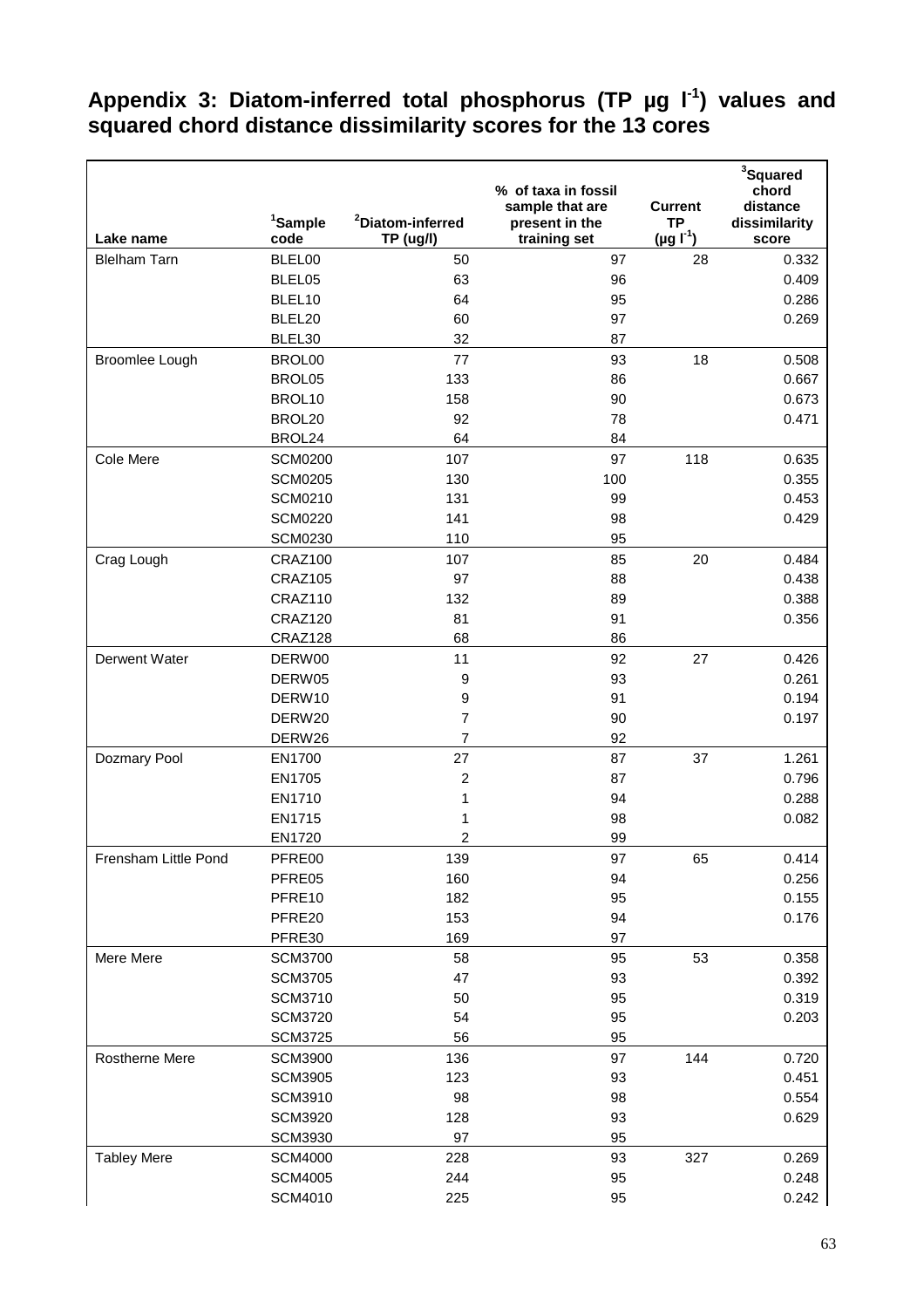## **Appendix 3: Diatom-inferred total phosphorus (TP µg l-1) values and squared chord distance dissimilarity scores for the 13 cores**

|                      | <sup>1</sup> Sample | <sup>2</sup> Diatom-inferred  | % of taxa in fossil<br>sample that are | <b>Current</b><br><b>TP</b> | <sup>3</sup> Squared<br>chord<br>distance |
|----------------------|---------------------|-------------------------------|----------------------------------------|-----------------------------|-------------------------------------------|
| Lake name            | code                | TP (ug/l)                     | present in the<br>training set         | $(\mu g \Gamma^1)$          | dissimilarity<br>score                    |
| <b>Blelham Tarn</b>  | BLEL00              | 50                            | 97                                     | 28                          | 0.332                                     |
|                      | BLEL05              | 63                            | 96                                     |                             | 0.409                                     |
|                      | BLEL10              | 64                            | 95                                     |                             | 0.286                                     |
|                      | BLEL20              | 60                            | 97                                     |                             | 0.269                                     |
|                      | BLEL30              | 32                            | 87                                     |                             |                                           |
| Broomlee Lough       | BROL00              | 77                            | 93                                     | 18                          | 0.508                                     |
|                      | BROL05              | 133                           | 86                                     |                             | 0.667                                     |
|                      | BROL10              | 158                           | 90                                     |                             | 0.673                                     |
|                      | BROL20              | 92                            | 78                                     |                             | 0.471                                     |
|                      | BROL24              | 64                            | 84                                     |                             |                                           |
| Cole Mere            | <b>SCM0200</b>      | 107                           | 97                                     | 118                         | 0.635                                     |
|                      | <b>SCM0205</b>      | 130                           | 100                                    |                             | 0.355                                     |
|                      | <b>SCM0210</b>      | 131                           | 99                                     |                             | 0.453                                     |
|                      | <b>SCM0220</b>      | 141                           | 98                                     |                             | 0.429                                     |
|                      | <b>SCM0230</b>      | 110                           | 95                                     |                             |                                           |
| Crag Lough           | CRAZ100             | 107                           | 85                                     | 20                          | 0.484                                     |
|                      | CRAZ105             | 97                            | 88                                     |                             | 0.438                                     |
|                      | CRAZ110             | 132                           | 89                                     |                             | 0.388                                     |
|                      | CRAZ120             | 81                            | 91                                     |                             | 0.356                                     |
|                      | CRAZ128             | 68                            | 86                                     |                             |                                           |
| Derwent Water        | DERW00              | 11                            | 92                                     | 27                          | 0.426                                     |
|                      | DERW05              | 9                             | 93                                     |                             | 0.261                                     |
|                      | DERW10              | 9                             | 91                                     |                             | 0.194                                     |
|                      | DERW20              | $\overline{7}$                | 90                                     |                             | 0.197                                     |
|                      | DERW26              | 7                             | 92                                     |                             |                                           |
| Dozmary Pool         | EN1700<br>EN1705    | 27<br>$\overline{\mathbf{c}}$ | 87<br>87                               | 37                          | 1.261<br>0.796                            |
|                      | EN1710              | 1                             | 94                                     |                             | 0.288                                     |
|                      | EN1715              | 1                             | 98                                     |                             | 0.082                                     |
|                      | EN1720              | 2                             | 99                                     |                             |                                           |
| Frensham Little Pond | PFRE00              | 139                           | 97                                     | 65                          | 0.414                                     |
|                      | PFRE05              | 160                           | 94                                     |                             | 0.256                                     |
|                      | PFRE10              | 182                           | 95                                     |                             | 0.155                                     |
|                      | PFRE20              | 153                           | 94                                     |                             | 0.176                                     |
|                      | PFRE30              | 169                           | 97                                     |                             |                                           |
| Mere Mere            | <b>SCM3700</b>      | 58                            | 95                                     | 53                          | 0.358                                     |
|                      | <b>SCM3705</b>      | 47                            | 93                                     |                             | 0.392                                     |
|                      | <b>SCM3710</b>      | 50                            | 95                                     |                             | 0.319                                     |
|                      | <b>SCM3720</b>      | 54                            | 95                                     |                             | 0.203                                     |
|                      | <b>SCM3725</b>      | 56                            | 95                                     |                             |                                           |
| Rostherne Mere       | <b>SCM3900</b>      | 136                           | 97                                     | 144                         | 0.720                                     |
|                      | <b>SCM3905</b>      | 123                           | 93                                     |                             | 0.451                                     |
|                      | SCM3910             | 98                            | 98                                     |                             | 0.554                                     |
|                      | <b>SCM3920</b>      | 128                           | 93                                     |                             | 0.629                                     |
|                      | <b>SCM3930</b>      | 97                            | 95                                     |                             |                                           |
| <b>Tabley Mere</b>   | <b>SCM4000</b>      | 228                           | 93                                     | 327                         | 0.269                                     |
|                      | <b>SCM4005</b>      | 244                           | 95                                     |                             | 0.248                                     |
|                      | SCM4010             | 225                           | 95                                     |                             | 0.242                                     |